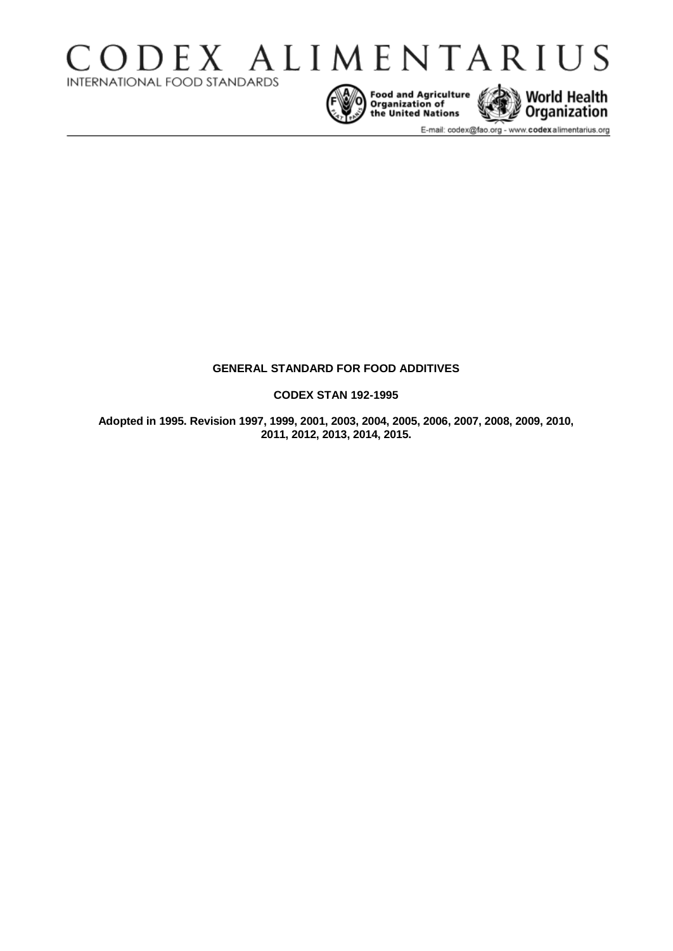







E-mail: codex@fao.org - www.codexalimentarius.org

## **GENERAL STANDARD FOR FOOD ADDITIVES**

**CODEX STAN 192-1995**

**Adopted in 1995. Revision 1997, 1999, 2001, 2003, 2004, 2005, 2006, 2007, 2008, 2009, 2010, 2011, 2012, 2013, 2014, 2015.**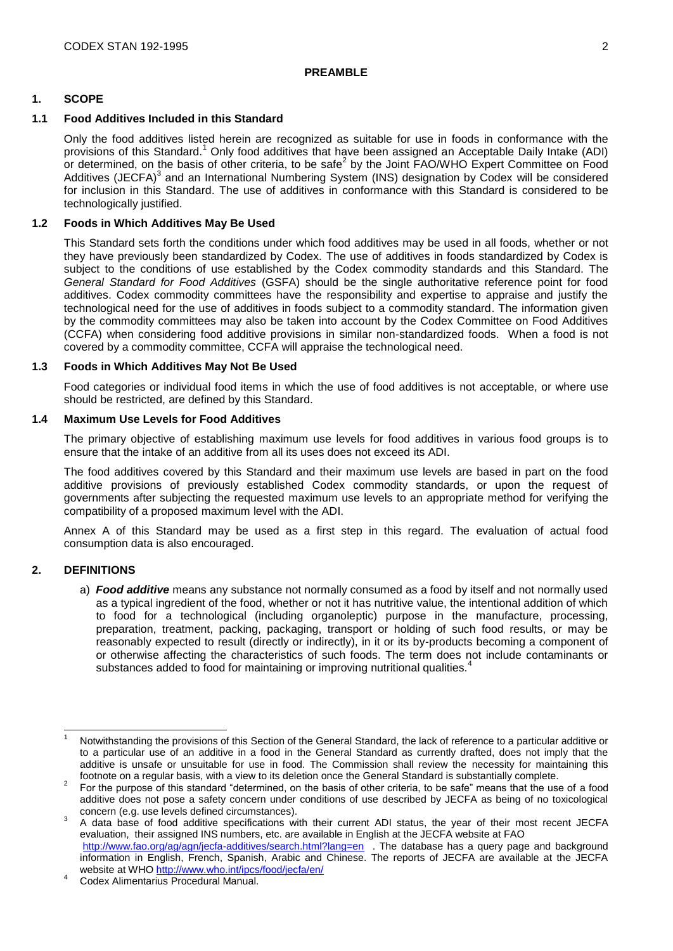## **PREAMBLE**

## **1. SCOPE**

## **1.1 Food Additives Included in this Standard**

Only the food additives listed herein are recognized as suitable for use in foods in conformance with the provisions of this Standard.<sup>1</sup> Only food additives that have been assigned an Acceptable Daily Intake (ADI) or determined, on the basis of other criteria, to be safe<sup>2</sup> by the Joint FAO/WHO Expert Committee on Food Additives (JECFA)<sup>3</sup> and an International Numbering System (INS) designation by Codex will be considered for inclusion in this Standard. The use of additives in conformance with this Standard is considered to be technologically justified.

## **1.2 Foods in Which Additives May Be Used**

This Standard sets forth the conditions under which food additives may be used in all foods, whether or not they have previously been standardized by Codex. The use of additives in foods standardized by Codex is subject to the conditions of use established by the Codex commodity standards and this Standard. The *General Standard for Food Additives* (GSFA) should be the single authoritative reference point for food additives. Codex commodity committees have the responsibility and expertise to appraise and justify the technological need for the use of additives in foods subject to a commodity standard. The information given by the commodity committees may also be taken into account by the Codex Committee on Food Additives (CCFA) when considering food additive provisions in similar non-standardized foods. When a food is not covered by a commodity committee, CCFA will appraise the technological need.

## **1.3 Foods in Which Additives May Not Be Used**

Food categories or individual food items in which the use of food additives is not acceptable, or where use should be restricted, are defined by this Standard.

## **1.4 Maximum Use Levels for Food Additives**

The primary objective of establishing maximum use levels for food additives in various food groups is to ensure that the intake of an additive from all its uses does not exceed its ADI.

The food additives covered by this Standard and their maximum use levels are based in part on the food additive provisions of previously established Codex commodity standards, or upon the request of governments after subjecting the requested maximum use levels to an appropriate method for verifying the compatibility of a proposed maximum level with the ADI.

Annex A of this Standard may be used as a first step in this regard. The evaluation of actual food consumption data is also encouraged.

## **2. DEFINITIONS**

a) *Food additive* means any substance not normally consumed as a food by itself and not normally used as a typical ingredient of the food, whether or not it has nutritive value, the intentional addition of which to food for a technological (including organoleptic) purpose in the manufacture, processing, preparation, treatment, packing, packaging, transport or holding of such food results, or may be reasonably expected to result (directly or indirectly), in it or its by-products becoming a component of or otherwise affecting the characteristics of such foods. The term does not include contaminants or substances added to food for maintaining or improving nutritional qualities.<sup>4</sup>

<sup>-</sup><sup>1</sup> Notwithstanding the provisions of this Section of the General Standard, the lack of reference to a particular additive or to a particular use of an additive in a food in the General Standard as currently drafted, does not imply that the additive is unsafe or unsuitable for use in food. The Commission shall review the necessity for maintaining this footnote on a regular basis, with a view to its deletion once the General Standard is substantially complete.

<sup>2</sup> For the purpose of this standard "determined, on the basis of other criteria, to be safe" means that the use of a food additive does not pose a safety concern under conditions of use described by JECFA as being of no toxicological concern (e.g. use levels defined circumstances).

<sup>3</sup> A data base of food additive specifications with their current ADI status, the year of their most recent JECFA evaluation, their assigned INS numbers, etc. are available in English at the JECFA website at FAO <http://www.fao.org/ag/agn/jecfa-additives/search.html?lang=en>. The database has a query page and background

information in English, French, Spanish, Arabic and Chinese. The reports of JECFA are available at the JECFA website at WHO<http://www.who.int/ipcs/food/jecfa/en/>

<sup>4</sup> Codex Alimentarius Procedural Manual.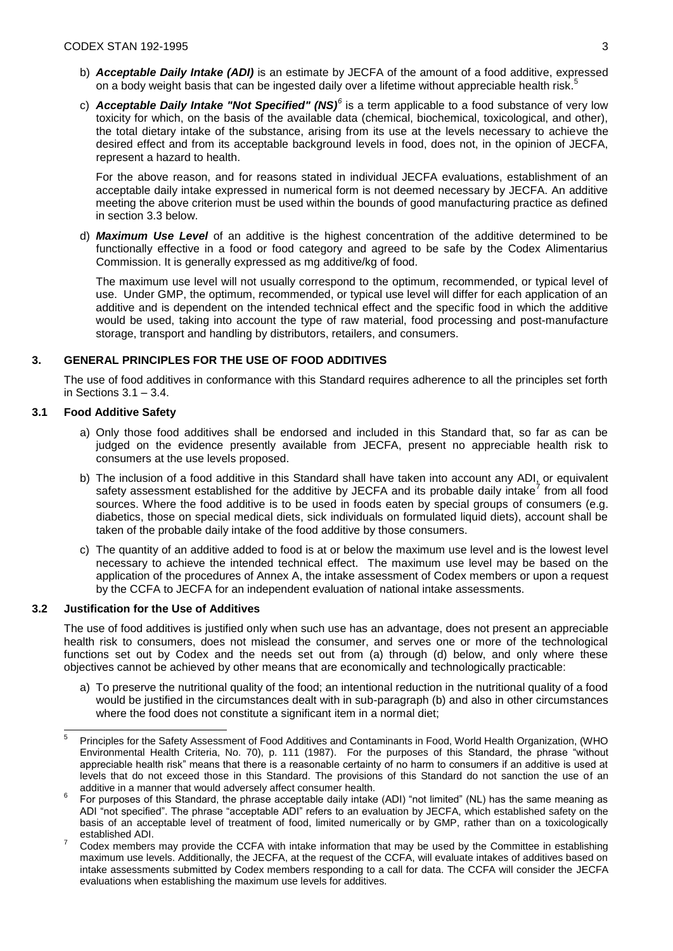- b) *Acceptable Daily Intake (ADI)* is an estimate by JECFA of the amount of a food additive, expressed on a body weight basis that can be ingested daily over a lifetime without appreciable health risk.<sup>5</sup>
- c) Acceptable Daily Intake "Not Specified" (NS)<sup>6</sup> is a term applicable to a food substance of very low toxicity for which, on the basis of the available data (chemical, biochemical, toxicological, and other), the total dietary intake of the substance, arising from its use at the levels necessary to achieve the desired effect and from its acceptable background levels in food, does not, in the opinion of JECFA, represent a hazard to health.

For the above reason, and for reasons stated in individual JECFA evaluations, establishment of an acceptable daily intake expressed in numerical form is not deemed necessary by JECFA. An additive meeting the above criterion must be used within the bounds of good manufacturing practice as defined in section 3.3 below.

d) *Maximum Use Level* of an additive is the highest concentration of the additive determined to be functionally effective in a food or food category and agreed to be safe by the Codex Alimentarius Commission. It is generally expressed as mg additive/kg of food.

The maximum use level will not usually correspond to the optimum, recommended, or typical level of use. Under GMP, the optimum, recommended, or typical use level will differ for each application of an additive and is dependent on the intended technical effect and the specific food in which the additive would be used, taking into account the type of raw material, food processing and post-manufacture storage, transport and handling by distributors, retailers, and consumers.

## **3. GENERAL PRINCIPLES FOR THE USE OF FOOD ADDITIVES**

The use of food additives in conformance with this Standard requires adherence to all the principles set forth in Sections  $3.1 - 3.4$ .

## **3.1 Food Additive Safety**

- a) Only those food additives shall be endorsed and included in this Standard that, so far as can be judged on the evidence presently available from JECFA, present no appreciable health risk to consumers at the use levels proposed.
- b) The inclusion of a food additive in this Standard shall have taken into account any ADI, or equivalent safety assessment established for the additive by JECFA and its probable daily intake<sup>7</sup> from all food sources. Where the food additive is to be used in foods eaten by special groups of consumers (e.g. diabetics, those on special medical diets, sick individuals on formulated liquid diets), account shall be taken of the probable daily intake of the food additive by those consumers.
- c) The quantity of an additive added to food is at or below the maximum use level and is the lowest level necessary to achieve the intended technical effect. The maximum use level may be based on the application of the procedures of Annex A, the intake assessment of Codex members or upon a request by the CCFA to JECFA for an independent evaluation of national intake assessments.

## **3.2 Justification for the Use of Additives**

The use of food additives is justified only when such use has an advantage, does not present an appreciable health risk to consumers, does not mislead the consumer, and serves one or more of the technological functions set out by Codex and the needs set out from (a) through (d) below, and only where these objectives cannot be achieved by other means that are economically and technologically practicable:

a) To preserve the nutritional quality of the food; an intentional reduction in the nutritional quality of a food would be justified in the circumstances dealt with in sub-paragraph (b) and also in other circumstances where the food does not constitute a significant item in a normal diet;

 $\frac{1}{5}$ Principles for the Safety Assessment of Food Additives and Contaminants in Food, World Health Organization, (WHO Environmental Health Criteria, No. 70), p. 111 (1987). For the purposes of this Standard, the phrase "without appreciable health risk" means that there is a reasonable certainty of no harm to consumers if an additive is used at levels that do not exceed those in this Standard. The provisions of this Standard do not sanction the use of an additive in a manner that would adversely affect consumer health.

<sup>6</sup> For purposes of this Standard, the phrase acceptable daily intake (ADI) "not limited" (NL) has the same meaning as ADI "not specified". The phrase "acceptable ADI" refers to an evaluation by JECFA, which established safety on the basis of an acceptable level of treatment of food, limited numerically or by GMP, rather than on a toxicologically established ADI.

<sup>7</sup> Codex members may provide the CCFA with intake information that may be used by the Committee in establishing maximum use levels. Additionally, the JECFA, at the request of the CCFA, will evaluate intakes of additives based on intake assessments submitted by Codex members responding to a call for data. The CCFA will consider the JECFA evaluations when establishing the maximum use levels for additives.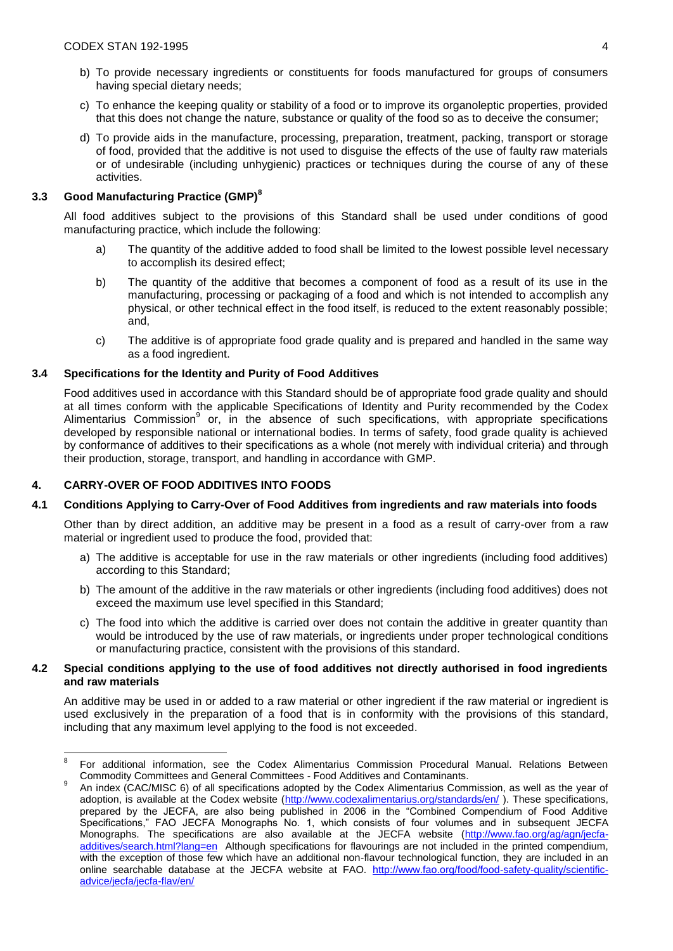- b) To provide necessary ingredients or constituents for foods manufactured for groups of consumers having special dietary needs;
- c) To enhance the keeping quality or stability of a food or to improve its organoleptic properties, provided that this does not change the nature, substance or quality of the food so as to deceive the consumer;
- d) To provide aids in the manufacture, processing, preparation, treatment, packing, transport or storage of food, provided that the additive is not used to disguise the effects of the use of faulty raw materials or of undesirable (including unhygienic) practices or techniques during the course of any of these activities.

## **3.3 Good Manufacturing Practice (GMP)<sup>8</sup>**

All food additives subject to the provisions of this Standard shall be used under conditions of good manufacturing practice, which include the following:

- a) The quantity of the additive added to food shall be limited to the lowest possible level necessary to accomplish its desired effect;
- b) The quantity of the additive that becomes a component of food as a result of its use in the manufacturing, processing or packaging of a food and which is not intended to accomplish any physical, or other technical effect in the food itself, is reduced to the extent reasonably possible; and,
- c) The additive is of appropriate food grade quality and is prepared and handled in the same way as a food ingredient.

## **3.4 Specifications for the Identity and Purity of Food Additives**

Food additives used in accordance with this Standard should be of appropriate food grade quality and should at all times conform with the applicable Specifications of Identity and Purity recommended by the Codex Alimentarius Commission<sup>9</sup> or, in the absence of such specifications, with appropriate specifications developed by responsible national or international bodies. In terms of safety, food grade quality is achieved by conformance of additives to their specifications as a whole (not merely with individual criteria) and through their production, storage, transport, and handling in accordance with GMP.

## **4. CARRY-OVER OF FOOD ADDITIVES INTO FOODS**

-

#### **4.1 Conditions Applying to Carry-Over of Food Additives from ingredients and raw materials into foods**

Other than by direct addition, an additive may be present in a food as a result of carry-over from a raw material or ingredient used to produce the food, provided that:

- a) The additive is acceptable for use in the raw materials or other ingredients (including food additives) according to this Standard;
- b) The amount of the additive in the raw materials or other ingredients (including food additives) does not exceed the maximum use level specified in this Standard;
- c) The food into which the additive is carried over does not contain the additive in greater quantity than would be introduced by the use of raw materials, or ingredients under proper technological conditions or manufacturing practice, consistent with the provisions of this standard.

#### **4.2 Special conditions applying to the use of food additives not directly authorised in food ingredients and raw materials**

An additive may be used in or added to a raw material or other ingredient if the raw material or ingredient is used exclusively in the preparation of a food that is in conformity with the provisions of this standard, including that any maximum level applying to the food is not exceeded.

<sup>8</sup> For additional information, see the Codex Alimentarius Commission Procedural Manual. Relations Between Commodity Committees and General Committees - Food Additives and Contaminants.

<sup>9</sup> An index (CAC/MISC 6) of all specifications adopted by the Codex Alimentarius Commission, as well as the year of adoption, is available at the Codex website [\(http://www.codexalimentarius.org/standards/en/](http://www.codexalimentarius.org/standards/en/)). These specifications, prepared by the JECFA, are also being published in 2006 in the "Combined Compendium of Food Additive Specifications," FAO JECFA Monographs No. 1, which consists of four volumes and in subsequent JECFA Monographs. The specifications are also available at the JECFA website [\(http://www.fao.org/ag/agn/jecfa](http://www.fao.org/ag/agn/jecfa-additives/search.html?lang=en)[additives/search.html?lang=en](http://www.fao.org/ag/agn/jecfa-additives/search.html?lang=en) Although specifications for flavourings are not included in the printed compendium, with the exception of those few which have an additional non-flavour technological function, they are included in an online searchable database at the JECFA website at FAO. [http://www.fao.org/food/food-safety-quality/scientific](http://www.fao.org/food/food-safety-quality/scientific-advice/jecfa/jecfa-flav/en/)[advice/jecfa/jecfa-flav/en/](http://www.fao.org/food/food-safety-quality/scientific-advice/jecfa/jecfa-flav/en/)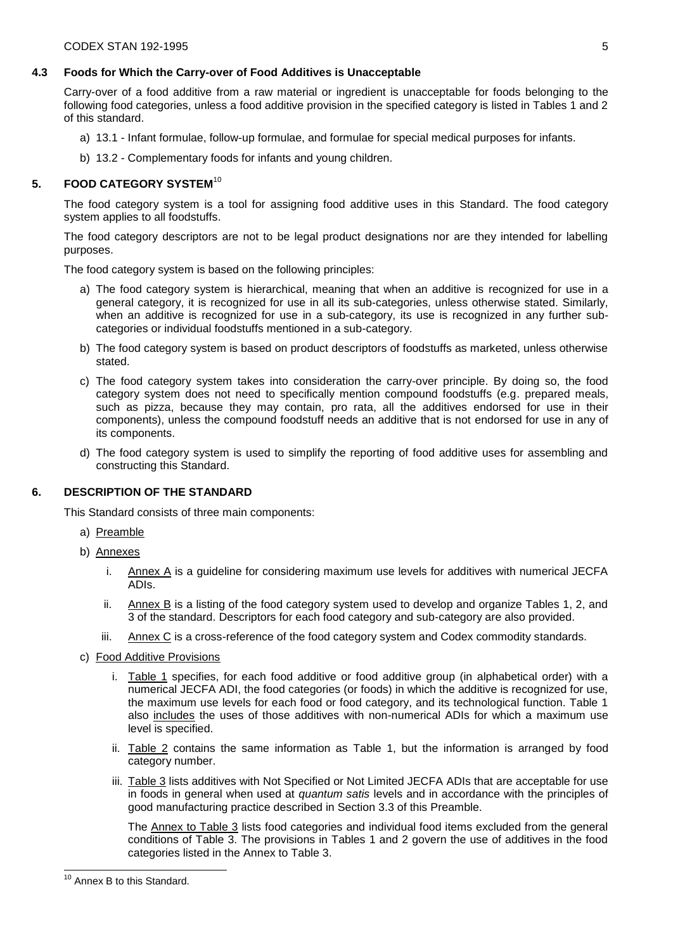## **4.3 Foods for Which the Carry-over of Food Additives is Unacceptable**

Carry-over of a food additive from a raw material or ingredient is unacceptable for foods belonging to the following food categories, unless a food additive provision in the specified category is listed in Tables 1 and 2 of this standard.

- a) 13.1 Infant formulae, follow-up formulae, and formulae for special medical purposes for infants.
- b) 13.2 Complementary foods for infants and young children.

## **5. FOOD CATEGORY SYSTEM**<sup>10</sup>

The food category system is a tool for assigning food additive uses in this Standard. The food category system applies to all foodstuffs.

The food category descriptors are not to be legal product designations nor are they intended for labelling purposes.

The food category system is based on the following principles:

- a) The food category system is hierarchical, meaning that when an additive is recognized for use in a general category, it is recognized for use in all its sub-categories, unless otherwise stated. Similarly, when an additive is recognized for use in a sub-category, its use is recognized in any further subcategories or individual foodstuffs mentioned in a sub-category.
- b) The food category system is based on product descriptors of foodstuffs as marketed, unless otherwise stated.
- c) The food category system takes into consideration the carry-over principle. By doing so, the food category system does not need to specifically mention compound foodstuffs (e.g. prepared meals, such as pizza, because they may contain, pro rata, all the additives endorsed for use in their components), unless the compound foodstuff needs an additive that is not endorsed for use in any of its components.
- d) The food category system is used to simplify the reporting of food additive uses for assembling and constructing this Standard.

## **6. DESCRIPTION OF THE STANDARD**

This Standard consists of three main components:

- a) Preamble
- b) Annexes
	- i. Annex A is a guideline for considering maximum use levels for additives with numerical JECFA ADIs.
	- ii. Annex B is a listing of the food category system used to develop and organize Tables 1, 2, and 3 of the standard. Descriptors for each food category and sub-category are also provided.
	- iii. Annex C is a cross-reference of the food category system and Codex commodity standards.
- c) Food Additive Provisions
	- i. Table 1 specifies, for each food additive or food additive group (in alphabetical order) with a numerical JECFA ADI, the food categories (or foods) in which the additive is recognized for use, the maximum use levels for each food or food category, and its technological function. Table 1 also includes the uses of those additives with non-numerical ADIs for which a maximum use level is specified.
	- ii. Table 2 contains the same information as Table 1, but the information is arranged by food category number.
	- iii. Table 3 lists additives with Not Specified or Not Limited JECFA ADIs that are acceptable for use in foods in general when used at *quantum satis* levels and in accordance with the principles of good manufacturing practice described in Section 3.3 of this Preamble.

The Annex to Table 3 lists food categories and individual food items excluded from the general conditions of Table 3. The provisions in Tables 1 and 2 govern the use of additives in the food categories listed in the Annex to Table 3.

-

<sup>&</sup>lt;sup>10</sup> Annex B to this Standard.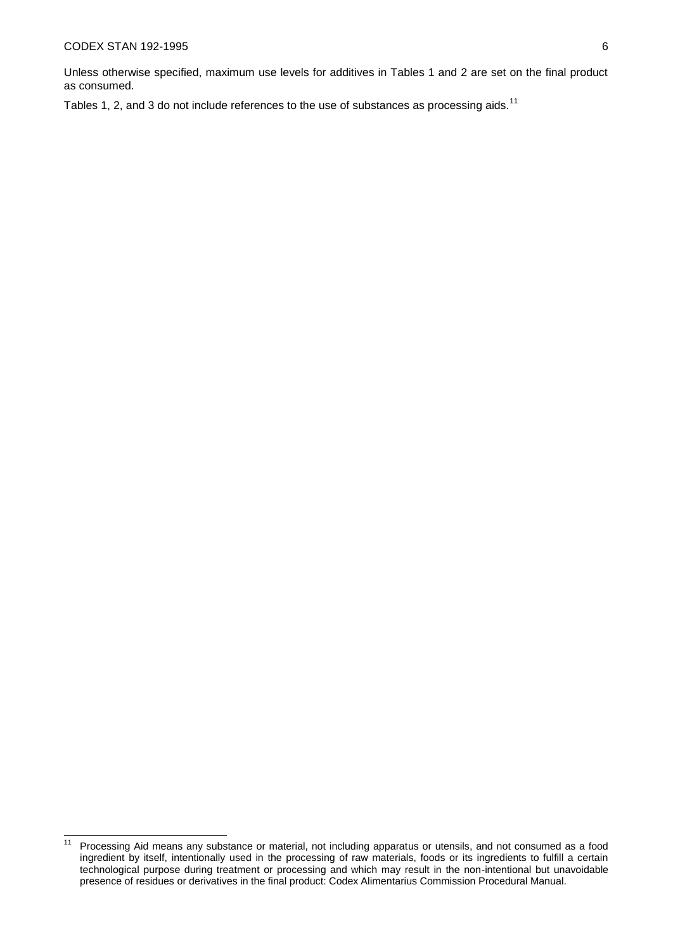Unless otherwise specified, maximum use levels for additives in Tables 1 and 2 are set on the final product as consumed.

Tables 1, 2, and 3 do not include references to the use of substances as processing aids.<sup>11</sup>

 $11$ Processing Aid means any substance or material, not including apparatus or utensils, and not consumed as a food ingredient by itself, intentionally used in the processing of raw materials, foods or its ingredients to fulfill a certain technological purpose during treatment or processing and which may result in the non-intentional but unavoidable presence of residues or derivatives in the final product: Codex Alimentarius Commission Procedural Manual.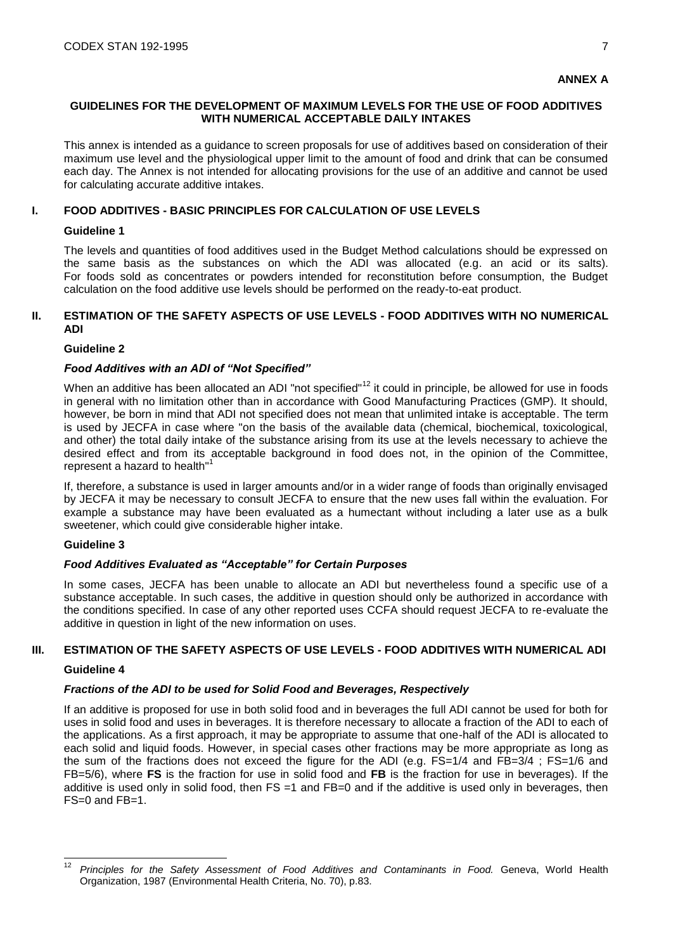### **ANNEX A**

#### **GUIDELINES FOR THE DEVELOPMENT OF MAXIMUM LEVELS FOR THE USE OF FOOD ADDITIVES WITH NUMERICAL ACCEPTABLE DAILY INTAKES**

This annex is intended as a guidance to screen proposals for use of additives based on consideration of their maximum use level and the physiological upper limit to the amount of food and drink that can be consumed each day. The Annex is not intended for allocating provisions for the use of an additive and cannot be used for calculating accurate additive intakes.

## **I. FOOD ADDITIVES - BASIC PRINCIPLES FOR CALCULATION OF USE LEVELS**

### **Guideline 1**

The levels and quantities of food additives used in the Budget Method calculations should be expressed on the same basis as the substances on which the ADI was allocated (e.g. an acid or its salts). For foods sold as concentrates or powders intended for reconstitution before consumption, the Budget calculation on the food additive use levels should be performed on the ready-to-eat product.

## **II. ESTIMATION OF THE SAFETY ASPECTS OF USE LEVELS - FOOD ADDITIVES WITH NO NUMERICAL ADI**

## **Guideline 2**

## *Food Additives with an ADI of "Not Specified"*

When an additive has been allocated an ADI "not specified"<sup>12</sup> it could in principle, be allowed for use in foods in general with no limitation other than in accordance with Good Manufacturing Practices (GMP). It should, however, be born in mind that ADI not specified does not mean that unlimited intake is acceptable. The term is used by JECFA in case where "on the basis of the available data (chemical, biochemical, toxicological, and other) the total daily intake of the substance arising from its use at the levels necessary to achieve the desired effect and from its acceptable background in food does not, in the opinion of the Committee, represent a hazard to health"<sup>1</sup>

If, therefore, a substance is used in larger amounts and/or in a wider range of foods than originally envisaged by JECFA it may be necessary to consult JECFA to ensure that the new uses fall within the evaluation. For example a substance may have been evaluated as a humectant without including a later use as a bulk sweetener, which could give considerable higher intake.

#### **Guideline 3**

## *Food Additives Evaluated as "Acceptable" for Certain Purposes*

In some cases, JECFA has been unable to allocate an ADI but nevertheless found a specific use of a substance acceptable. In such cases, the additive in question should only be authorized in accordance with the conditions specified. In case of any other reported uses CCFA should request JECFA to re-evaluate the additive in question in light of the new information on uses.

## **III. ESTIMATION OF THE SAFETY ASPECTS OF USE LEVELS - FOOD ADDITIVES WITH NUMERICAL ADI**

#### **Guideline 4**

#### *Fractions of the ADI to be used for Solid Food and Beverages, Respectively*

If an additive is proposed for use in both solid food and in beverages the full ADI cannot be used for both for uses in solid food and uses in beverages. It is therefore necessary to allocate a fraction of the ADI to each of the applications. As a first approach, it may be appropriate to assume that one-half of the ADI is allocated to each solid and liquid foods. However, in special cases other fractions may be more appropriate as long as the sum of the fractions does not exceed the figure for the ADI (e.g. FS=1/4 and FB=3/4 ; FS=1/6 and FB=5/6), where **FS** is the fraction for use in solid food and **FB** is the fraction for use in beverages). If the additive is used only in solid food, then FS =1 and FB=0 and if the additive is used only in beverages, then FS=0 and FB=1.

 $12$ <sup>12</sup> *Principles for the Safety Assessment of Food Additives and Contaminants in Food.* Geneva, World Health Organization, 1987 (Environmental Health Criteria, No. 70), p.83.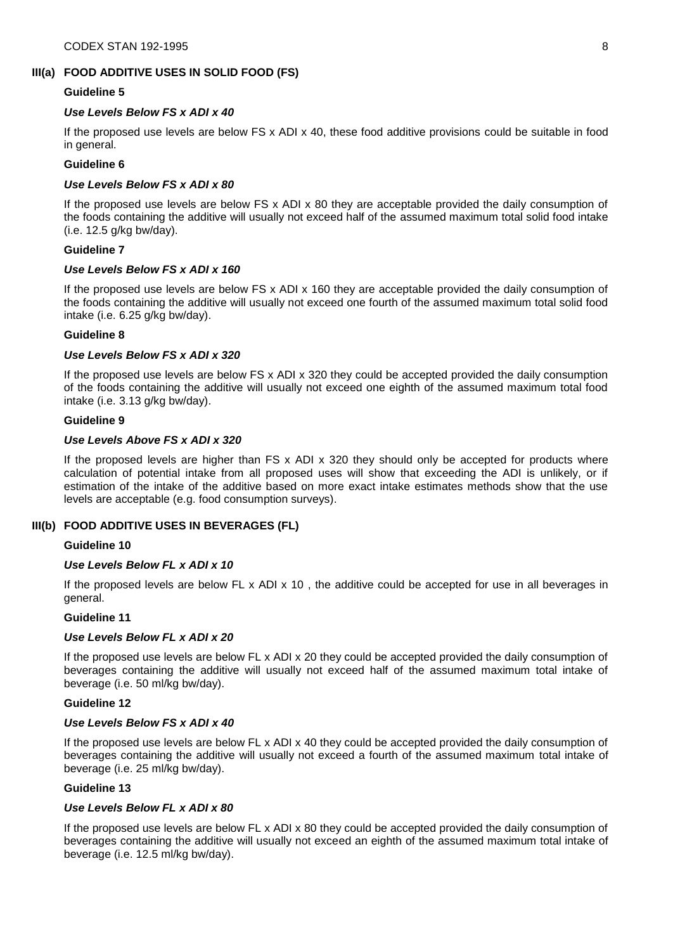#### **III(a) FOOD ADDITIVE USES IN SOLID FOOD (FS)**

#### **Guideline 5**

#### *Use Levels Below FS x ADI x 40*

If the proposed use levels are below FS x ADI x 40, these food additive provisions could be suitable in food in general.

#### **Guideline 6**

#### *Use Levels Below FS x ADI x 80*

If the proposed use levels are below FS x ADI x 80 they are acceptable provided the daily consumption of the foods containing the additive will usually not exceed half of the assumed maximum total solid food intake (i.e. 12.5 g/kg bw/day).

#### **Guideline 7**

#### *Use Levels Below FS x ADI x 160*

If the proposed use levels are below FS x ADI x 160 they are acceptable provided the daily consumption of the foods containing the additive will usually not exceed one fourth of the assumed maximum total solid food intake (i.e. 6.25 g/kg bw/day).

#### **Guideline 8**

#### *Use Levels Below FS x ADI x 320*

If the proposed use levels are below FS x ADI x 320 they could be accepted provided the daily consumption of the foods containing the additive will usually not exceed one eighth of the assumed maximum total food intake (i.e. 3.13 g/kg bw/day).

## **Guideline 9**

### *Use Levels Above FS x ADI x 320*

If the proposed levels are higher than  $FS \times ADI \times 320$  they should only be accepted for products where calculation of potential intake from all proposed uses will show that exceeding the ADI is unlikely, or if estimation of the intake of the additive based on more exact intake estimates methods show that the use levels are acceptable (e.g. food consumption surveys).

#### **III(b) FOOD ADDITIVE USES IN BEVERAGES (FL)**

#### **Guideline 10**

### *Use Levels Below FL x ADI x 10*

If the proposed levels are below FL x ADI x 10 , the additive could be accepted for use in all beverages in general.

#### **Guideline 11**

### *Use Levels Below FL x ADI x 20*

If the proposed use levels are below FL x ADI x 20 they could be accepted provided the daily consumption of beverages containing the additive will usually not exceed half of the assumed maximum total intake of beverage (i.e. 50 ml/kg bw/day).

#### **Guideline 12**

#### *Use Levels Below FS x ADI x 40*

If the proposed use levels are below FL x ADI x 40 they could be accepted provided the daily consumption of beverages containing the additive will usually not exceed a fourth of the assumed maximum total intake of beverage (i.e. 25 ml/kg bw/day).

#### **Guideline 13**

#### *Use Levels Below FL x ADI x 80*

If the proposed use levels are below FL x ADI x 80 they could be accepted provided the daily consumption of beverages containing the additive will usually not exceed an eighth of the assumed maximum total intake of beverage (i.e. 12.5 ml/kg bw/day).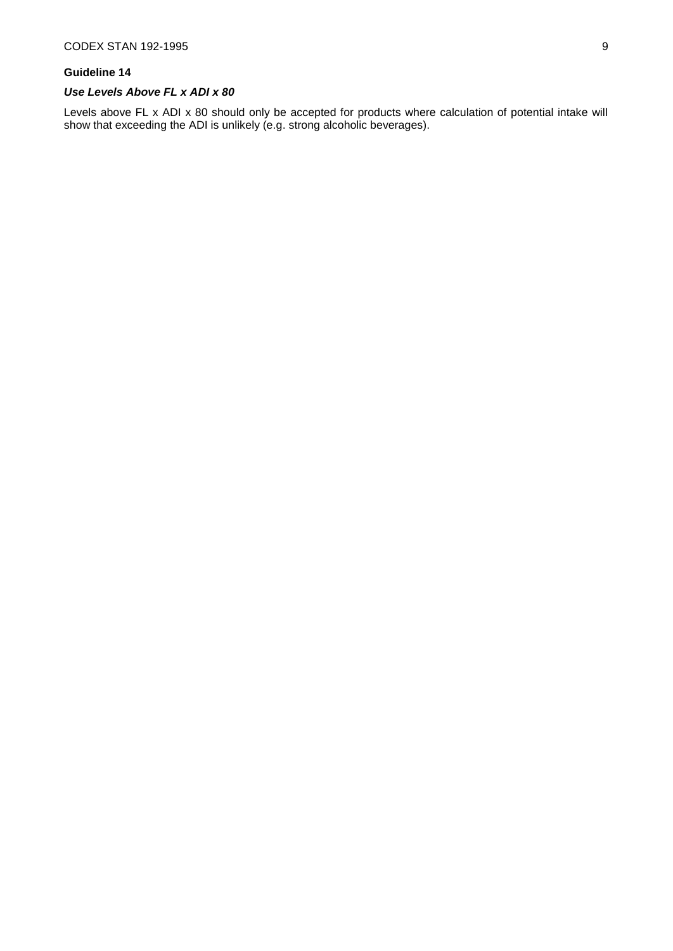## **Guideline 14**

#### *Use Levels Above FL x ADI x 80*

Levels above FL x ADI x 80 should only be accepted for products where calculation of potential intake will show that exceeding the ADI is unlikely (e.g. strong alcoholic beverages).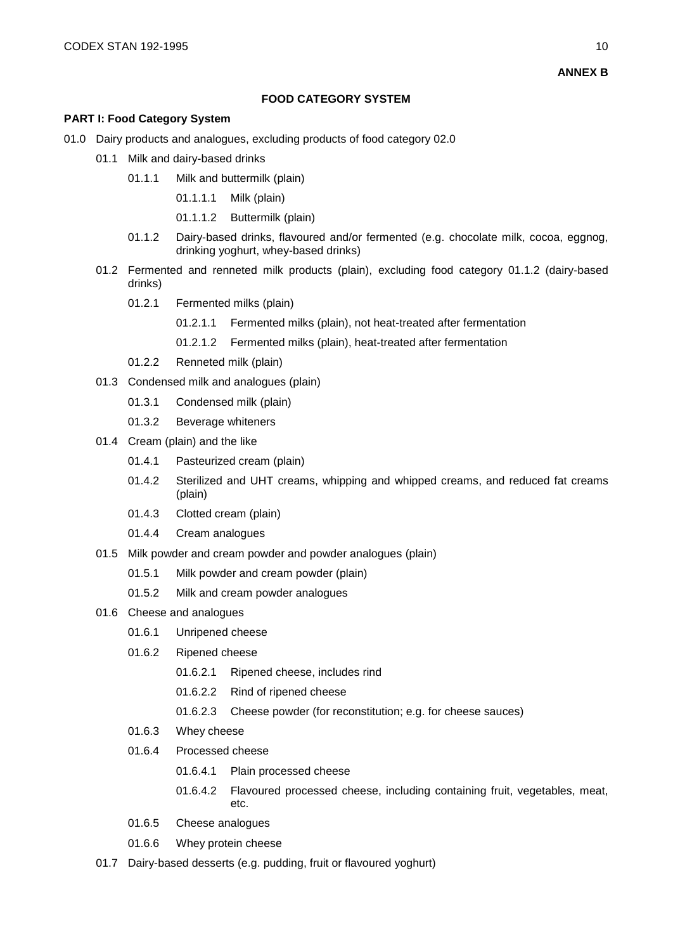## **FOOD CATEGORY SYSTEM**

#### **PART I: Food Category System**

- 01.0 Dairy products and analogues, excluding products of food category 02.0
	- 01.1 Milk and dairy-based drinks
		- 01.1.1 Milk and buttermilk (plain)
			- 01.1.1.1 Milk (plain)
			- 01.1.1.2 Buttermilk (plain)
		- 01.1.2 Dairy-based drinks, flavoured and/or fermented (e.g. chocolate milk, cocoa, eggnog, drinking yoghurt, whey-based drinks)
	- 01.2 Fermented and renneted milk products (plain), excluding food category 01.1.2 (dairy-based drinks)
		- 01.2.1 Fermented milks (plain)
			- 01.2.1.1 Fermented milks (plain), not heat-treated after fermentation
			- 01.2.1.2 Fermented milks (plain), heat-treated after fermentation
		- 01.2.2 Renneted milk (plain)
	- 01.3 Condensed milk and analogues (plain)
		- 01.3.1 Condensed milk (plain)
		- 01.3.2 Beverage whiteners
	- 01.4 Cream (plain) and the like
		- 01.4.1 Pasteurized cream (plain)
		- 01.4.2 Sterilized and UHT creams, whipping and whipped creams, and reduced fat creams (plain)
		- 01.4.3 Clotted cream (plain)
		- 01.4.4 Cream analogues
	- 01.5 Milk powder and cream powder and powder analogues (plain)
		- 01.5.1 Milk powder and cream powder (plain)
		- 01.5.2 Milk and cream powder analogues
	- 01.6 Cheese and analogues
		- 01.6.1 Unripened cheese
		- 01.6.2 Ripened cheese
			- 01.6.2.1 Ripened cheese, includes rind
			- 01.6.2.2 Rind of ripened cheese
			- 01.6.2.3 Cheese powder (for reconstitution; e.g. for cheese sauces)
		- 01.6.3 Whey cheese
		- 01.6.4 Processed cheese
			- 01.6.4.1 Plain processed cheese
			- 01.6.4.2 Flavoured processed cheese, including containing fruit, vegetables, meat, etc.
		- 01.6.5 Cheese analogues
		- 01.6.6 Whey protein cheese
	- 01.7 Dairy-based desserts (e.g. pudding, fruit or flavoured yoghurt)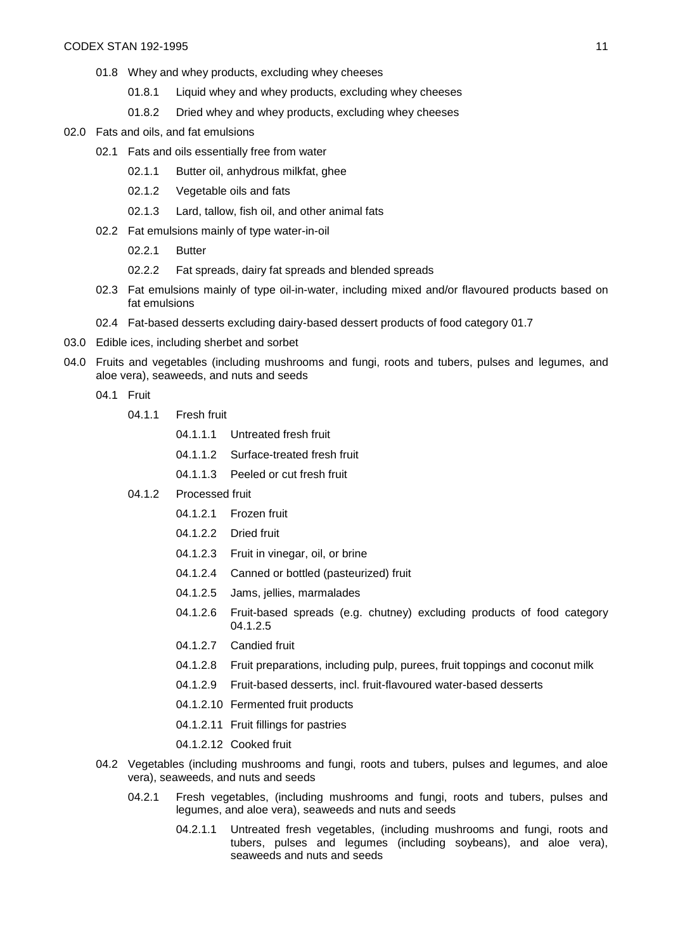- 01.8 Whey and whey products, excluding whey cheeses
	- 01.8.1 Liquid whey and whey products, excluding whey cheeses
	- 01.8.2 Dried whey and whey products, excluding whey cheeses
- 02.0 Fats and oils, and fat emulsions
	- 02.1 Fats and oils essentially free from water
		- 02.1.1 Butter oil, anhydrous milkfat, ghee
		- 02.1.2 Vegetable oils and fats
		- 02.1.3 Lard, tallow, fish oil, and other animal fats
	- 02.2 Fat emulsions mainly of type water-in-oil
		- 02.2.1 Butter
		- 02.2.2 Fat spreads, dairy fat spreads and blended spreads
	- 02.3 Fat emulsions mainly of type oil-in-water, including mixed and/or flavoured products based on fat emulsions
	- 02.4 Fat-based desserts excluding dairy-based dessert products of food category 01.7
- 03.0 Edible ices, including sherbet and sorbet
- 04.0 Fruits and vegetables (including mushrooms and fungi, roots and tubers, pulses and legumes, and aloe vera), seaweeds, and nuts and seeds
	- 04.1 Fruit
		- 04.1.1 Fresh fruit
			- 04.1.1.1 Untreated fresh fruit
			- 04.1.1.2 Surface-treated fresh fruit
			- 04.1.1.3 Peeled or cut fresh fruit
		- 04.1.2 Processed fruit
			- 04.1.2.1 Frozen fruit
			- 04.1.2.2 Dried fruit
			- 04.1.2.3 Fruit in vinegar, oil, or brine
			- 04.1.2.4 Canned or bottled (pasteurized) fruit
			- 04.1.2.5 Jams, jellies, marmalades
			- 04.1.2.6 Fruit-based spreads (e.g. chutney) excluding products of food category 04.1.2.5
			- 04.1.2.7 Candied fruit
			- 04.1.2.8 Fruit preparations, including pulp, purees, fruit toppings and coconut milk
			- 04.1.2.9 Fruit-based desserts, incl. fruit-flavoured water-based desserts
			- 04.1.2.10 Fermented fruit products
			- 04.1.2.11 Fruit fillings for pastries
			- 04.1.2.12 Cooked fruit
	- 04.2 Vegetables (including mushrooms and fungi, roots and tubers, pulses and legumes, and aloe vera), seaweeds, and nuts and seeds
		- 04.2.1 Fresh vegetables, (including mushrooms and fungi, roots and tubers, pulses and legumes, and aloe vera), seaweeds and nuts and seeds
			- 04.2.1.1 Untreated fresh vegetables, (including mushrooms and fungi, roots and tubers, pulses and legumes (including soybeans), and aloe vera), seaweeds and nuts and seeds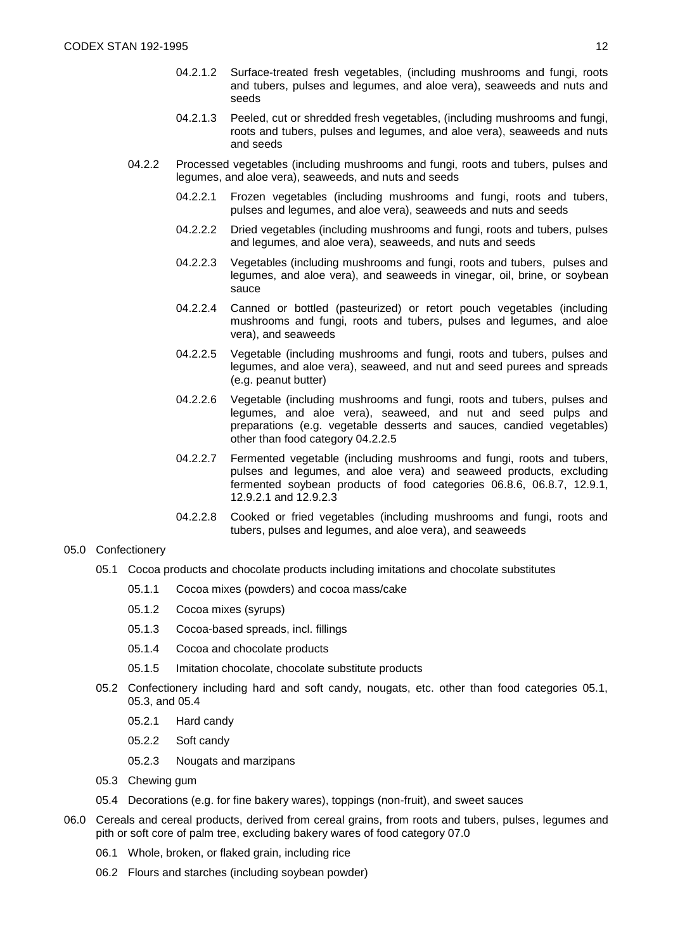- 04.2.1.2 Surface-treated fresh vegetables, (including mushrooms and fungi, roots and tubers, pulses and legumes, and aloe vera), seaweeds and nuts and seeds
- 04.2.1.3 Peeled, cut or shredded fresh vegetables, (including mushrooms and fungi, roots and tubers, pulses and legumes, and aloe vera), seaweeds and nuts and seeds
- 04.2.2 Processed vegetables (including mushrooms and fungi, roots and tubers, pulses and legumes, and aloe vera), seaweeds, and nuts and seeds
	- 04.2.2.1 Frozen vegetables (including mushrooms and fungi, roots and tubers, pulses and legumes, and aloe vera), seaweeds and nuts and seeds
	- 04.2.2.2 Dried vegetables (including mushrooms and fungi, roots and tubers, pulses and legumes, and aloe vera), seaweeds, and nuts and seeds
	- 04.2.2.3 Vegetables (including mushrooms and fungi, roots and tubers, pulses and legumes, and aloe vera), and seaweeds in vinegar, oil, brine, or soybean sauce
	- 04.2.2.4 Canned or bottled (pasteurized) or retort pouch vegetables (including mushrooms and fungi, roots and tubers, pulses and legumes, and aloe vera), and seaweeds
	- 04.2.2.5 Vegetable (including mushrooms and fungi, roots and tubers, pulses and legumes, and aloe vera), seaweed, and nut and seed purees and spreads (e.g. peanut butter)
	- 04.2.2.6 Vegetable (including mushrooms and fungi, roots and tubers, pulses and legumes, and aloe vera), seaweed, and nut and seed pulps and preparations (e.g. vegetable desserts and sauces, candied vegetables) other than food category 04.2.2.5
	- 04.2.2.7 Fermented vegetable (including mushrooms and fungi, roots and tubers, pulses and legumes, and aloe vera) and seaweed products, excluding fermented soybean products of food categories 06.8.6, 06.8.7, 12.9.1, 12.9.2.1 and 12.9.2.3
	- 04.2.2.8 Cooked or fried vegetables (including mushrooms and fungi, roots and tubers, pulses and legumes, and aloe vera), and seaweeds

### 05.0 Confectionery

- 05.1 Cocoa products and chocolate products including imitations and chocolate substitutes
	- 05.1.1 Cocoa mixes (powders) and cocoa mass/cake
	- 05.1.2 Cocoa mixes (syrups)
	- 05.1.3 Cocoa-based spreads, incl. fillings
	- 05.1.4 Cocoa and chocolate products
	- 05.1.5 Imitation chocolate, chocolate substitute products
- 05.2 Confectionery including hard and soft candy, nougats, etc. other than food categories 05.1, 05.3, and 05.4
	- 05.2.1 Hard candy
	- 05.2.2 Soft candy
	- 05.2.3 Nougats and marzipans
- 05.3 Chewing gum
- 05.4 Decorations (e.g. for fine bakery wares), toppings (non-fruit), and sweet sauces
- 06.0 Cereals and cereal products, derived from cereal grains, from roots and tubers, pulses, legumes and pith or soft core of palm tree, excluding bakery wares of food category 07.0
	- 06.1 Whole, broken, or flaked grain, including rice
	- 06.2 Flours and starches (including soybean powder)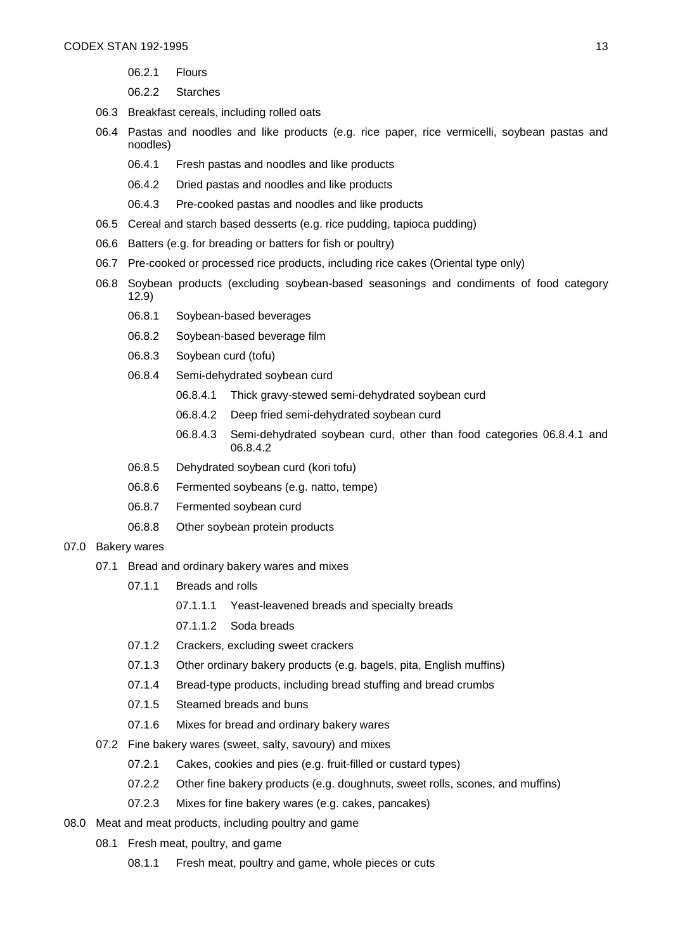- 06.2.1 Flours
- 06.2.2 Starches
- 06.3 Breakfast cereals, including rolled oats
- 06.4 Pastas and noodles and like products (e.g. rice paper, rice vermicelli, soybean pastas and noodles)
	- 06.4.1 Fresh pastas and noodles and like products
	- 06.4.2 Dried pastas and noodles and like products
	- 06.4.3 Pre-cooked pastas and noodles and like products
- 06.5 Cereal and starch based desserts (e.g. rice pudding, tapioca pudding)
- 06.6 Batters (e.g. for breading or batters for fish or poultry)
- 06.7 Pre-cooked or processed rice products, including rice cakes (Oriental type only)
- 06.8 Soybean products (excluding soybean-based seasonings and condiments of food category 12.9)
	- 06.8.1 Soybean-based beverages
	- 06.8.2 Soybean-based beverage film
	- 06.8.3 Soybean curd (tofu)
	- 06.8.4 Semi-dehydrated soybean curd
		- 06.8.4.1 Thick gravy-stewed semi-dehydrated soybean curd
		- 06.8.4.2 Deep fried semi-dehydrated soybean curd
		- 06.8.4.3 Semi-dehydrated soybean curd, other than food categories 06.8.4.1 and 06.8.4.2
	- 06.8.5 Dehydrated soybean curd (kori tofu)
	- 06.8.6 Fermented soybeans (e.g. natto, tempe)
	- 06.8.7 Fermented soybean curd
	- 06.8.8 Other soybean protein products

#### 07.0 Bakery wares

- 07.1 Bread and ordinary bakery wares and mixes
	- 07.1.1 Breads and rolls
		- 07.1.1.1 Yeast-leavened breads and specialty breads
		- 07.1.1.2 Soda breads
	- 07.1.2 Crackers, excluding sweet crackers
	- 07.1.3 Other ordinary bakery products (e.g. bagels, pita, English muffins)
	- 07.1.4 Bread-type products, including bread stuffing and bread crumbs
	- 07.1.5 Steamed breads and buns
	- 07.1.6 Mixes for bread and ordinary bakery wares
- 07.2 Fine bakery wares (sweet, salty, savoury) and mixes
	- 07.2.1 Cakes, cookies and pies (e.g. fruit-filled or custard types)
	- 07.2.2 Other fine bakery products (e.g. doughnuts, sweet rolls, scones, and muffins)
	- 07.2.3 Mixes for fine bakery wares (e.g. cakes, pancakes)
- 08.0 Meat and meat products, including poultry and game
	- 08.1 Fresh meat, poultry, and game
		- 08.1.1 Fresh meat, poultry and game, whole pieces or cuts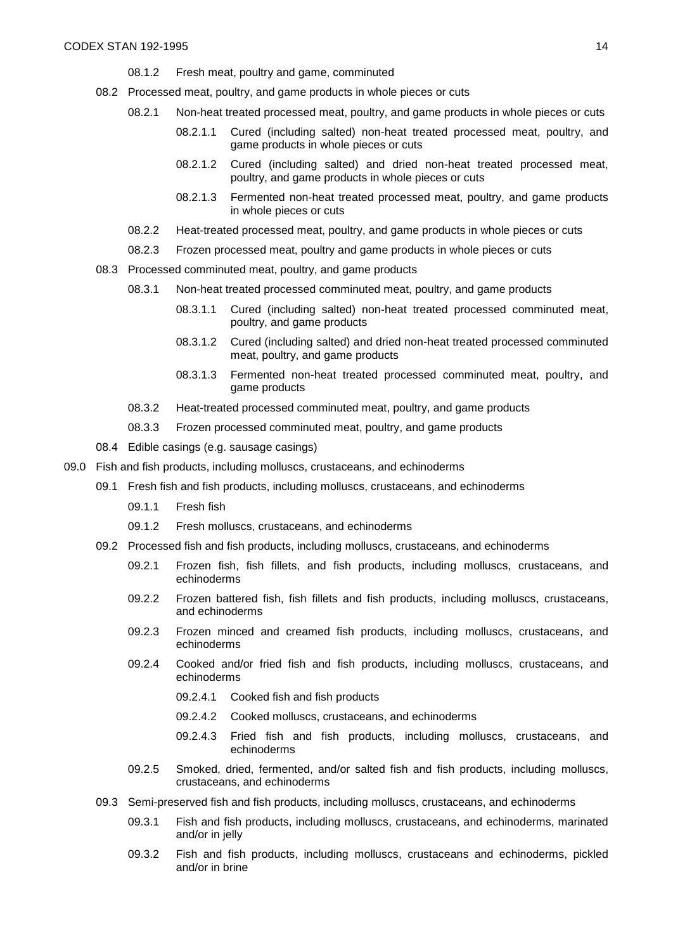- 08.1.2 Fresh meat, poultry and game, comminuted
- 08.2 Processed meat, poultry, and game products in whole pieces or cuts
	- 08.2.1 Non-heat treated processed meat, poultry, and game products in whole pieces or cuts
		- 08.2.1.1 Cured (including salted) non-heat treated processed meat, poultry, and game products in whole pieces or cuts
		- 08.2.1.2 Cured (including salted) and dried non-heat treated processed meat, poultry, and game products in whole pieces or cuts
		- 08.2.1.3 Fermented non-heat treated processed meat, poultry, and game products in whole pieces or cuts
	- 08.2.2 Heat-treated processed meat, poultry, and game products in whole pieces or cuts
	- 08.2.3 Frozen processed meat, poultry and game products in whole pieces or cuts
- 08.3 Processed comminuted meat, poultry, and game products
	- 08.3.1 Non-heat treated processed comminuted meat, poultry, and game products
		- 08.3.1.1 Cured (including salted) non-heat treated processed comminuted meat, poultry, and game products
		- 08.3.1.2 Cured (including salted) and dried non-heat treated processed comminuted meat, poultry, and game products
		- 08.3.1.3 Fermented non-heat treated processed comminuted meat, poultry, and game products
	- 08.3.2 Heat-treated processed comminuted meat, poultry, and game products
	- 08.3.3 Frozen processed comminuted meat, poultry, and game products
- 08.4 Edible casings (e.g. sausage casings)
- 09.0 Fish and fish products, including molluscs, crustaceans, and echinoderms
	- 09.1 Fresh fish and fish products, including molluscs, crustaceans, and echinoderms
		- 09.1.1 Fresh fish
		- 09.1.2 Fresh molluscs, crustaceans, and echinoderms
	- 09.2 Processed fish and fish products, including molluscs, crustaceans, and echinoderms
		- 09.2.1 Frozen fish, fish fillets, and fish products, including molluscs, crustaceans, and echinoderms
		- 09.2.2 Frozen battered fish, fish fillets and fish products, including molluscs, crustaceans, and echinoderms
		- 09.2.3 Frozen minced and creamed fish products, including molluscs, crustaceans, and echinoderms
		- 09.2.4 Cooked and/or fried fish and fish products, including molluscs, crustaceans, and echinoderms
			- 09.2.4.1 Cooked fish and fish products
			- 09.2.4.2 Cooked molluscs, crustaceans, and echinoderms
			- 09.2.4.3 Fried fish and fish products, including molluscs, crustaceans, and echinoderms
		- 09.2.5 Smoked, dried, fermented, and/or salted fish and fish products, including molluscs, crustaceans, and echinoderms
	- 09.3 Semi-preserved fish and fish products, including molluscs, crustaceans, and echinoderms
		- 09.3.1 Fish and fish products, including molluscs, crustaceans, and echinoderms, marinated and/or in jelly
		- 09.3.2 Fish and fish products, including molluscs, crustaceans and echinoderms, pickled and/or in brine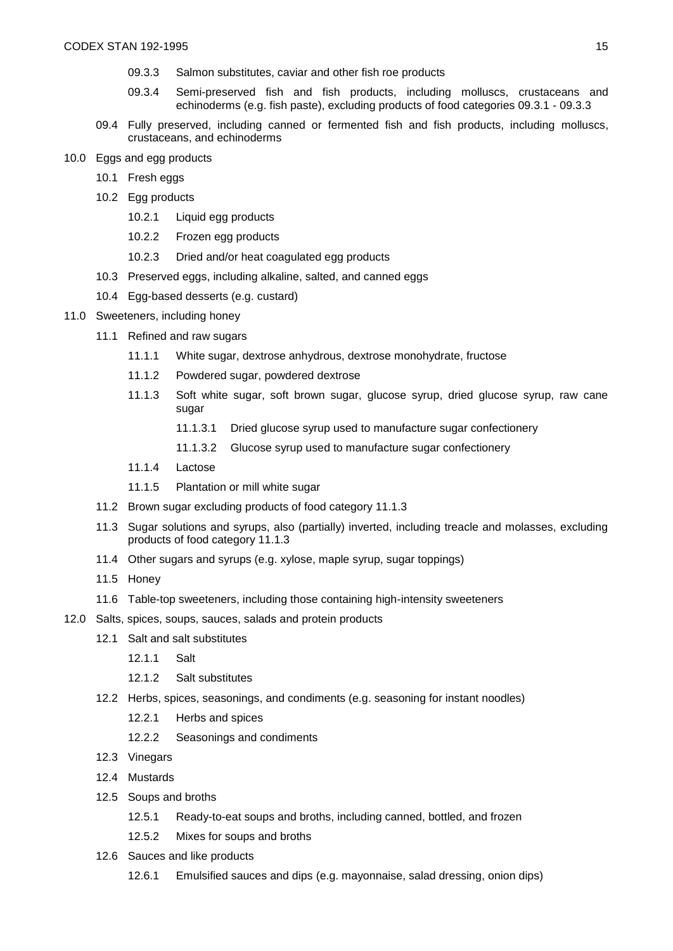- 09.3.3 Salmon substitutes, caviar and other fish roe products
- 09.3.4 Semi-preserved fish and fish products, including molluscs, crustaceans and echinoderms (e.g. fish paste), excluding products of food categories 09.3.1 - 09.3.3
- 09.4 Fully preserved, including canned or fermented fish and fish products, including molluscs, crustaceans, and echinoderms
- 10.0 Eggs and egg products
	- 10.1 Fresh eggs
	- 10.2 Egg products
		- 10.2.1 Liquid egg products
		- 10.2.2 Frozen egg products
		- 10.2.3 Dried and/or heat coagulated egg products
	- 10.3 Preserved eggs, including alkaline, salted, and canned eggs
	- 10.4 Egg-based desserts (e.g. custard)
- 11.0 Sweeteners, including honey
	- 11.1 Refined and raw sugars
		- 11.1.1 White sugar, dextrose anhydrous, dextrose monohydrate, fructose
		- 11.1.2 Powdered sugar, powdered dextrose
		- 11.1.3 Soft white sugar, soft brown sugar, glucose syrup, dried glucose syrup, raw cane sugar
			- 11.1.3.1 Dried glucose syrup used to manufacture sugar confectionery
			- 11.1.3.2 Glucose syrup used to manufacture sugar confectionery
		- 11.1.4 Lactose
		- 11.1.5 Plantation or mill white sugar
	- 11.2 Brown sugar excluding products of food category 11.1.3
	- 11.3 Sugar solutions and syrups, also (partially) inverted, including treacle and molasses, excluding products of food category 11.1.3
	- 11.4 Other sugars and syrups (e.g. xylose, maple syrup, sugar toppings)
	- 11.5 Honey
	- 11.6 Table-top sweeteners, including those containing high-intensity sweeteners
- 12.0 Salts, spices, soups, sauces, salads and protein products
	- 12.1 Salt and salt substitutes
		- 12.1.1 Salt
		- 12.1.2 Salt substitutes
	- 12.2 Herbs, spices, seasonings, and condiments (e.g. seasoning for instant noodles)
		- 12.2.1 Herbs and spices
		- 12.2.2 Seasonings and condiments
	- 12.3 Vinegars
	- 12.4 Mustards
	- 12.5 Soups and broths
		- 12.5.1 Ready-to-eat soups and broths, including canned, bottled, and frozen
		- 12.5.2 Mixes for soups and broths
	- 12.6 Sauces and like products
		- 12.6.1 Emulsified sauces and dips (e.g. mayonnaise, salad dressing, onion dips)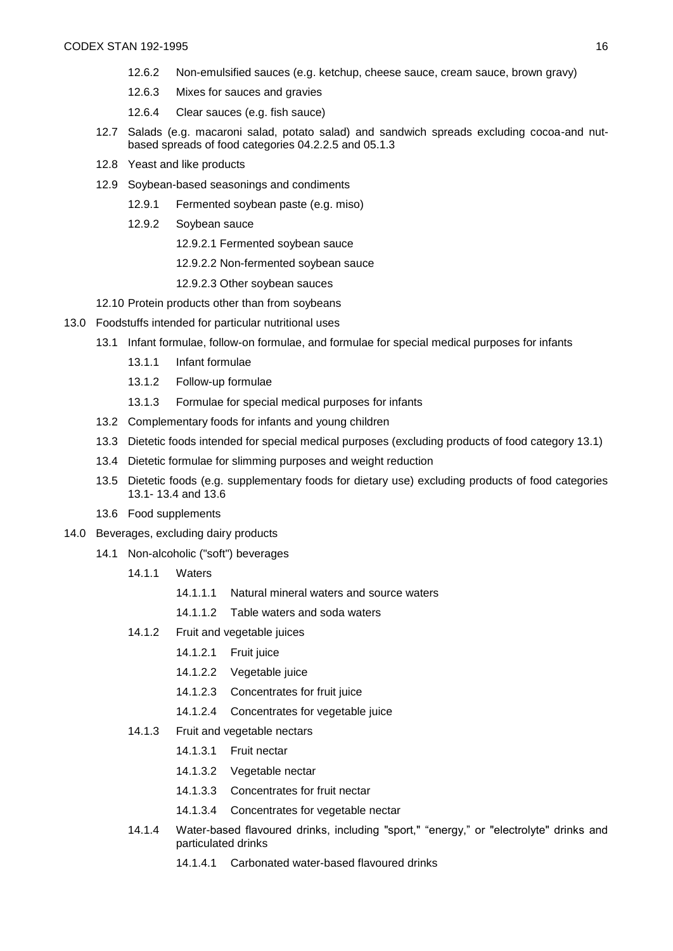- 12.6.2 Non-emulsified sauces (e.g. ketchup, cheese sauce, cream sauce, brown gravy)
- 12.6.3 Mixes for sauces and gravies
- 12.6.4 Clear sauces (e.g. fish sauce)
- 12.7 Salads (e.g. macaroni salad, potato salad) and sandwich spreads excluding cocoa-and nutbased spreads of food categories 04.2.2.5 and 05.1.3
- 12.8 Yeast and like products
- 12.9 Soybean-based seasonings and condiments
	- 12.9.1 Fermented soybean paste (e.g. miso)
	- 12.9.2 Soybean sauce
		- 12.9.2.1 Fermented soybean sauce
		- 12.9.2.2 Non-fermented soybean sauce
		- 12.9.2.3 Other soybean sauces
- 12.10 Protein products other than from soybeans
- 13.0 Foodstuffs intended for particular nutritional uses
	- 13.1 Infant formulae, follow-on formulae, and formulae for special medical purposes for infants
		- 13.1.1 Infant formulae
		- 13.1.2 Follow-up formulae
		- 13.1.3 Formulae for special medical purposes for infants
	- 13.2 Complementary foods for infants and young children
	- 13.3 Dietetic foods intended for special medical purposes (excluding products of food category 13.1)
	- 13.4 Dietetic formulae for slimming purposes and weight reduction
	- 13.5 Dietetic foods (e.g. supplementary foods for dietary use) excluding products of food categories 13.1- 13.4 and 13.6
	- 13.6 Food supplements
- 14.0 Beverages, excluding dairy products
	- 14.1 Non-alcoholic ("soft") beverages
		- 14.1.1 Waters
			- 14.1.1.1 Natural mineral waters and source waters
			- 14.1.1.2 Table waters and soda waters
		- 14.1.2 Fruit and vegetable juices
			- 14.1.2.1 Fruit juice
			- 14.1.2.2 Vegetable juice
			- 14.1.2.3 Concentrates for fruit juice
			- 14.1.2.4 Concentrates for vegetable juice
		- 14.1.3 Fruit and vegetable nectars
			- 14.1.3.1 Fruit nectar
			- 14.1.3.2 Vegetable nectar
			- 14.1.3.3 Concentrates for fruit nectar
			- 14.1.3.4 Concentrates for vegetable nectar
		- 14.1.4 Water-based flavoured drinks, including "sport," "energy," or "electrolyte" drinks and particulated drinks
			- 14.1.4.1 Carbonated water-based flavoured drinks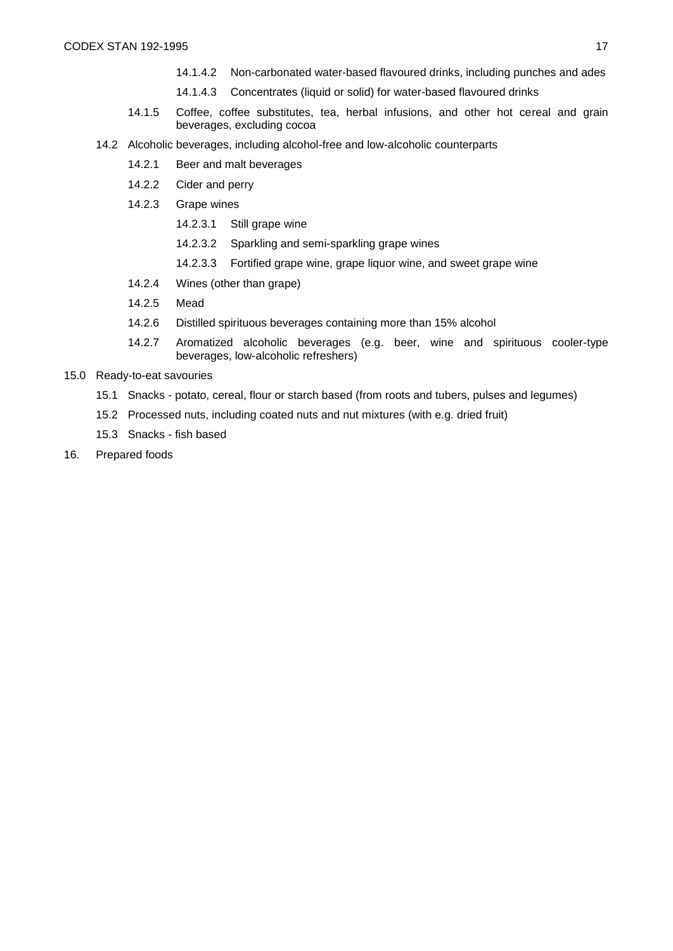- 14.1.4.2 Non-carbonated water-based flavoured drinks, including punches and ades
- 14.1.4.3 Concentrates (liquid or solid) for water-based flavoured drinks
- 14.1.5 Coffee, coffee substitutes, tea, herbal infusions, and other hot cereal and grain beverages, excluding cocoa
- 14.2 Alcoholic beverages, including alcohol-free and low-alcoholic counterparts
	- 14.2.1 Beer and malt beverages
	- 14.2.2 Cider and perry
	- 14.2.3 Grape wines
		- 14.2.3.1 Still grape wine
		- 14.2.3.2 Sparkling and semi-sparkling grape wines
		- 14.2.3.3 Fortified grape wine, grape liquor wine, and sweet grape wine
	- 14.2.4 Wines (other than grape)
	- 14.2.5 Mead
	- 14.2.6 Distilled spirituous beverages containing more than 15% alcohol
	- 14.2.7 Aromatized alcoholic beverages (e.g. beer, wine and spirituous cooler-type beverages, low-alcoholic refreshers)
- 15.0 Ready-to-eat savouries
	- 15.1 Snacks potato, cereal, flour or starch based (from roots and tubers, pulses and legumes)
	- 15.2 Processed nuts, including coated nuts and nut mixtures (with e.g. dried fruit)
	- 15.3 Snacks fish based
- 16. Prepared foods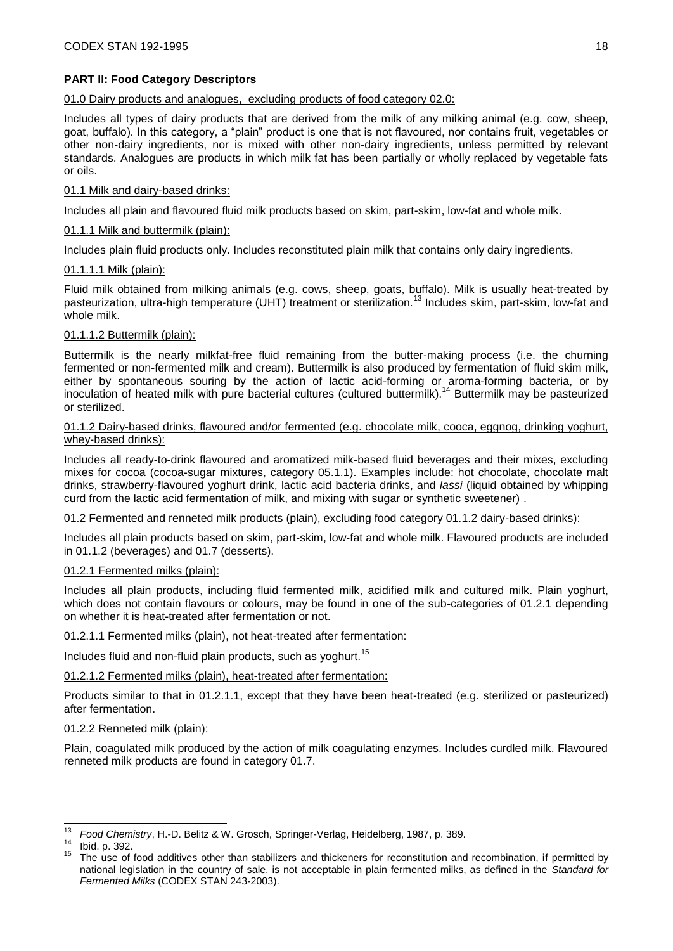## **PART II: Food Category Descriptors**

### 01.0 Dairy products and analogues, excluding products of food category 02.0:

Includes all types of dairy products that are derived from the milk of any milking animal (e.g. cow, sheep, goat, buffalo). In this category, a "plain" product is one that is not flavoured, nor contains fruit, vegetables or other non-dairy ingredients, nor is mixed with other non-dairy ingredients, unless permitted by relevant standards. Analogues are products in which milk fat has been partially or wholly replaced by vegetable fats or oils.

## 01.1 Milk and dairy-based drinks:

Includes all plain and flavoured fluid milk products based on skim, part-skim, low-fat and whole milk.

## 01.1.1 Milk and buttermilk (plain):

Includes plain fluid products only. Includes reconstituted plain milk that contains only dairy ingredients.

## 01.1.1.1 Milk (plain):

Fluid milk obtained from milking animals (e.g. cows, sheep, goats, buffalo). Milk is usually heat-treated by pasteurization, ultra-high temperature (UHT) treatment or sterilization.<sup>13</sup> Includes skim, part-skim, low-fat and whole milk.

## 01.1.1.2 Buttermilk (plain):

Buttermilk is the nearly milkfat-free fluid remaining from the butter-making process (i.e. the churning fermented or non-fermented milk and cream). Buttermilk is also produced by fermentation of fluid skim milk, either by spontaneous souring by the action of lactic acid-forming or aroma-forming bacteria, or by inoculation of heated milk with pure bacterial cultures (cultured buttermilk).<sup>14</sup> Buttermilk may be pasteurized or sterilized.

#### <span id="page-17-0"></span>01.1.2 Dairy-based drinks, flavoured and/or fermented (e.g. chocolate milk, cooca, eggnog, drinking yoghurt, whey-based drinks):

Includes all ready-to-drink flavoured and aromatized milk-based fluid beverages and their mixes, excluding mixes for cocoa (cocoa-sugar mixtures, category 05.1.1). Examples include: hot chocolate, chocolate malt drinks, strawberry-flavoured yoghurt drink, lactic acid bacteria drinks, and *lassi* (liquid obtained by whipping curd from the lactic acid fermentation of milk, and mixing with sugar or synthetic sweetener) .

01.2 Fermented and renneted milk products (plain), excluding food category 01.1.2 dairy-based drinks):

Includes all plain products based on skim, part-skim, low-fat and whole milk. Flavoured products are included in 01.1.2 (beverages) and 01.7 (desserts).

## 01.2.1 Fermented milks (plain):

Includes all plain products, including fluid fermented milk, acidified milk and cultured milk. Plain yoghurt, which does not contain flavours or colours, may be found in one of the sub-categories of 01.2.1 depending on whether it is heat-treated after fermentation or not.

## 01.2.1.1 Fermented milks (plain), not heat-treated after fermentation:

Includes fluid and non-fluid plain products, such as yoghurt.<sup>15</sup>

01.2.1.2 Fermented milks (plain), heat-treated after fermentation:

Products similar to that in 01.2.1.1, except that they have been heat-treated (e.g. sterilized or pasteurized) after fermentation.

#### 01.2.2 Renneted milk (plain):

Plain, coagulated milk produced by the action of milk coagulating enzymes. Includes curdled milk. Flavoured renneted milk products are found in category 01.7.

<sup>13</sup> <sup>13</sup> *Food Chemistry*, H.-D. Belitz & W. Grosch, Springer-Verlag, Heidelberg, 1987, p. 389.

 $^{14}$  Ibid. p. 392.

<sup>15</sup> The use of food additives other than stabilizers and thickeners for reconstitution and recombination, if permitted by national legislation in the country of sale, is not acceptable in plain fermented milks, as defined in the *Standard for Fermented Milks* (CODEX STAN 243-2003).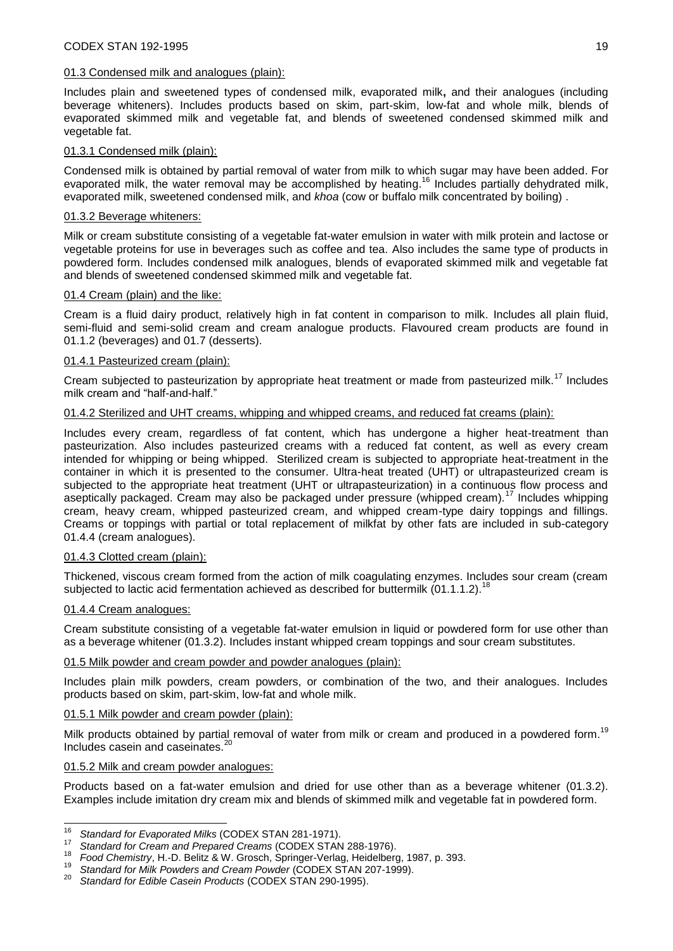## 01.3 Condensed milk and analogues (plain):

Includes plain and sweetened types of condensed milk, evaporated milk**,** and their analogues (including beverage whiteners). Includes products based on skim, part-skim, low-fat and whole milk, blends of evaporated skimmed milk and vegetable fat, and blends of sweetened condensed skimmed milk and vegetable fat.

## 01.3.1 Condensed milk (plain):

Condensed milk is obtained by partial removal of water from milk to which sugar may have been added. For evaporated milk, the water removal may be accomplished by heating.<sup>16</sup> Includes partially dehydrated milk, evaporated milk, sweetened condensed milk, and *khoa* (cow or buffalo milk concentrated by boiling) .

## 01.3.2 Beverage whiteners:

Milk or cream substitute consisting of a vegetable fat-water emulsion in water with milk protein and lactose or vegetable proteins for use in beverages such as coffee and tea. Also includes the same type of products in powdered form. Includes condensed milk analogues, blends of evaporated skimmed milk and vegetable fat and blends of sweetened condensed skimmed milk and vegetable fat.

## 01.4 Cream (plain) and the like:

Cream is a fluid dairy product, relatively high in fat content in comparison to milk. Includes all plain fluid, semi-fluid and semi-solid cream and cream analogue products. Flavoured cream products are found in 01.1.2 (beverages) and 01.7 (desserts).

## 01.4.1 Pasteurized cream (plain):

<span id="page-18-0"></span>Cream subjected to pasteurization by appropriate heat treatment or made from pasteurized milk.<sup>17</sup> Includes milk cream and "half-and-half."

## 01.4.2 Sterilized and UHT creams, whipping and whipped creams, and reduced fat creams (plain):

Includes every cream, regardless of fat content, which has undergone a higher heat-treatment than pasteurization. Also includes pasteurized creams with a reduced fat content, as well as every cream intended for whipping or being whipped. Sterilized cream is subjected to appropriate heat-treatment in the container in which it is presented to the consumer. Ultra-heat treated (UHT) or ultrapasteurized cream is subjected to the appropriate heat treatment (UHT or ultrapasteurization) in a continuous flow process and aseptically packaged. Cream may also be packaged under pressure (whipped cream).<sup>[17](#page-18-0)</sup> Includes whipping cream, heavy cream, whipped pasteurized cream, and whipped cream-type dairy toppings and fillings. Creams or toppings with partial or total replacement of milkfat by other fats are included in sub-category 01.4.4 (cream analogues).

#### 01.4.3 Clotted cream (plain):

Thickened, viscous cream formed from the action of milk coagulating enzymes. Includes sour cream (cream subjected to lactic acid fermentation achieved as described for buttermilk  $(01.1.1.2)$ .<sup>18</sup>

#### 01.4.4 Cream analogues:

Cream substitute consisting of a vegetable fat-water emulsion in liquid or powdered form for use other than as a beverage whitener (01.3.2). Includes instant whipped cream toppings and sour cream substitutes.

### 01.5 Milk powder and cream powder and powder analogues (plain):

Includes plain milk powders, cream powders, or combination of the two, and their analogues. Includes products based on skim, part-skim, low-fat and whole milk.

### 01.5.1 Milk powder and cream powder (plain):

Milk products obtained by partial removal of water from milk or cream and produced in a powdered form.<sup>19</sup> Includes casein and caseinates.<sup>20</sup>

### 01.5.2 Milk and cream powder analogues:

Products based on a fat-water emulsion and dried for use other than as a beverage whitener (01.3.2). Examples include imitation dry cream mix and blends of skimmed milk and vegetable fat in powdered form.

<sup>16</sup> <sup>16</sup> *Standard for Evaporated Milks* (CODEX STAN 281-1971).

<sup>17</sup> *Standard for Cream and Prepared Creams* (CODEX STAN 288-1976).

<sup>18</sup> *Food Chemistry*, H.-D. Belitz & W. Grosch, Springer-Verlag, Heidelberg, 1987, p. 393.

<sup>19</sup> *Standard for Milk Powders and Cream Powder* (CODEX STAN 207-1999).

<sup>20</sup> *Standard for Edible Casein Products* (CODEX STAN 290-1995).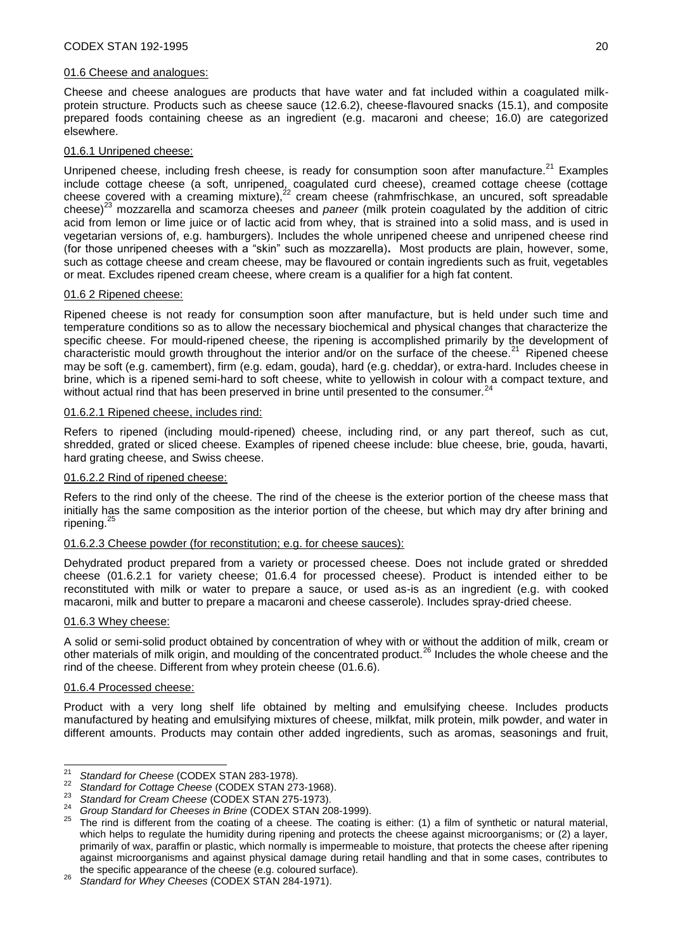#### 01.6 Cheese and analogues:

Cheese and cheese analogues are products that have water and fat included within a coagulated milkprotein structure. Products such as cheese sauce (12.6.2), cheese-flavoured snacks (15.1), and composite prepared foods containing cheese as an ingredient (e.g. macaroni and cheese; 16.0) are categorized elsewhere.

#### 01.6.1 Unripened cheese:

<span id="page-19-0"></span>Unripened cheese, including fresh cheese, is ready for consumption soon after manufacture.<sup>21</sup> Examples include cottage cheese (a soft, unripened, coagulated curd cheese), creamed cottage cheese (cottage cheese covered with a creaming mixture), $22$  cream cheese (rahmfrischkase, an uncured, soft spreadable cheese)<sup>23</sup> mozzarella and scamorza cheeses and *paneer* (milk protein coagulated by the addition of citric acid from lemon or lime juice or of lactic acid from whey, that is strained into a solid mass, and is used in vegetarian versions of, e.g. hamburgers). Includes the whole unripened cheese and unripened cheese rind (for those unripened cheeses with a "skin" such as mozzarella)**.** Most products are plain, however, some, such as cottage cheese and cream cheese, may be flavoured or contain ingredients such as fruit, vegetables or meat. Excludes ripened cream cheese, where cream is a qualifier for a high fat content.

## 01.6 2 Ripened cheese:

Ripened cheese is not ready for consumption soon after manufacture, but is held under such time and temperature conditions so as to allow the necessary biochemical and physical changes that characterize the specific cheese. For mould-ripened cheese, the ripening is accomplished primarily by the development of characteristic mould growth throughout the interior and/or on the surface of the cheese.<sup>21</sup> Ripened cheese may be soft (e.g. camembert), firm (e.g. edam, gouda), hard (e.g. cheddar), or extra-hard. Includes cheese in brine, which is a ripened semi-hard to soft cheese, white to yellowish in colour with a compact texture, and without actual rind that has been preserved in brine until presented to the consumer.<sup>24</sup>

#### 01.6.2.1 Ripened cheese, includes rind:

Refers to ripened (including mould-ripened) cheese, including rind, or any part thereof, such as cut, shredded, grated or sliced cheese. Examples of ripened cheese include: blue cheese, brie, gouda, havarti, hard grating cheese, and Swiss cheese.

#### 01.6.2.2 Rind of ripened cheese:

Refers to the rind only of the cheese. The rind of the cheese is the exterior portion of the cheese mass that initially has the same composition as the interior portion of the cheese, but which may dry after brining and ripening.<sup>25</sup>

### 01.6.2.3 Cheese powder (for reconstitution; e.g. for cheese sauces):

Dehydrated product prepared from a variety or processed cheese. Does not include grated or shredded cheese (01.6.2.1 for variety cheese; 01.6.4 for processed cheese). Product is intended either to be reconstituted with milk or water to prepare a sauce, or used as-is as an ingredient (e.g. with cooked macaroni, milk and butter to prepare a macaroni and cheese casserole). Includes spray-dried cheese.

### 01.6.3 Whey cheese:

<span id="page-19-1"></span>A solid or semi-solid product obtained by concentration of whey with or without the addition of milk, cream or other materials of milk origin, and moulding of the concentrated product.<sup>26</sup> Includes the whole cheese and the rind of the cheese. Different from whey protein cheese (01.6.6).

#### 01.6.4 Processed cheese:

Product with a very long shelf life obtained by melting and emulsifying cheese. Includes products manufactured by heating and emulsifying mixtures of cheese, milkfat, milk protein, milk powder, and water in different amounts. Products may contain other added ingredients, such as aromas, seasonings and fruit,

 $21$ <sup>21</sup> *Standard for Cheese* (CODEX STAN 283-1978).

Standard for Cottage Cheese (CODEX STAN 273-1968).

<sup>23</sup> *Standard for Cream Cheese* (CODEX STAN 275-1973).

<sup>24</sup> *Group Standard for Cheeses in Brine* (CODEX STAN 208-1999).

<sup>&</sup>lt;sup>25</sup> The rind is different from the coating of a cheese. The coating is either: (1) a film of synthetic or natural material, which helps to regulate the humidity during ripening and protects the cheese against microorganisms; or (2) a layer, primarily of wax, paraffin or plastic, which normally is impermeable to moisture, that protects the cheese after ripening against microorganisms and against physical damage during retail handling and that in some cases, contributes to the specific appearance of the cheese (e.g. coloured surface).

<sup>26</sup> *Standard for Whey Cheeses* (CODEX STAN 284-1971).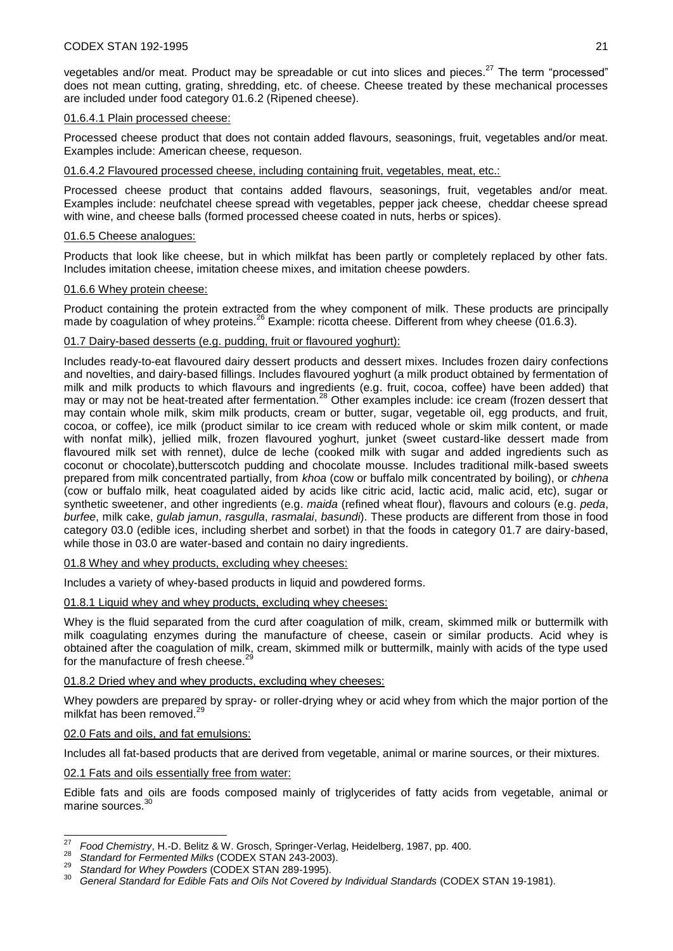vegetables and/or meat. Product may be spreadable or cut into slices and pieces.<sup>27</sup> The term "processed" does not mean cutting, grating, shredding, etc. of cheese. Cheese treated by these mechanical processes are included under food category 01.6.2 (Ripened cheese).

## 01.6.4.1 Plain processed cheese:

Processed cheese product that does not contain added flavours, seasonings, fruit, vegetables and/or meat. Examples include: American cheese, requeson.

## 01.6.4.2 Flavoured processed cheese, including containing fruit, vegetables, meat, etc.:

Processed cheese product that contains added flavours, seasonings, fruit, vegetables and/or meat. Examples include: neufchatel cheese spread with vegetables, pepper jack cheese, cheddar cheese spread with wine, and cheese balls (formed processed cheese coated in nuts, herbs or spices).

## 01.6.5 Cheese analogues:

Products that look like cheese, but in which milkfat has been partly or completely replaced by other fats. Includes imitation cheese, imitation cheese mixes, and imitation cheese powders.

## 01.6.6 Whey protein cheese:

Product containing the protein extracted from the whey component of milk. These products are principally made by coagulation of whey proteins.<sup>[26](#page-19-1)</sup> Example: ricotta cheese. Different from whey cheese (01.6.3).

## 01.7 Dairy-based desserts (e.g. pudding, fruit or flavoured yoghurt):

Includes ready-to-eat flavoured dairy dessert products and dessert mixes. Includes frozen dairy confections and novelties, and dairy-based fillings. Includes flavoured yoghurt (a milk product obtained by fermentation of milk and milk products to which flavours and ingredients (e.g. fruit, cocoa, coffee) have been added) that may or may not be heat-treated after fermentation.<sup>28</sup> Other examples include: ice cream (frozen dessert that may contain whole milk, skim milk products, cream or butter, sugar, vegetable oil, egg products, and fruit, cocoa, or coffee), ice milk (product similar to ice cream with reduced whole or skim milk content, or made with nonfat milk), jellied milk, frozen flavoured yoghurt, junket (sweet custard-like dessert made from flavoured milk set with rennet), dulce de leche (cooked milk with sugar and added ingredients such as coconut or chocolate),butterscotch pudding and chocolate mousse. Includes traditional milk-based sweets prepared from milk concentrated partially, from *khoa* (cow or buffalo milk concentrated by boiling), or *chhena* (cow or buffalo milk, heat coagulated aided by acids like citric acid, lactic acid, malic acid, etc), sugar or synthetic sweetener, and other ingredients (e.g. *maida* (refined wheat flour), flavours and colours (e.g. *peda*, *burfee*, milk cake, *gulab jamun*, *rasgulla*, *rasmalai*, *basundi*). These products are different from those in food category 03.0 (edible ices, including sherbet and sorbet) in that the foods in category 01.7 are dairy-based, while those in 03.0 are water-based and contain no dairy ingredients.

## 01.8 Whey and whey products, excluding whey cheeses:

Includes a variety of whey-based products in liquid and powdered forms.

## 01.8.1 Liquid whey and whey products, excluding whey cheeses:

Whey is the fluid separated from the curd after coagulation of milk, cream, skimmed milk or buttermilk with milk coagulating enzymes during the manufacture of cheese, casein or similar products. Acid whey is obtained after the coagulation of milk, cream, skimmed milk or buttermilk, mainly with acids of the type used for the manufacture of fresh cheese.<sup>29</sup>

## <span id="page-20-0"></span>01.8.2 Dried whey and whey products, excluding whey cheeses:

Whey powders are prepared by spray- or roller-drying whey or acid whey from which the major portion of the milkfat has been removed.<sup>[29](#page-20-0)</sup>

## 02.0 Fats and oils, and fat emulsions:

Includes all fat-based products that are derived from vegetable, animal or marine sources, or their mixtures.

02.1 Fats and oils essentially free from water:

<span id="page-20-1"></span>Edible fats and oils are foods composed mainly of triglycerides of fatty acids from vegetable, animal or marine sources.<sup>3</sup>

 $27$ <sup>27</sup> Food Chemistry, H.-D. Belitz & W. Grosch, Springer-Verlag, Heidelberg, 1987, pp. 400.

<sup>&</sup>lt;sup>28</sup> Standard for Fermented Milks (CODEX STAN 243-2003).

<sup>&</sup>lt;sup>29</sup> Standard for Whey Powders (CODEX STAN 289-1995).<br><sup>30</sup> Conoral Standard for Edible Eats and Oile Not Covered.

<sup>30</sup> *General Standard for Edible Fats and Oils Not Covered by Individual Standards* (CODEX STAN 19-1981).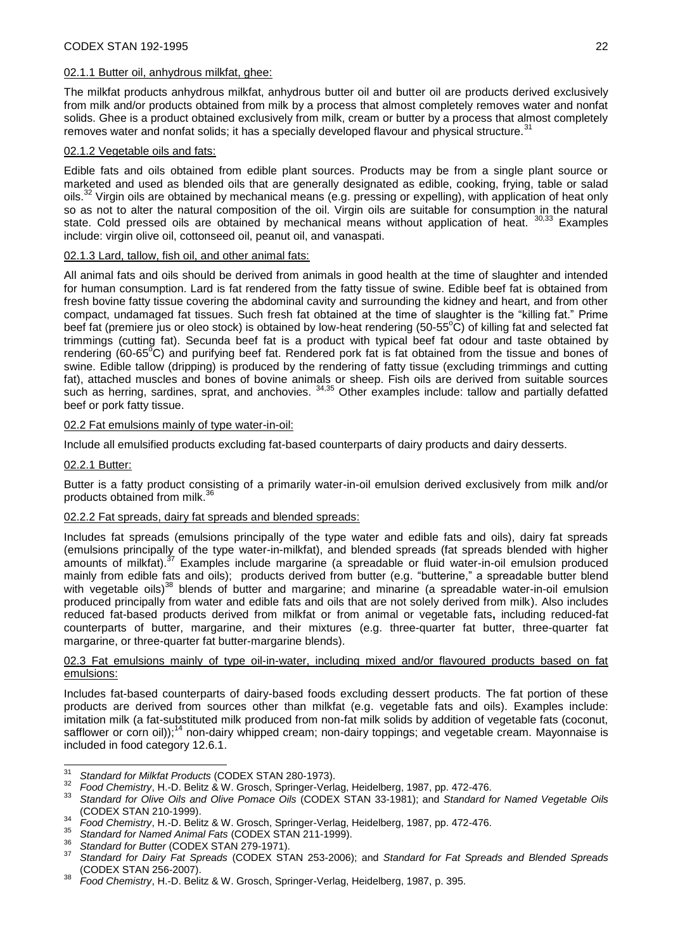## 02.1.1 Butter oil, anhydrous milkfat, ghee:

The milkfat products anhydrous milkfat, anhydrous butter oil and butter oil are products derived exclusively from milk and/or products obtained from milk by a process that almost completely removes water and nonfat solids. Ghee is a product obtained exclusively from milk, cream or butter by a process that almost completely removes water and nonfat solids; it has a specially developed flavour and physical structure.<sup>31</sup>

## 02.1.2 Vegetable oils and fats:

Edible fats and oils obtained from edible plant sources. Products may be from a single plant source or marketed and used as blended oils that are generally designated as edible, cooking, frying, table or salad oils.<sup>32</sup> Virgin oils are obtained by mechanical means (e.g. pressing or expelling), with application of heat only so as not to alter the natural composition of the oil. Virgin oils are suitable for consumption in the natural state. Cold pressed oils are obtained by mechanical means without application of heat. [30,3](#page-20-1)3 Examples include: virgin olive oil, cottonseed oil, peanut oil, and vanaspati.

### 02.1.3 Lard, tallow, fish oil, and other animal fats:

All animal fats and oils should be derived from animals in good health at the time of slaughter and intended for human consumption. Lard is fat rendered from the fatty tissue of swine. Edible beef fat is obtained from fresh bovine fatty tissue covering the abdominal cavity and surrounding the kidney and heart, and from other compact, undamaged fat tissues. Such fresh fat obtained at the time of slaughter is the "killing fat." Prime beef fat (premiere jus or oleo stock) is obtained by low-heat rendering (50-55°C) of killing fat and selected fat trimmings (cutting fat). Secunda beef fat is a product with typical beef fat odour and taste obtained by rendering (60-65 $^{\circ}$ C) and purifying beef fat. Rendered pork fat is fat obtained from the tissue and bones of swine. Edible tallow (dripping) is produced by the rendering of fatty tissue (excluding trimmings and cutting fat), attached muscles and bones of bovine animals or sheep. Fish oils are derived from suitable sources such as herring, sardines, sprat, and anchovies. <sup>34,35</sup> Other examples include: tallow and partially defatted beef or pork fatty tissue.

## 02.2 Fat emulsions mainly of type water-in-oil:

Include all emulsified products excluding fat-based counterparts of dairy products and dairy desserts.

## 02.2.1 Butter:

Butter is a fatty product consisting of a primarily water-in-oil emulsion derived exclusively from milk and/or products obtained from milk.<sup>3</sup>

## 02.2.2 Fat spreads, dairy fat spreads and blended spreads:

Includes fat spreads (emulsions principally of the type water and edible fats and oils), dairy fat spreads (emulsions principally of the type water-in-milkfat), and blended spreads (fat spreads blended with higher amounts of milkfat).<sup>37</sup> Examples include margarine (a spreadable or fluid water-in-oil emulsion produced mainly from edible fats and oils); products derived from butter (e.g. "butterine," a spreadable butter blend with vegetable oils)<sup>38</sup> blends of butter and margarine; and minarine (a spreadable water-in-oil emulsion produced principally from water and edible fats and oils that are not solely derived from milk). Also includes reduced fat-based products derived from milkfat or from animal or vegetable fats**,** including reduced-fat counterparts of butter, margarine, and their mixtures (e.g. three-quarter fat butter, three-quarter fat margarine, or three-quarter fat butter-margarine blends).

## 02.3 Fat emulsions mainly of type oil-in-water, including mixed and/or flavoured products based on fat emulsions:

Includes fat-based counterparts of dairy-based foods excluding dessert products. The fat portion of these products are derived from sources other than milkfat (e.g. vegetable fats and oils). Examples include: imitation milk (a fat-substituted milk produced from non-fat milk solids by addition of vegetable fats (coconut, safflower or corn oil);<sup>[14](#page-17-0)</sup> non-dairy whipped cream; non-dairy toppings; and vegetable cream. Mayonnaise is included in food category 12.6.1.

 $31$ <sup>31</sup> *Standard for Milkfat Products* (CODEX STAN 280-1973).

<sup>32</sup> *Food Chemistry*, H.-D. Belitz & W. Grosch, Springer-Verlag, Heidelberg, 1987, pp. 472-476.

<sup>33</sup> *Standard for Olive Oils and Olive Pomace Oils* (CODEX STAN 33-1981); and *Standard for Named Vegetable Oils* (CODEX STAN 210-1999).

<sup>34</sup> *Food Chemistry*, H.-D. Belitz & W. Grosch, Springer-Verlag, Heidelberg, 1987, pp. 472-476.

<sup>35</sup> *Standard for Named Animal Fats* (CODEX STAN 211-1999).

<sup>36</sup> *Standard for Butter* (CODEX STAN 279-1971).

<sup>37</sup> *Standard for Dairy Fat Spreads* (CODEX STAN 253-2006); and *Standard for Fat Spreads and Blended Spreads* (CODEX STAN 256-2007).

<sup>38</sup> *Food Chemistry*, H.-D. Belitz & W. Grosch, Springer-Verlag, Heidelberg, 1987, p. 395.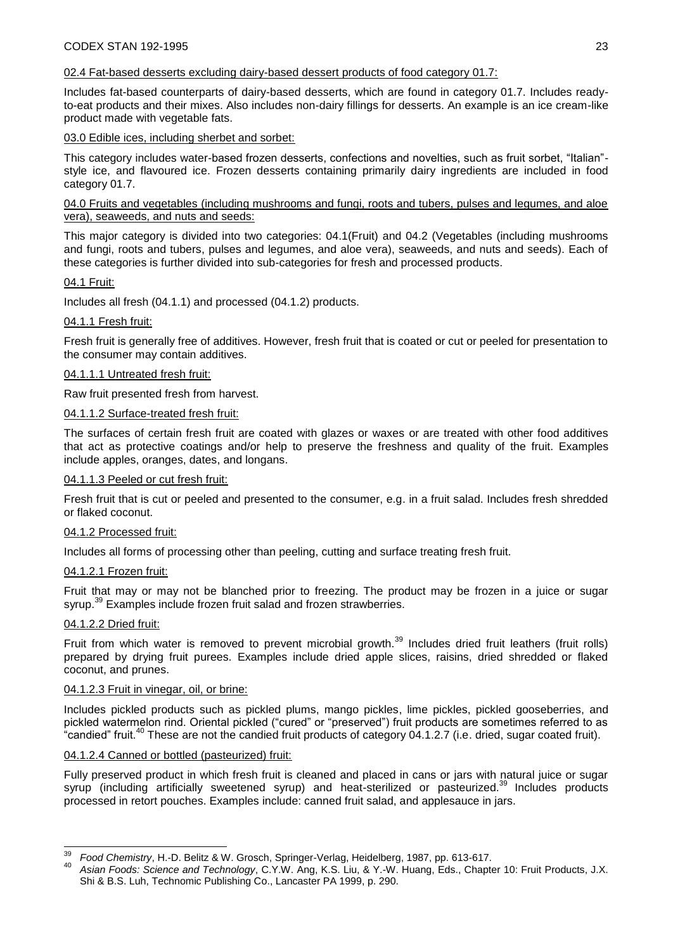## 02.4 Fat-based desserts excluding dairy-based dessert products of food category 01.7:

Includes fat-based counterparts of dairy-based desserts, which are found in category 01.7. Includes readyto-eat products and their mixes. Also includes non-dairy fillings for desserts. An example is an ice cream-like product made with vegetable fats.

## 03.0 Edible ices, including sherbet and sorbet:

This category includes water-based frozen desserts, confections and novelties, such as fruit sorbet, "Italian" style ice, and flavoured ice. Frozen desserts containing primarily dairy ingredients are included in food category 01.7.

## 04.0 Fruits and vegetables (including mushrooms and fungi, roots and tubers, pulses and legumes, and aloe vera), seaweeds, and nuts and seeds:

This major category is divided into two categories: 04.1(Fruit) and 04.2 (Vegetables (including mushrooms and fungi, roots and tubers, pulses and legumes, and aloe vera), seaweeds, and nuts and seeds). Each of these categories is further divided into sub-categories for fresh and processed products.

## 04.1 Fruit:

Includes all fresh (04.1.1) and processed (04.1.2) products.

## 04.1.1 Fresh fruit:

Fresh fruit is generally free of additives. However, fresh fruit that is coated or cut or peeled for presentation to the consumer may contain additives.

## 04.1.1.1 Untreated fresh fruit:

Raw fruit presented fresh from harvest.

## 04.1.1.2 Surface-treated fresh fruit:

The surfaces of certain fresh fruit are coated with glazes or waxes or are treated with other food additives that act as protective coatings and/or help to preserve the freshness and quality of the fruit. Examples include apples, oranges, dates, and longans.

## 04.1.1.3 Peeled or cut fresh fruit:

Fresh fruit that is cut or peeled and presented to the consumer, e.g. in a fruit salad. Includes fresh shredded or flaked coconut.

## 04.1.2 Processed fruit:

Includes all forms of processing other than peeling, cutting and surface treating fresh fruit.

## 04.1.2.1 Frozen fruit:

<span id="page-22-0"></span>Fruit that may or may not be blanched prior to freezing. The product may be frozen in a juice or sugar syrup.<sup>39</sup> Examples include frozen fruit salad and frozen strawberries.

## 04.1.2.2 Dried fruit:

Fruit from which water is removed to prevent microbial growth.<sup>[39](#page-22-0)</sup> Includes dried fruit leathers (fruit rolls) prepared by drying fruit purees. Examples include dried apple slices, raisins, dried shredded or flaked coconut, and prunes.

### 04.1.2.3 Fruit in vinegar, oil, or brine:

Includes pickled products such as pickled plums, mango pickles, lime pickles, pickled gooseberries, and pickled watermelon rind. Oriental pickled ("cured" or "preserved") fruit products are sometimes referred to as "candied" fruit.<sup>40</sup> These are not the candied fruit products of category 04.1.2.7 (i.e. dried, sugar coated fruit).

## 04.1.2.4 Canned or bottled (pasteurized) fruit:

Fully preserved product in which fresh fruit is cleaned and placed in cans or jars with natural juice or sugar syrup (including artificially sweetened syrup) and heat-sterilized or pasteurized.<sup>[39](#page-22-0)</sup> Includes products processed in retort pouches. Examples include: canned fruit salad, and applesauce in jars.

<sup>39</sup> <sup>39</sup> *Food Chemistry*, H.-D. Belitz & W. Grosch, Springer-Verlag, Heidelberg, 1987, pp. 613-617.

<sup>40</sup> *Asian Foods: Science and Technology*, C.Y.W. Ang, K.S. Liu, & Y.-W. Huang, Eds., Chapter 10: Fruit Products, J.X. Shi & B.S. Luh, Technomic Publishing Co., Lancaster PA 1999, p. 290.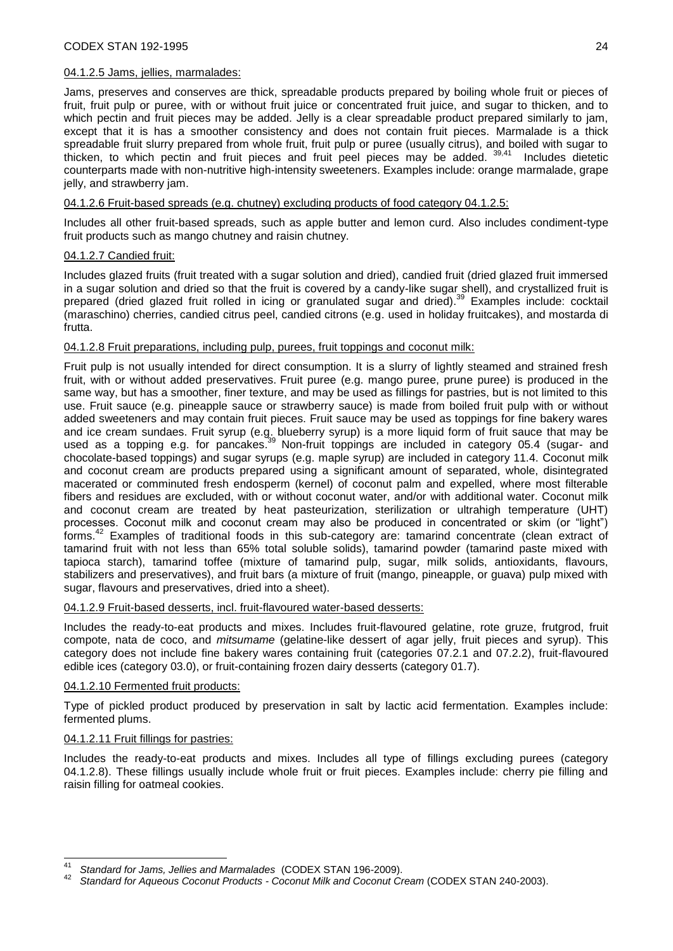#### 04.1.2.5 Jams, jellies, marmalades:

Jams, preserves and conserves are thick, spreadable products prepared by boiling whole fruit or pieces of fruit, fruit pulp or puree, with or without fruit juice or concentrated fruit juice, and sugar to thicken, and to which pectin and fruit pieces may be added. Jelly is a clear spreadable product prepared similarly to jam, except that it is has a smoother consistency and does not contain fruit pieces. Marmalade is a thick spreadable fruit slurry prepared from whole fruit, fruit pulp or puree (usually citrus), and boiled with sugar to thicken, to which pectin and fruit pieces and fruit peel pieces may be added. [39,4](#page-22-0)1 Includes dietetic counterparts made with non-nutritive high-intensity sweeteners. Examples include: orange marmalade, grape jelly, and strawberry jam.

### 04.1.2.6 Fruit-based spreads (e.g. chutney) excluding products of food category 04.1.2.5:

Includes all other fruit-based spreads, such as apple butter and lemon curd. Also includes condiment-type fruit products such as mango chutney and raisin chutney.

## 04.1.2.7 Candied fruit:

Includes glazed fruits (fruit treated with a sugar solution and dried), candied fruit (dried glazed fruit immersed in a sugar solution and dried so that the fruit is covered by a candy-like sugar shell), and crystallized fruit is prepared (dried glazed fruit rolled in icing or granulated sugar and dried).<sup>[39](#page-22-0)</sup> Examples include: cocktail (maraschino) cherries, candied citrus peel, candied citrons (e.g. used in holiday fruitcakes), and mostarda di frutta.

## 04.1.2.8 Fruit preparations, including pulp, purees, fruit toppings and coconut milk:

Fruit pulp is not usually intended for direct consumption. It is a slurry of lightly steamed and strained fresh fruit, with or without added preservatives. Fruit puree (e.g. mango puree, prune puree) is produced in the same way, but has a smoother, finer texture, and may be used as fillings for pastries, but is not limited to this use. Fruit sauce (e.g. pineapple sauce or strawberry sauce) is made from boiled fruit pulp with or without added sweeteners and may contain fruit pieces. Fruit sauce may be used as toppings for fine bakery wares and ice cream sundaes. Fruit syrup (e.g. blueberry syrup) is a more liquid form of fruit sauce that may be used as a topping e.g. for pancakes.<sup>[39](#page-22-0)</sup> Non-fruit toppings are included in category 05.4 (sugar- and chocolate-based toppings) and sugar syrups (e.g. maple syrup) are included in category 11.4. Coconut milk and coconut cream are products prepared using a significant amount of separated, whole, disintegrated macerated or comminuted fresh endosperm (kernel) of coconut palm and expelled, where most filterable fibers and residues are excluded, with or without coconut water, and/or with additional water. Coconut milk and coconut cream are treated by heat pasteurization, sterilization or ultrahigh temperature (UHT) processes. Coconut milk and coconut cream may also be produced in concentrated or skim (or "light") forms.<sup>42</sup> Examples of traditional foods in this sub-category are: tamarind concentrate (clean extract of tamarind fruit with not less than 65% total soluble solids), tamarind powder (tamarind paste mixed with tapioca starch), tamarind toffee (mixture of tamarind pulp, sugar, milk solids, antioxidants, flavours, stabilizers and preservatives), and fruit bars (a mixture of fruit (mango, pineapple, or guava) pulp mixed with sugar, flavours and preservatives, dried into a sheet).

## 04.1.2.9 Fruit-based desserts, incl. fruit-flavoured water-based desserts:

Includes the ready-to-eat products and mixes. Includes fruit-flavoured gelatine, rote gruze, frutgrod, fruit compote, nata de coco, and *mitsumame* (gelatine-like dessert of agar jelly, fruit pieces and syrup). This category does not include fine bakery wares containing fruit (categories 07.2.1 and 07.2.2), fruit-flavoured edible ices (category 03.0), or fruit-containing frozen dairy desserts (category 01.7).

#### 04.1.2.10 Fermented fruit products:

Type of pickled product produced by preservation in salt by lactic acid fermentation. Examples include: fermented plums.

## 04.1.2.11 Fruit fillings for pastries:

-

Includes the ready-to-eat products and mixes. Includes all type of fillings excluding purees (category 04.1.2.8). These fillings usually include whole fruit or fruit pieces. Examples include: cherry pie filling and raisin filling for oatmeal cookies.

<sup>41</sup> *Standard for Jams, Jellies and Marmalades* (CODEX STAN 196-2009).

<sup>42</sup> *Standard for Aqueous Coconut Products - Coconut Milk and Coconut Cream* (CODEX STAN 240-2003).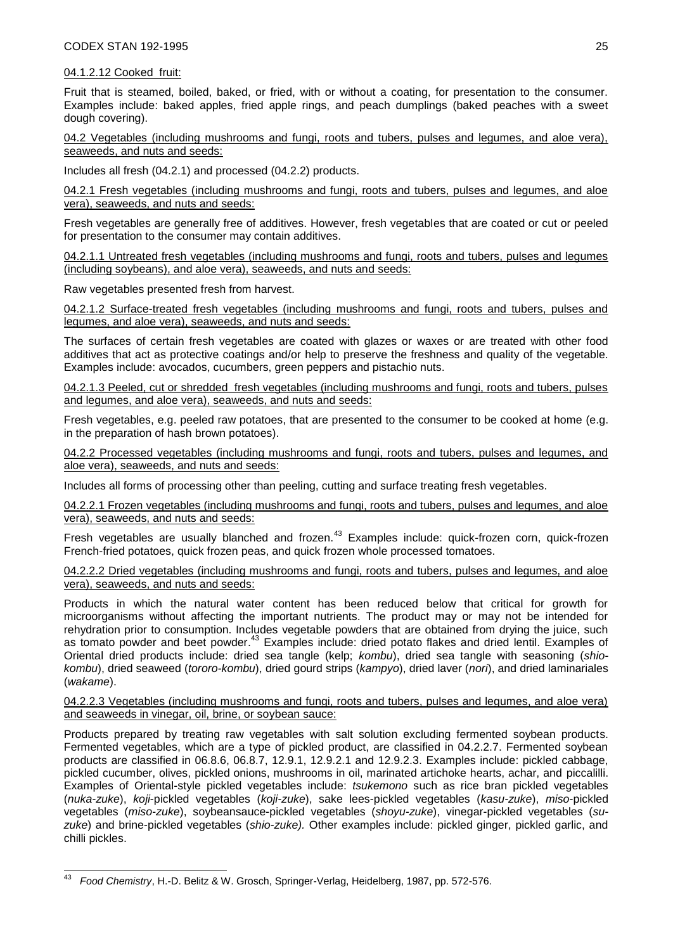04.1.2.12 Cooked fruit:

Fruit that is steamed, boiled, baked, or fried, with or without a coating, for presentation to the consumer. Examples include: baked apples, fried apple rings, and peach dumplings (baked peaches with a sweet dough covering).

04.2 Vegetables (including mushrooms and fungi, roots and tubers, pulses and legumes, and aloe vera), seaweeds, and nuts and seeds:

Includes all fresh (04.2.1) and processed (04.2.2) products.

04.2.1 Fresh vegetables (including mushrooms and fungi, roots and tubers, pulses and legumes, and aloe vera), seaweeds, and nuts and seeds:

Fresh vegetables are generally free of additives. However, fresh vegetables that are coated or cut or peeled for presentation to the consumer may contain additives.

04.2.1.1 Untreated fresh vegetables (including mushrooms and fungi, roots and tubers, pulses and legumes (including soybeans), and aloe vera), seaweeds, and nuts and seeds:

Raw vegetables presented fresh from harvest.

04.2.1.2 Surface-treated fresh vegetables (including mushrooms and fungi, roots and tubers, pulses and legumes, and aloe vera), seaweeds, and nuts and seeds:

The surfaces of certain fresh vegetables are coated with glazes or waxes or are treated with other food additives that act as protective coatings and/or help to preserve the freshness and quality of the vegetable. Examples include: avocados, cucumbers, green peppers and pistachio nuts.

04.2.1.3 Peeled, cut or shredded fresh vegetables (including mushrooms and fungi, roots and tubers, pulses and legumes, and aloe vera), seaweeds, and nuts and seeds:

Fresh vegetables, e.g. peeled raw potatoes, that are presented to the consumer to be cooked at home (e.g. in the preparation of hash brown potatoes).

04.2.2 Processed vegetables (including mushrooms and fungi, roots and tubers, pulses and legumes, and aloe vera), seaweeds, and nuts and seeds:

Includes all forms of processing other than peeling, cutting and surface treating fresh vegetables.

04.2.2.1 Frozen vegetables (including mushrooms and fungi, roots and tubers, pulses and legumes, and aloe vera), seaweeds, and nuts and seeds:

<span id="page-24-0"></span>Fresh vegetables are usually blanched and frozen.<sup>43</sup> Examples include: quick-frozen corn, quick-frozen French-fried potatoes, quick frozen peas, and quick frozen whole processed tomatoes.

04.2.2.2 Dried vegetables (including mushrooms and fungi, roots and tubers, pulses and legumes, and aloe vera), seaweeds, and nuts and seeds:

Products in which the natural water content has been reduced below that critical for growth for microorganisms without affecting the important nutrients. The product may or may not be intended for rehydration prior to consumption. Includes vegetable powders that are obtained from drying the juice, such as tomato powder and beet powder.<sup>[43](#page-24-0)</sup> Examples include: dried potato flakes and dried lentil. Examples of Oriental dried products include: dried sea tangle (kelp; *kombu*), dried sea tangle with seasoning (*shiokombu*), dried seaweed (*tororo-kombu*), dried gourd strips (*kampyo*), dried laver (*nori*), and dried laminariales (*wakame*).

04.2.2.3 Vegetables (including mushrooms and fungi, roots and tubers, pulses and legumes, and aloe vera) and seaweeds in vinegar, oil, brine, or soybean sauce:

Products prepared by treating raw vegetables with salt solution excluding fermented soybean products. Fermented vegetables, which are a type of pickled product, are classified in 04.2.2.7. Fermented soybean products are classified in 06.8.6, 06.8.7, 12.9.1, 12.9.2.1 and 12.9.2.3. Examples include: pickled cabbage, pickled cucumber, olives, pickled onions, mushrooms in oil, marinated artichoke hearts, achar, and piccalilli. Examples of Oriental-style pickled vegetables include: *tsukemono* such as rice bran pickled vegetables (*nuka-zuke*), *koji*-pickled vegetables (*koji-zuke*), sake lees-pickled vegetables (*kasu-zuke*), *miso*-pickled vegetables (*miso-zuke*), soybeansauce-pickled vegetables (*shoyu-zuke*), vinegar-pickled vegetables (*suzuke*) and brine-pickled vegetables (*shio-zuke).* Other examples include: pickled ginger, pickled garlic, and chilli pickles.

 $\overline{\phantom{a}}$ <sup>43</sup> *Food Chemistry*, H.-D. Belitz & W. Grosch, Springer-Verlag, Heidelberg, 1987, pp. 572-576.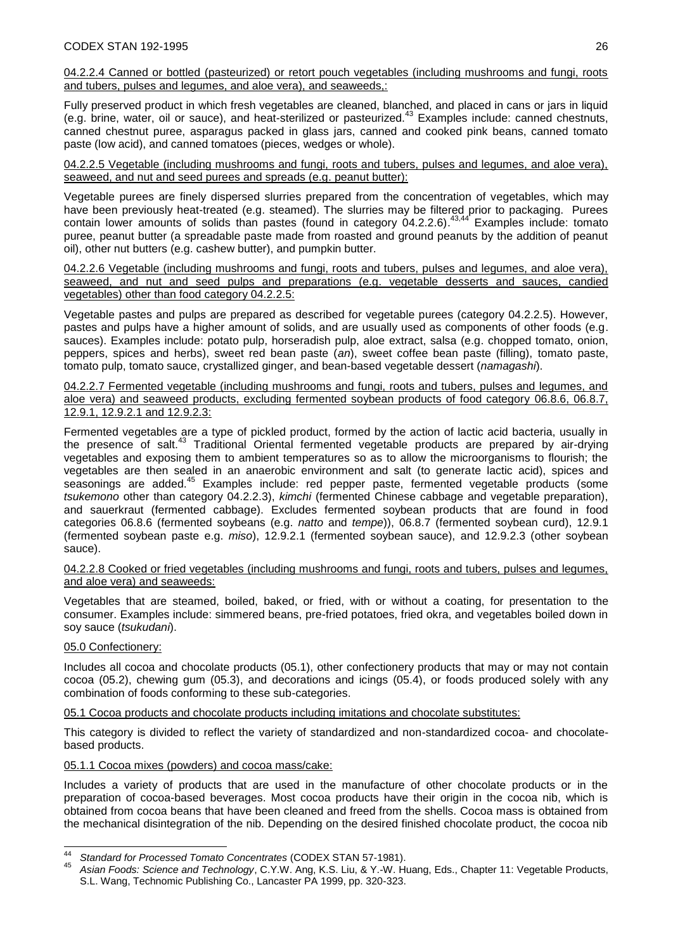04.2.2.4 Canned or bottled (pasteurized) or retort pouch vegetables (including mushrooms and fungi, roots and tubers, pulses and legumes, and aloe vera), and seaweeds,:

Fully preserved product in which fresh vegetables are cleaned, blanched, and placed in cans or jars in liquid (e.g. brine, water, oil or sauce), and heat-sterilized or pasteurized.[43](#page-24-0) Examples include: canned chestnuts, canned chestnut puree, asparagus packed in glass jars, canned and cooked pink beans, canned tomato paste (low acid), and canned tomatoes (pieces, wedges or whole).

04.2.2.5 Vegetable (including mushrooms and fungi, roots and tubers, pulses and legumes, and aloe vera), seaweed, and nut and seed purees and spreads (e.g. peanut butter):

Vegetable purees are finely dispersed slurries prepared from the concentration of vegetables, which may have been previously heat-treated (e.g. steamed). The slurries may be filtered prior to packaging. Purees contain lower amounts of solids than pastes (found in category 04.2.2.6).<sup>[43,4](#page-24-0)4</sup> Examples include: tomato puree, peanut butter (a spreadable paste made from roasted and ground peanuts by the addition of peanut oil), other nut butters (e.g. cashew butter), and pumpkin butter.

04.2.2.6 Vegetable (including mushrooms and fungi, roots and tubers, pulses and legumes, and aloe vera), seaweed, and nut and seed pulps and preparations (e.g. vegetable desserts and sauces, candied vegetables) other than food category 04.2.2.5:

Vegetable pastes and pulps are prepared as described for vegetable purees (category 04.2.2.5). However, pastes and pulps have a higher amount of solids, and are usually used as components of other foods (e.g. sauces). Examples include: potato pulp, horseradish pulp, aloe extract, salsa (e.g. chopped tomato, onion, peppers, spices and herbs), sweet red bean paste (*an*), sweet coffee bean paste (filling), tomato paste, tomato pulp, tomato sauce, crystallized ginger, and bean-based vegetable dessert (*namagashi*).

04.2.2.7 Fermented vegetable (including mushrooms and fungi, roots and tubers, pulses and legumes, and aloe vera) and seaweed products, excluding fermented soybean products of food category 06.8.6, 06.8.7, 12.9.1, 12.9.2.1 and 12.9.2.3:

Fermented vegetables are a type of pickled product, formed by the action of lactic acid bacteria, usually in the presence of salt.<sup>[43](#page-24-0)</sup> Traditional Oriental fermented vegetable products are prepared by air-drying vegetables and exposing them to ambient temperatures so as to allow the microorganisms to flourish; the vegetables are then sealed in an anaerobic environment and salt (to generate lactic acid), spices and seasonings are added.<sup>45</sup> Examples include: red pepper paste, fermented vegetable products (some *tsukemono* other than category 04.2.2.3), *kimchi* (fermented Chinese cabbage and vegetable preparation), and sauerkraut (fermented cabbage). Excludes fermented soybean products that are found in food categories 06.8.6 (fermented soybeans (e.g. *natto* and *tempe*)), 06.8.7 (fermented soybean curd), 12.9.1 (fermented soybean paste e.g. *miso*), 12.9.2.1 (fermented soybean sauce), and 12.9.2.3 (other soybean sauce).

04.2.2.8 Cooked or fried vegetables (including mushrooms and fungi, roots and tubers, pulses and legumes, and aloe vera) and seaweeds:

Vegetables that are steamed, boiled, baked, or fried, with or without a coating, for presentation to the consumer. Examples include: simmered beans, pre-fried potatoes, fried okra, and vegetables boiled down in soy sauce (*tsukudani*).

## 05.0 Confectionery:

Includes all cocoa and chocolate products (05.1), other confectionery products that may or may not contain cocoa (05.2), chewing gum (05.3), and decorations and icings (05.4), or foods produced solely with any combination of foods conforming to these sub-categories.

05.1 Cocoa products and chocolate products including imitations and chocolate substitutes:

This category is divided to reflect the variety of standardized and non-standardized cocoa- and chocolatebased products.

## 05.1.1 Cocoa mixes (powders) and cocoa mass/cake:

Includes a variety of products that are used in the manufacture of other chocolate products or in the preparation of cocoa-based beverages. Most cocoa products have their origin in the cocoa nib, which is obtained from cocoa beans that have been cleaned and freed from the shells. Cocoa mass is obtained from the mechanical disintegration of the nib. Depending on the desired finished chocolate product, the cocoa nib

 $44$ <sup>44</sup> *Standard for Processed Tomato Concentrates* (CODEX STAN 57-1981).

<sup>45</sup> *Asian Foods: Science and Technology*, C.Y.W. Ang, K.S. Liu, & Y.-W. Huang, Eds., Chapter 11: Vegetable Products, S.L. Wang, Technomic Publishing Co., Lancaster PA 1999, pp. 320-323.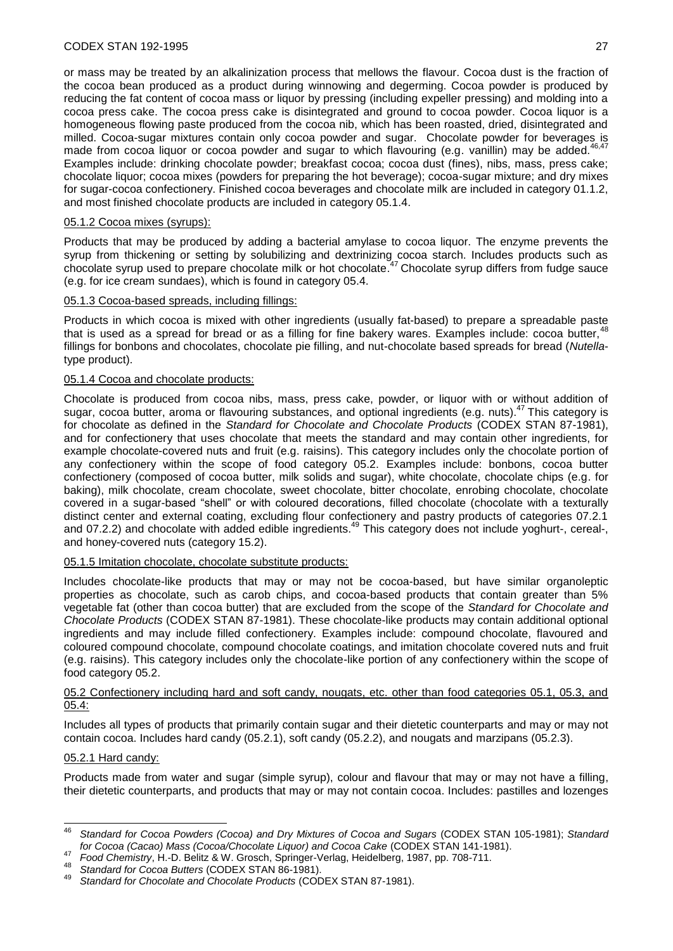or mass may be treated by an alkalinization process that mellows the flavour. Cocoa dust is the fraction of the cocoa bean produced as a product during winnowing and degerming. Cocoa powder is produced by reducing the fat content of cocoa mass or liquor by pressing (including expeller pressing) and molding into a cocoa press cake. The cocoa press cake is disintegrated and ground to cocoa powder. Cocoa liquor is a homogeneous flowing paste produced from the cocoa nib, which has been roasted, dried, disintegrated and milled. Cocoa-sugar mixtures contain only cocoa powder and sugar. Chocolate powder for beverages is made from cocoa liquor or cocoa powder and sugar to which flavouring (e.g. vanillin) may be added.<sup>46,47</sup> Examples include: drinking chocolate powder; breakfast cocoa; cocoa dust (fines), nibs, mass, press cake; chocolate liquor; cocoa mixes (powders for preparing the hot beverage); cocoa-sugar mixture; and dry mixes for sugar-cocoa confectionery. Finished cocoa beverages and chocolate milk are included in category 01.1.2, and most finished chocolate products are included in category 05.1.4.

## <span id="page-26-0"></span>05.1.2 Cocoa mixes (syrups):

Products that may be produced by adding a bacterial amylase to cocoa liquor. The enzyme prevents the syrup from thickening or setting by solubilizing and dextrinizing cocoa starch. Includes products such as chocolate syrup used to prepare chocolate milk or hot chocolate.<sup>[47](#page-26-0)</sup> Chocolate syrup differs from fudge sauce (e.g. for ice cream sundaes), which is found in category 05.4.

## 05.1.3 Cocoa-based spreads, including fillings:

Products in which cocoa is mixed with other ingredients (usually fat-based) to prepare a spreadable paste that is used as a spread for bread or as a filling for fine bakery wares. Examples include: cocoa butter,<sup>48</sup> fillings for bonbons and chocolates, chocolate pie filling, and nut-chocolate based spreads for bread (*Nutella*type product).

## 05.1.4 Cocoa and chocolate products:

Chocolate is produced from cocoa nibs, mass, press cake, powder, or liquor with or without addition of sugar, cocoa butter, aroma or flavouring substances, and optional ingredients (e.g. nuts).<sup>[47](#page-26-0)</sup> This category is for chocolate as defined in the *Standard for Chocolate and Chocolate Products* (CODEX STAN 87-1981), and for confectionery that uses chocolate that meets the standard and may contain other ingredients, for example chocolate-covered nuts and fruit (e.g. raisins). This category includes only the chocolate portion of any confectionery within the scope of food category 05.2. Examples include: bonbons, cocoa butter confectionery (composed of cocoa butter, milk solids and sugar), white chocolate, chocolate chips (e.g. for baking), milk chocolate, cream chocolate, sweet chocolate, bitter chocolate, enrobing chocolate, chocolate covered in a sugar-based "shell" or with coloured decorations, filled chocolate (chocolate with a texturally distinct center and external coating, excluding flour confectionery and pastry products of categories 07.2.1 and 07.2.2) and chocolate with added edible ingredients.<sup>49</sup> This category does not include yoghurt-, cereal-, and honey-covered nuts (category 15.2).

## 05.1.5 Imitation chocolate, chocolate substitute products:

Includes chocolate-like products that may or may not be cocoa-based, but have similar organoleptic properties as chocolate, such as carob chips, and cocoa-based products that contain greater than 5% vegetable fat (other than cocoa butter) that are excluded from the scope of the *Standard for Chocolate and Chocolate Products* (CODEX STAN 87-1981). These chocolate-like products may contain additional optional ingredients and may include filled confectionery. Examples include: compound chocolate, flavoured and coloured compound chocolate, compound chocolate coatings, and imitation chocolate covered nuts and fruit (e.g. raisins). This category includes only the chocolate-like portion of any confectionery within the scope of food category 05.2.

#### 05.2 Confectionery including hard and soft candy, nougats, etc. other than food categories 05.1, 05.3, and 05.4:

Includes all types of products that primarily contain sugar and their dietetic counterparts and may or may not contain cocoa. Includes hard candy (05.2.1), soft candy (05.2.2), and nougats and marzipans (05.2.3).

#### 05.2.1 Hard candy:

Products made from water and sugar (simple syrup), colour and flavour that may or may not have a filling, their dietetic counterparts, and products that may or may not contain cocoa. Includes: pastilles and lozenges

<sup>46</sup> <sup>46</sup> *Standard for Cocoa Powders (Cocoa) and Dry Mixtures of Cocoa and Sugars* (CODEX STAN 105-1981); *Standard for Cocoa (Cacao) Mass (Cocoa/Chocolate Liquor) and Cocoa Cake* (CODEX STAN 141-1981).

<sup>47</sup> *Food Chemistry*, H.-D. Belitz & W. Grosch, Springer-Verlag, Heidelberg, 1987, pp. 708-711.

<sup>48</sup> *Standard for Cocoa Butters* (CODEX STAN 86-1981).

<sup>49</sup> *Standard for Chocolate and Chocolate Products* (CODEX STAN 87-1981).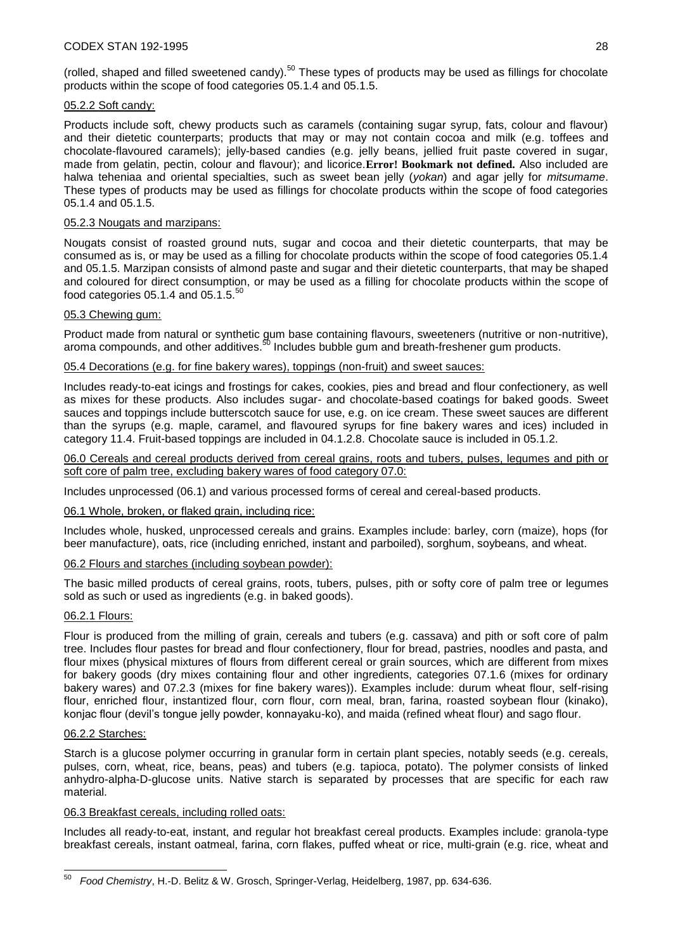(rolled, shaped and filled sweetened candy).<sup>50</sup> These types of products may be used as fillings for chocolate products within the scope of food categories 05.1.4 and 05.1.5.

## 05.2.2 Soft candy:

Products include soft, chewy products such as caramels (containing sugar syrup, fats, colour and flavour) and their dietetic counterparts; products that may or may not contain cocoa and milk (e.g. toffees and chocolate-flavoured caramels); jelly-based candies (e.g. jelly beans, jellied fruit paste covered in sugar, made from gelatin, pectin, colour and flavour); and licorice.**Error! Bookmark not defined.** Also included are halwa teheniaa and oriental specialties, such as sweet bean jelly (*yokan*) and agar jelly for *mitsumame*. These types of products may be used as fillings for chocolate products within the scope of food categories 05.1.4 and 05.1.5.

## 05.2.3 Nougats and marzipans:

Nougats consist of roasted ground nuts, sugar and cocoa and their dietetic counterparts, that may be consumed as is, or may be used as a filling for chocolate products within the scope of food categories 05.1.4 and 05.1.5. Marzipan consists of almond paste and sugar and their dietetic counterparts, that may be shaped and coloured for direct consumption, or may be used as a filling for chocolate products within the scope of food categories 05.1.4 and 05.1.5.<sup>50</sup>

## 05.3 Chewing gum:

Product made from natural or synthetic gum base containing flavours, sweeteners (nutritive or non-nutritive), aroma compounds, and other additives.<sup>50</sup> Includes bubble gum and breath-freshener gum products.

## 05.4 Decorations (e.g. for fine bakery wares), toppings (non-fruit) and sweet sauces:

Includes ready-to-eat icings and frostings for cakes, cookies, pies and bread and flour confectionery, as well as mixes for these products. Also includes sugar- and chocolate-based coatings for baked goods. Sweet sauces and toppings include butterscotch sauce for use, e.g. on ice cream. These sweet sauces are different than the syrups (e.g. maple, caramel, and flavoured syrups for fine bakery wares and ices) included in category 11.4. Fruit-based toppings are included in 04.1.2.8. Chocolate sauce is included in 05.1.2.

06.0 Cereals and cereal products derived from cereal grains, roots and tubers, pulses, legumes and pith or soft core of palm tree, excluding bakery wares of food category 07.0:

Includes unprocessed (06.1) and various processed forms of cereal and cereal-based products.

## 06.1 Whole, broken, or flaked grain, including rice:

Includes whole, husked, unprocessed cereals and grains. Examples include: barley, corn (maize), hops (for beer manufacture), oats, rice (including enriched, instant and parboiled), sorghum, soybeans, and wheat.

#### 06.2 Flours and starches (including soybean powder):

The basic milled products of cereal grains, roots, tubers, pulses, pith or softy core of palm tree or legumes sold as such or used as ingredients (e.g. in baked goods).

## 06.2.1 Flours:

Flour is produced from the milling of grain, cereals and tubers (e.g. cassava) and pith or soft core of palm tree. Includes flour pastes for bread and flour confectionery, flour for bread, pastries, noodles and pasta, and flour mixes (physical mixtures of flours from different cereal or grain sources, which are different from mixes for bakery goods (dry mixes containing flour and other ingredients, categories 07.1.6 (mixes for ordinary bakery wares) and 07.2.3 (mixes for fine bakery wares)). Examples include: durum wheat flour, self-rising flour, enriched flour, instantized flour, corn flour, corn meal, bran, farina, roasted soybean flour (kinako), konjac flour (devil's tongue jelly powder, konnayaku-ko), and maida (refined wheat flour) and sago flour.

### 06.2.2 Starches:

Starch is a glucose polymer occurring in granular form in certain plant species, notably seeds (e.g. cereals, pulses, corn, wheat, rice, beans, peas) and tubers (e.g. tapioca, potato). The polymer consists of linked anhydro-alpha-D-glucose units. Native starch is separated by processes that are specific for each raw material.

## 06.3 Breakfast cereals, including rolled oats:

Includes all ready-to-eat, instant, and regular hot breakfast cereal products. Examples include: granola-type breakfast cereals, instant oatmeal, farina, corn flakes, puffed wheat or rice, multi-grain (e.g. rice, wheat and

 $\overline{\phantom{a}}$ <sup>50</sup> *Food Chemistry*, H.-D. Belitz & W. Grosch, Springer-Verlag, Heidelberg, 1987, pp. 634-636.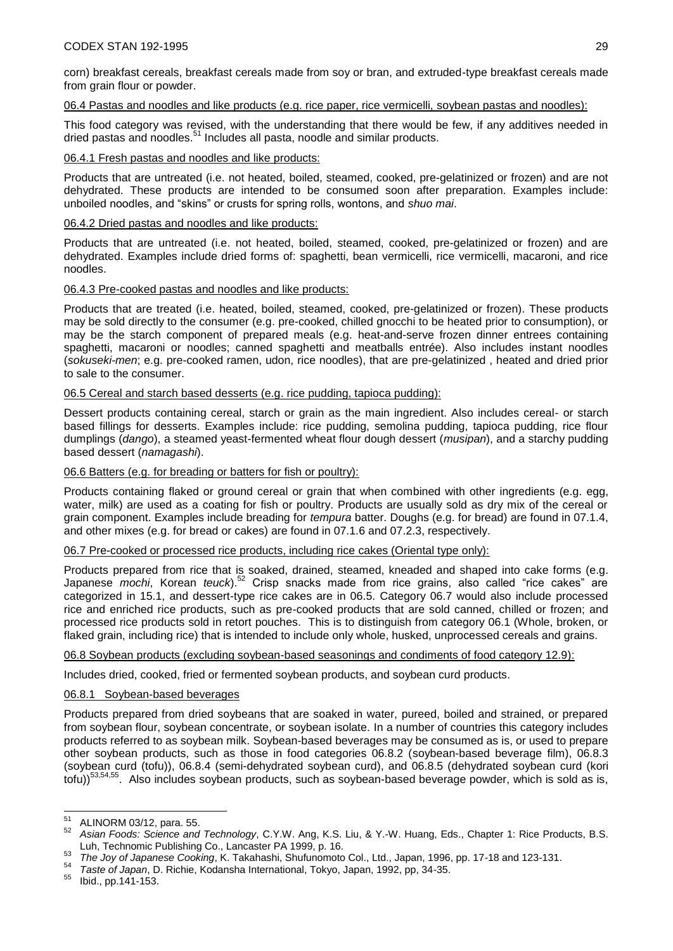corn) breakfast cereals, breakfast cereals made from soy or bran, and extruded-type breakfast cereals made from grain flour or powder.

### 06.4 Pastas and noodles and like products (e.g. rice paper, rice vermicelli, soybean pastas and noodles):

This food category was revised, with the understanding that there would be few, if any additives needed in dried pastas and noodles.<sup>51</sup> Includes all pasta, noodle and similar products.

## 06.4.1 Fresh pastas and noodles and like products:

Products that are untreated (i.e. not heated, boiled, steamed, cooked, pre-gelatinized or frozen) and are not dehydrated. These products are intended to be consumed soon after preparation. Examples include: unboiled noodles, and "skins" or crusts for spring rolls, wontons, and *shuo mai*.

## 06.4.2 Dried pastas and noodles and like products:

Products that are untreated (i.e. not heated, boiled, steamed, cooked, pre-gelatinized or frozen) and are dehydrated. Examples include dried forms of: spaghetti, bean vermicelli, rice vermicelli, macaroni, and rice noodles.

## 06.4.3 Pre-cooked pastas and noodles and like products:

Products that are treated (i.e. heated, boiled, steamed, cooked, pre-gelatinized or frozen). These products may be sold directly to the consumer (e.g. pre-cooked, chilled gnocchi to be heated prior to consumption), or may be the starch component of prepared meals (e.g. heat-and-serve frozen dinner entrees containing spaghetti, macaroni or noodles; canned spaghetti and meatballs entrée). Also includes instant noodles (*sokuseki-men*; e.g. pre-cooked ramen, udon, rice noodles), that are pre-gelatinized , heated and dried prior to sale to the consumer.

## 06.5 Cereal and starch based desserts (e.g. rice pudding, tapioca pudding):

Dessert products containing cereal, starch or grain as the main ingredient. Also includes cereal- or starch based fillings for desserts. Examples include: rice pudding, semolina pudding, tapioca pudding, rice flour dumplings (*dango*), a steamed yeast-fermented wheat flour dough dessert (*musipan*), and a starchy pudding based dessert (*namagashi*).

## 06.6 Batters (e.g. for breading or batters for fish or poultry):

Products containing flaked or ground cereal or grain that when combined with other ingredients (e.g. egg, water, milk) are used as a coating for fish or poultry. Products are usually sold as dry mix of the cereal or grain component. Examples include breading for *tempura* batter. Doughs (e.g. for bread) are found in 07.1.4, and other mixes (e.g. for bread or cakes) are found in 07.1.6 and 07.2.3, respectively.

06.7 Pre-cooked or processed rice products, including rice cakes (Oriental type only):

Products prepared from rice that is soaked, drained, steamed, kneaded and shaped into cake forms (e.g. Japanese *mochi*, Korean *teuck*).<sup>52</sup> Crisp snacks made from rice grains, also called "rice cakes" are categorized in 15.1, and dessert-type rice cakes are in 06.5. Category 06.7 would also include processed rice and enriched rice products, such as pre-cooked products that are sold canned, chilled or frozen; and processed rice products sold in retort pouches. This is to distinguish from category 06.1 (Whole, broken, or flaked grain, including rice) that is intended to include only whole, husked, unprocessed cereals and grains.

#### 06.8 Soybean products (excluding soybean-based seasonings and condiments of food category 12.9):

Includes dried, cooked, fried or fermented soybean products, and soybean curd products.

#### 06.8.1 Soybean-based beverages

Products prepared from dried soybeans that are soaked in water, pureed, boiled and strained, or prepared from soybean flour, soybean concentrate, or soybean isolate. In a number of countries this category includes products referred to as soybean milk. Soybean-based beverages may be consumed as is, or used to prepare other soybean products, such as those in food categories 06.8.2 (soybean-based beverage film), 06.8.3 (soybean curd (tofu)), 06.8.4 (semi-dehydrated soybean curd), and 06.8.5 (dehydrated soybean curd (kori tofu))53,54,55. Also includes soybean products, such as soybean-based beverage powder, which is sold as is,

<span id="page-28-1"></span><span id="page-28-0"></span><sup>51</sup>  $^{51}$  ALINORM 03/12, para. 55.

<sup>52</sup> *Asian Foods: Science and Technology*, C.Y.W. Ang, K.S. Liu, & Y.-W. Huang, Eds., Chapter 1: Rice Products, B.S. Luh, Technomic Publishing Co., Lancaster PA 1999, p. 16.

<sup>53</sup> *The Joy of Japanese Cooking*, K. Takahashi, Shufunomoto Col., Ltd., Japan, 1996, pp. 17-18 and 123-131.

<sup>54</sup> *Taste of Japan*, D. Richie, Kodansha International, Tokyo, Japan, 1992, pp, 34-35.

<sup>55</sup> Ibid., pp.141-153.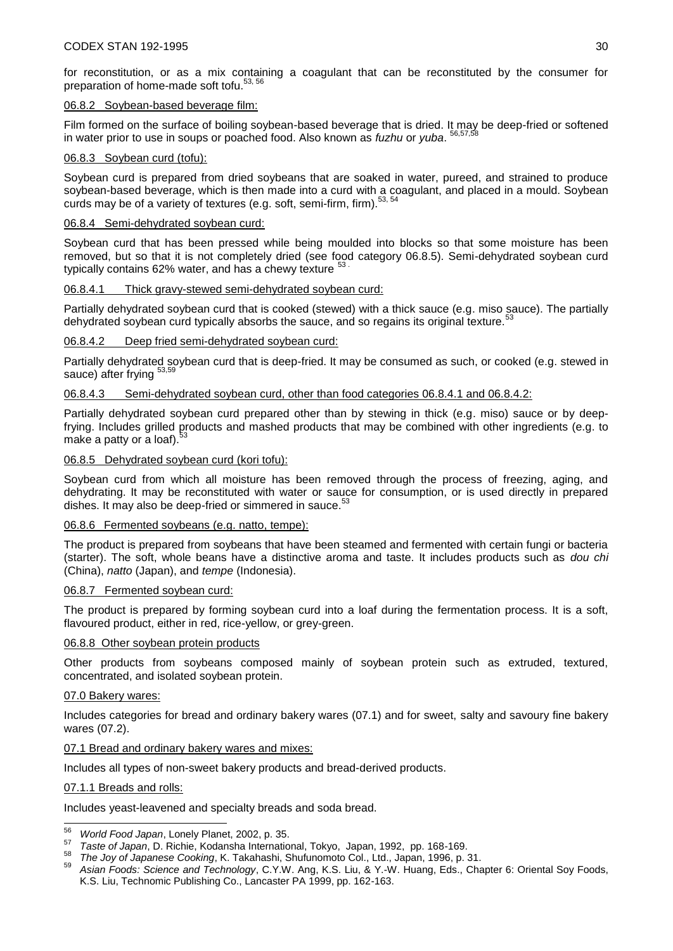<span id="page-29-0"></span>for reconstitution, or as a mix containing a coagulant that can be reconstituted by the consumer for preparation of home-made soft tofu.<sup>[53,](#page-28-0) 56</sup>

## 06.8.2 Soybean-based beverage film:

Film formed on the surface of boiling soybean-based beverage that is dried. It may be deep-fried or softened in water prior to use in soups or poached food. Also known as *fuzhu* or *yuba*. [56,5](#page-29-0)7,58

## 06.8.3 Soybean curd (tofu):

Soybean curd is prepared from dried soybeans that are soaked in water, pureed, and strained to produce soybean-based beverage, which is then made into a curd with a coagulant, and placed in a mould. Soybean curds may be of a variety of textures (e.g. soft, semi-firm, firm).  $53, 54$  $53, 54$ 

## 06.8.4 Semi-dehydrated soybean curd:

Soybean curd that has been pressed while being moulded into blocks so that some moisture has been removed, but so that it is not completely dried (see food category 06.8.5). Semi-dehydrated soybean curd typically contains 62% water, and has a chewy texture  $53$ .

## 06.8.4.1 Thick gravy-stewed semi-dehydrated soybean curd:

Partially dehydrated soybean curd that is cooked (stewed) with a thick sauce (e.g. miso sauce). The partially dehydrated soybean curd typically absorbs the sauce, and so regains its original texture.<sup>[53](#page-28-0)</sup>

## 06.8.4.2 Deep fried semi-dehydrated soybean curd:

Partially dehydrated soybean curd that is deep-fried. It may be consumed as such, or cooked (e.g. stewed in sauce) after frying [53,5](#page-28-0)9

## 06.8.4.3 Semi-dehydrated soybean curd, other than food categories 06.8.4.1 and 06.8.4.2:

Partially dehydrated soybean curd prepared other than by stewing in thick (e.g. miso) sauce or by deepfrying. Includes grilled products and mashed products that may be combined with other ingredients (e.g. to make a patty or a loaf). $\overline{5}$ 

## 06.8.5 Dehydrated soybean curd (kori tofu):

Soybean curd from which all moisture has been removed through the process of freezing, aging, and dehydrating. It may be reconstituted with water or sauce for consumption, or is used directly in prepared dishes. It may also be deep-fried or simmered in sauce.<sup>[53](#page-28-0)</sup>

#### 06.8.6 Fermented soybeans (e.g. natto, tempe):

The product is prepared from soybeans that have been steamed and fermented with certain fungi or bacteria (starter). The soft, whole beans have a distinctive aroma and taste. It includes products such as *dou chi* (China), *natto* (Japan), and *tempe* (Indonesia).

#### 06.8.7 Fermented soybean curd:

The product is prepared by forming soybean curd into a loaf during the fermentation process. It is a soft, flavoured product, either in red, rice-yellow, or grey-green.

#### 06.8.8 Other soybean protein products

Other products from soybeans composed mainly of soybean protein such as extruded, textured, concentrated, and isolated soybean protein.

#### 07.0 Bakery wares:

Includes categories for bread and ordinary bakery wares (07.1) and for sweet, salty and savoury fine bakery wares (07.2).

## 07.1 Bread and ordinary bakery wares and mixes:

Includes all types of non-sweet bakery products and bread-derived products.

#### 07.1.1 Breads and rolls:

Includes yeast-leavened and specialty breads and soda bread.

<sup>56</sup> <sup>56</sup> *World Food Japan*, Lonely Planet, 2002, p. 35.

<sup>57</sup> *Taste of Japan*, D. Richie, Kodansha International, Tokyo, Japan, 1992, pp. 168-169.

<sup>58</sup> *The Joy of Japanese Cooking*, K. Takahashi, Shufunomoto Col., Ltd., Japan, 1996, p. 31.

<sup>59</sup> *Asian Foods: Science and Technology*, C.Y.W. Ang, K.S. Liu, & Y.-W. Huang, Eds., Chapter 6: Oriental Soy Foods, K.S. Liu, Technomic Publishing Co., Lancaster PA 1999, pp. 162-163.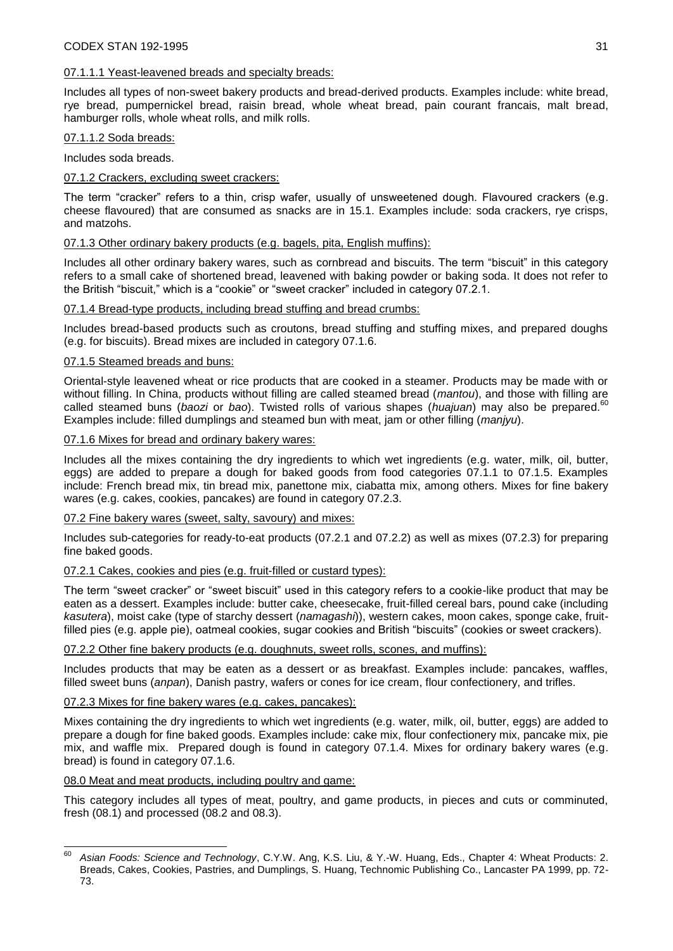### 07.1.1.1 Yeast-leavened breads and specialty breads:

Includes all types of non-sweet bakery products and bread-derived products. Examples include: white bread, rye bread, pumpernickel bread, raisin bread, whole wheat bread, pain courant francais, malt bread, hamburger rolls, whole wheat rolls, and milk rolls.

#### 07.1.1.2 Soda breads:

Includes soda breads.

#### 07.1.2 Crackers, excluding sweet crackers:

The term "cracker" refers to a thin, crisp wafer, usually of unsweetened dough. Flavoured crackers (e.g. cheese flavoured) that are consumed as snacks are in 15.1. Examples include: soda crackers, rye crisps, and matzohs.

### 07.1.3 Other ordinary bakery products (e.g. bagels, pita, English muffins):

Includes all other ordinary bakery wares, such as cornbread and biscuits. The term "biscuit" in this category refers to a small cake of shortened bread, leavened with baking powder or baking soda. It does not refer to the British "biscuit," which is a "cookie" or "sweet cracker" included in category 07.2.1.

#### 07.1.4 Bread-type products, including bread stuffing and bread crumbs:

Includes bread-based products such as croutons, bread stuffing and stuffing mixes, and prepared doughs (e.g. for biscuits). Bread mixes are included in category 07.1.6.

#### 07.1.5 Steamed breads and buns:

Oriental-style leavened wheat or rice products that are cooked in a steamer. Products may be made with or without filling. In China, products without filling are called steamed bread (*mantou*), and those with filling are called steamed buns (baozi or bao). Twisted rolls of various shapes (huajuan) may also be prepared.<sup>6</sup> Examples include: filled dumplings and steamed bun with meat, jam or other filling (*manjyu*).

#### 07.1.6 Mixes for bread and ordinary bakery wares:

Includes all the mixes containing the dry ingredients to which wet ingredients (e.g. water, milk, oil, butter, eggs) are added to prepare a dough for baked goods from food categories 07.1.1 to 07.1.5. Examples include: French bread mix, tin bread mix, panettone mix, ciabatta mix, among others. Mixes for fine bakery wares (e.g. cakes, cookies, pancakes) are found in category 07.2.3.

#### 07.2 Fine bakery wares (sweet, salty, savoury) and mixes:

Includes sub-categories for ready-to-eat products (07.2.1 and 07.2.2) as well as mixes (07.2.3) for preparing fine baked goods.

#### 07.2.1 Cakes, cookies and pies (e.g. fruit-filled or custard types):

The term "sweet cracker" or "sweet biscuit" used in this category refers to a cookie-like product that may be eaten as a dessert. Examples include: butter cake, cheesecake, fruit-filled cereal bars, pound cake (including *kasutera*), moist cake (type of starchy dessert (*namagashi*)), western cakes, moon cakes, sponge cake, fruitfilled pies (e.g. apple pie), oatmeal cookies, sugar cookies and British "biscuits" (cookies or sweet crackers).

#### 07.2.2 Other fine bakery products (e.g. doughnuts, sweet rolls, scones, and muffins):

Includes products that may be eaten as a dessert or as breakfast. Examples include: pancakes, waffles, filled sweet buns (*anpan*), Danish pastry, wafers or cones for ice cream, flour confectionery, and trifles.

## 07.2.3 Mixes for fine bakery wares (e.g. cakes, pancakes):

Mixes containing the dry ingredients to which wet ingredients (e.g. water, milk, oil, butter, eggs) are added to prepare a dough for fine baked goods. Examples include: cake mix, flour confectionery mix, pancake mix, pie mix, and waffle mix. Prepared dough is found in category 07.1.4. Mixes for ordinary bakery wares (e.g. bread) is found in category 07.1.6.

### 08.0 Meat and meat products, including poultry and game:

This category includes all types of meat, poultry, and game products, in pieces and cuts or comminuted, fresh (08.1) and processed (08.2 and 08.3).

<sup>60</sup> <sup>60</sup> *Asian Foods: Science and Technology*, C.Y.W. Ang, K.S. Liu, & Y.-W. Huang, Eds., Chapter 4: Wheat Products: 2. Breads, Cakes, Cookies, Pastries, and Dumplings, S. Huang, Technomic Publishing Co., Lancaster PA 1999, pp. 72- 73.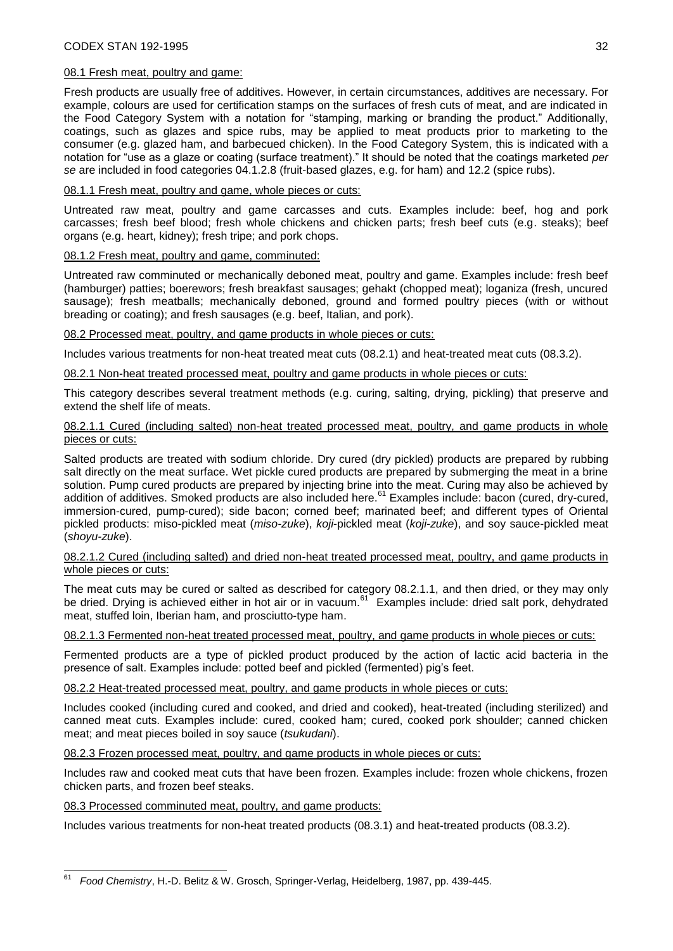#### 08.1 Fresh meat, poultry and game:

Fresh products are usually free of additives. However, in certain circumstances, additives are necessary. For example, colours are used for certification stamps on the surfaces of fresh cuts of meat, and are indicated in the Food Category System with a notation for "stamping, marking or branding the product." Additionally, coatings, such as glazes and spice rubs, may be applied to meat products prior to marketing to the consumer (e.g. glazed ham, and barbecued chicken). In the Food Category System, this is indicated with a notation for "use as a glaze or coating (surface treatment)." It should be noted that the coatings marketed *per se* are included in food categories 04.1.2.8 (fruit-based glazes, e.g. for ham) and 12.2 (spice rubs).

#### 08.1.1 Fresh meat, poultry and game, whole pieces or cuts:

Untreated raw meat, poultry and game carcasses and cuts. Examples include: beef, hog and pork carcasses; fresh beef blood; fresh whole chickens and chicken parts; fresh beef cuts (e.g. steaks); beef organs (e.g. heart, kidney); fresh tripe; and pork chops.

#### 08.1.2 Fresh meat, poultry and game, comminuted:

Untreated raw comminuted or mechanically deboned meat, poultry and game. Examples include: fresh beef (hamburger) patties; boerewors; fresh breakfast sausages; gehakt (chopped meat); loganiza (fresh, uncured sausage); fresh meatballs; mechanically deboned, ground and formed poultry pieces (with or without breading or coating); and fresh sausages (e.g. beef, Italian, and pork).

08.2 Processed meat, poultry, and game products in whole pieces or cuts:

Includes various treatments for non-heat treated meat cuts (08.2.1) and heat-treated meat cuts (08.3.2).

08.2.1 Non-heat treated processed meat, poultry and game products in whole pieces or cuts:

This category describes several treatment methods (e.g. curing, salting, drying, pickling) that preserve and extend the shelf life of meats.

#### 08.2.1.1 Cured (including salted) non-heat treated processed meat, poultry, and game products in whole pieces or cuts:

<span id="page-31-0"></span>Salted products are treated with sodium chloride. Dry cured (dry pickled) products are prepared by rubbing salt directly on the meat surface. Wet pickle cured products are prepared by submerging the meat in a brine solution. Pump cured products are prepared by injecting brine into the meat. Curing may also be achieved by addition of additives. Smoked products are also included here.<sup>61</sup> Examples include: bacon (cured, dry-cured, immersion-cured, pump-cured); side bacon; corned beef; marinated beef; and different types of Oriental pickled products: miso-pickled meat (*miso-zuke*), *koji*-pickled meat (*koji-zuke*), and soy sauce-pickled meat (*shoyu-zuke*).

### 08.2.1.2 Cured (including salted) and dried non-heat treated processed meat, poultry, and game products in whole pieces or cuts:

The meat cuts may be cured or salted as described for category 08.2.1.1, and then dried, or they may only be dried. Drying is achieved either in hot air or in vacuum.<sup>[61](#page-31-0)</sup> Examples include: dried salt pork, dehydrated meat, stuffed loin, Iberian ham, and prosciutto-type ham.

#### 08.2.1.3 Fermented non-heat treated processed meat, poultry, and game products in whole pieces or cuts:

Fermented products are a type of pickled product produced by the action of lactic acid bacteria in the presence of salt. Examples include: potted beef and pickled (fermented) pig's feet.

#### 08.2.2 Heat-treated processed meat, poultry, and game products in whole pieces or cuts:

Includes cooked (including cured and cooked, and dried and cooked), heat-treated (including sterilized) and canned meat cuts. Examples include: cured, cooked ham; cured, cooked pork shoulder; canned chicken meat; and meat pieces boiled in soy sauce (*tsukudani*).

#### 08.2.3 Frozen processed meat, poultry, and game products in whole pieces or cuts:

Includes raw and cooked meat cuts that have been frozen. Examples include: frozen whole chickens, frozen chicken parts, and frozen beef steaks.

#### 08.3 Processed comminuted meat, poultry, and game products:

Includes various treatments for non-heat treated products (08.3.1) and heat-treated products (08.3.2).

 $\overline{\phantom{a}}$ <sup>61</sup> *Food Chemistry*, H.-D. Belitz & W. Grosch, Springer-Verlag, Heidelberg, 1987, pp. 439-445.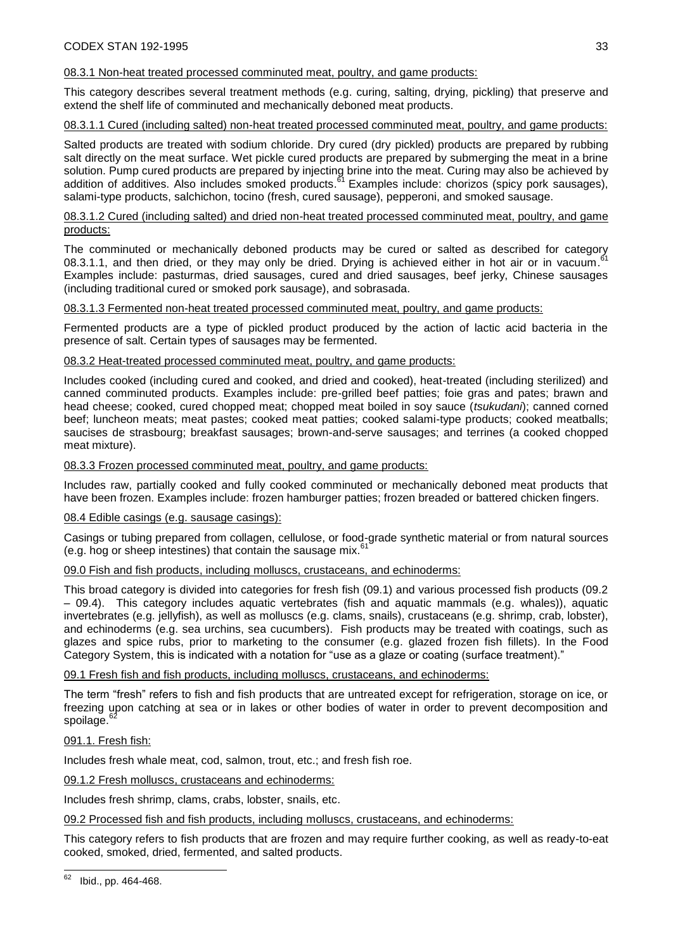## 08.3.1 Non-heat treated processed comminuted meat, poultry, and game products:

This category describes several treatment methods (e.g. curing, salting, drying, pickling) that preserve and extend the shelf life of comminuted and mechanically deboned meat products.

## 08.3.1.1 Cured (including salted) non-heat treated processed comminuted meat, poultry, and game products:

Salted products are treated with sodium chloride. Dry cured (dry pickled) products are prepared by rubbing salt directly on the meat surface. Wet pickle cured products are prepared by submerging the meat in a brine solution. Pump cured products are prepared by injecting brine into the meat. Curing may also be achieved by addition of additives. Also includes smoked products.<sup>[61](#page-31-0)</sup> Examples include: chorizos (spicy pork sausages), salami-type products, salchichon, tocino (fresh, cured sausage), pepperoni, and smoked sausage.

## 08.3.1.2 Cured (including salted) and dried non-heat treated processed comminuted meat, poultry, and game products:

The comminuted or mechanically deboned products may be cured or salted as described for category 08.3.1.1, and then dried, or they may only be dried. Drying is achieved either in hot air or in vacuum.<sup>[61](#page-31-0)</sup> Examples include: pasturmas, dried sausages, cured and dried sausages, beef jerky, Chinese sausages (including traditional cured or smoked pork sausage), and sobrasada.

## 08.3.1.3 Fermented non-heat treated processed comminuted meat, poultry, and game products:

Fermented products are a type of pickled product produced by the action of lactic acid bacteria in the presence of salt. Certain types of sausages may be fermented.

## 08.3.2 Heat-treated processed comminuted meat, poultry, and game products:

Includes cooked (including cured and cooked, and dried and cooked), heat-treated (including sterilized) and canned comminuted products. Examples include: pre-grilled beef patties; foie gras and pates; brawn and head cheese; cooked, cured chopped meat; chopped meat boiled in soy sauce (*tsukudani*); canned corned beef; luncheon meats; meat pastes; cooked meat patties; cooked salami-type products; cooked meatballs; saucises de strasbourg; breakfast sausages; brown-and-serve sausages; and terrines (a cooked chopped meat mixture).

## 08.3.3 Frozen processed comminuted meat, poultry, and game products:

Includes raw, partially cooked and fully cooked comminuted or mechanically deboned meat products that have been frozen. Examples include: frozen hamburger patties; frozen breaded or battered chicken fingers.

## 08.4 Edible casings (e.g. sausage casings):

Casings or tubing prepared from collagen, cellulose, or food-grade synthetic material or from natural sources (e.g. hog or sheep intestines) that contain the sausage mix.<sup>[61](#page-31-0)</sup>

## 09.0 Fish and fish products, including molluscs, crustaceans, and echinoderms:

This broad category is divided into categories for fresh fish (09.1) and various processed fish products (09.2 – 09.4). This category includes aquatic vertebrates (fish and aquatic mammals (e.g. whales)), aquatic invertebrates (e.g. jellyfish), as well as molluscs (e.g. clams, snails), crustaceans (e.g. shrimp, crab, lobster), and echinoderms (e.g. sea urchins, sea cucumbers). Fish products may be treated with coatings, such as glazes and spice rubs, prior to marketing to the consumer (e.g. glazed frozen fish fillets). In the Food Category System, this is indicated with a notation for "use as a glaze or coating (surface treatment)."

## 09.1 Fresh fish and fish products, including molluscs, crustaceans, and echinoderms:

The term "fresh" refers to fish and fish products that are untreated except for refrigeration, storage on ice, or freezing upon catching at sea or in lakes or other bodies of water in order to prevent decomposition and spoilage.<sup>62</sup>

## <span id="page-32-0"></span>091.1. Fresh fish:

Includes fresh whale meat, cod, salmon, trout, etc.; and fresh fish roe.

09.1.2 Fresh molluscs, crustaceans and echinoderms:

Includes fresh shrimp, clams, crabs, lobster, snails, etc.

## 09.2 Processed fish and fish products, including molluscs, crustaceans, and echinoderms:

This category refers to fish products that are frozen and may require further cooking, as well as ready-to-eat cooked, smoked, dried, fermented, and salted products.

<sup>-</sup> $62$  Ibid., pp. 464-468.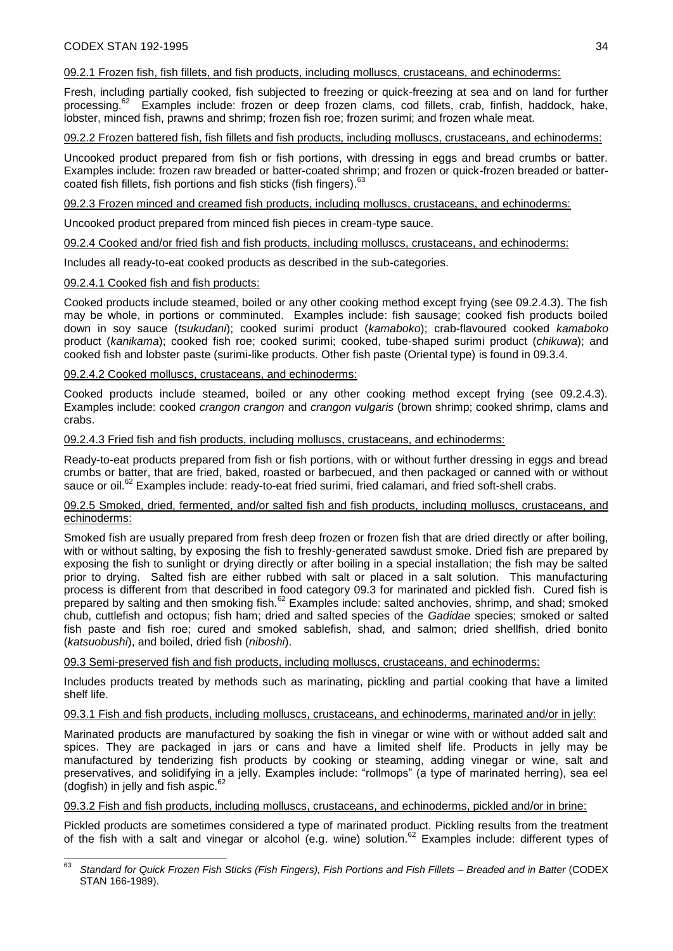### 09.2.1 Frozen fish, fish fillets, and fish products, including molluscs, crustaceans, and echinoderms:

Fresh, including partially cooked, fish subjected to freezing or quick-freezing at sea and on land for further processing.<sup>[62](#page-32-0)</sup> Examples include: frozen or deep frozen clams, cod fillets, crab, finfish, haddock, hake, lobster, minced fish, prawns and shrimp; frozen fish roe; frozen surimi; and frozen whale meat.

### 09.2.2 Frozen battered fish, fish fillets and fish products, including molluscs, crustaceans, and echinoderms:

Uncooked product prepared from fish or fish portions, with dressing in eggs and bread crumbs or batter. Examples include: frozen raw breaded or batter-coated shrimp; and frozen or quick-frozen breaded or battercoated fish fillets, fish portions and fish sticks (fish fingers). 63

## 09.2.3 Frozen minced and creamed fish products, including molluscs, crustaceans, and echinoderms:

Uncooked product prepared from minced fish pieces in cream-type sauce.

## 09.2.4 Cooked and/or fried fish and fish products, including molluscs, crustaceans, and echinoderms:

Includes all ready-to-eat cooked products as described in the sub-categories.

## 09.2.4.1 Cooked fish and fish products:

Cooked products include steamed, boiled or any other cooking method except frying (see 09.2.4.3). The fish may be whole, in portions or comminuted. Examples include: fish sausage; cooked fish products boiled down in soy sauce (*tsukudani*); cooked surimi product (*kamaboko*); crab-flavoured cooked *kamaboko* product (*kanikama*); cooked fish roe; cooked surimi; cooked, tube-shaped surimi product (*chikuwa*); and cooked fish and lobster paste (surimi-like products. Other fish paste (Oriental type) is found in 09.3.4.

## 09.2.4.2 Cooked molluscs, crustaceans, and echinoderms:

Cooked products include steamed, boiled or any other cooking method except frying (see 09.2.4.3). Examples include: cooked *crangon crangon* and *crangon vulgaris* (brown shrimp; cooked shrimp, clams and crabs.

#### 09.2.4.3 Fried fish and fish products, including molluscs, crustaceans, and echinoderms:

Ready-to-eat products prepared from fish or fish portions, with or without further dressing in eggs and bread crumbs or batter, that are fried, baked, roasted or barbecued, and then packaged or canned with or without sauce or oil.<sup>[62](#page-32-0)</sup> Examples include: ready-to-eat fried surimi, fried calamari, and fried soft-shell crabs.

## 09.2.5 Smoked, dried, fermented, and/or salted fish and fish products, including molluscs, crustaceans, and echinoderms:

Smoked fish are usually prepared from fresh deep frozen or frozen fish that are dried directly or after boiling, with or without salting, by exposing the fish to freshly-generated sawdust smoke. Dried fish are prepared by exposing the fish to sunlight or drying directly or after boiling in a special installation; the fish may be salted prior to drying. Salted fish are either rubbed with salt or placed in a salt solution. This manufacturing process is different from that described in food category 09.3 for marinated and pickled fish. Cured fish is prepared by salting and then smoking fish.[62](#page-32-0) Examples include: salted anchovies, shrimp, and shad; smoked chub, cuttlefish and octopus; fish ham; dried and salted species of the *Gadidae* species; smoked or salted fish paste and fish roe; cured and smoked sablefish, shad, and salmon; dried shellfish, dried bonito (*katsuobushi*), and boiled, dried fish (*niboshi*).

## 09.3 Semi-preserved fish and fish products, including molluscs, crustaceans, and echinoderms:

Includes products treated by methods such as marinating, pickling and partial cooking that have a limited shelf life.

### 09.3.1 Fish and fish products, including molluscs, crustaceans, and echinoderms, marinated and/or in jelly:

Marinated products are manufactured by soaking the fish in vinegar or wine with or without added salt and spices. They are packaged in jars or cans and have a limited shelf life. Products in jelly may be manufactured by tenderizing fish products by cooking or steaming, adding vinegar or wine, salt and preservatives, and solidifying in a jelly. Examples include: "rollmops" (a type of marinated herring), sea eel (dogfish) in jelly and fish aspic.<sup>[62](#page-32-0)</sup>

## 09.3.2 Fish and fish products, including molluscs, crustaceans, and echinoderms, pickled and/or in brine:

Pickled products are sometimes considered a type of marinated product. Pickling results from the treatment of the fish with a salt and vinegar or alcohol (e.g. wine) solution.<sup>[62](#page-32-0)</sup> Examples include: different types of

<sup>63</sup> <sup>63</sup> *Standard for Quick Frozen Fish Sticks (Fish Fingers), Fish Portions and Fish Fillets – Breaded and in Batter* (CODEX STAN 166-1989).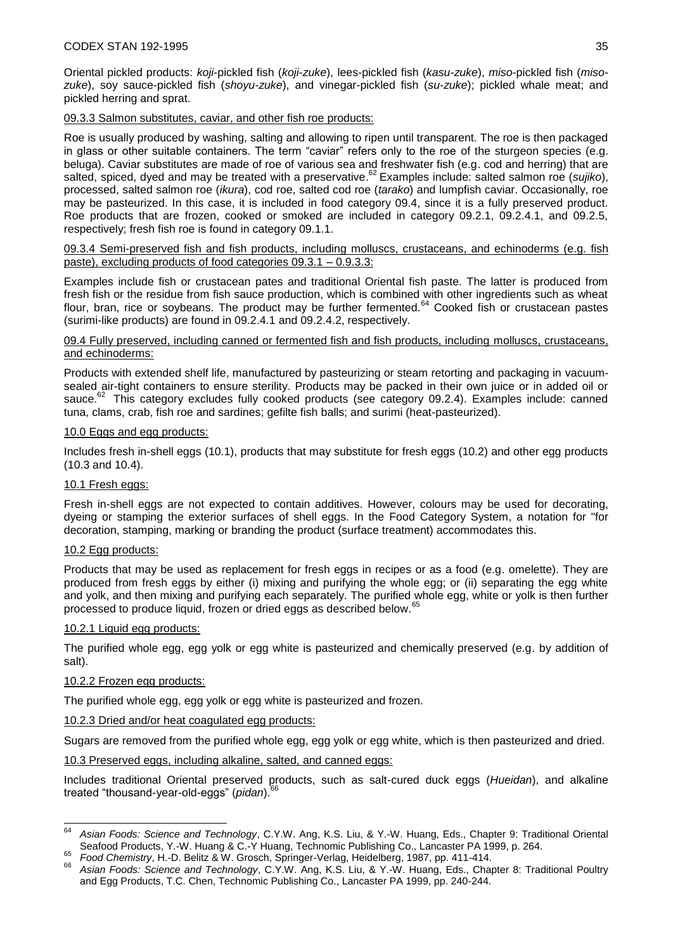Oriental pickled products: *koji*-pickled fish (*koji-zuke*), lees-pickled fish (*kasu-zuke*), *miso*-pickled fish (*misozuke*), soy sauce-pickled fish (*shoyu-zuke*), and vinegar-pickled fish (*su-zuke*); pickled whale meat; and pickled herring and sprat.

## 09.3.3 Salmon substitutes, caviar, and other fish roe products:

Roe is usually produced by washing, salting and allowing to ripen until transparent. The roe is then packaged in glass or other suitable containers. The term "caviar" refers only to the roe of the sturgeon species (e.g. beluga). Caviar substitutes are made of roe of various sea and freshwater fish (e.g. cod and herring) that are salted, spiced, dyed and may be treated with a preservative. [62](#page-32-0) Examples include: salted salmon roe (*sujiko*), processed, salted salmon roe (*ikura*), cod roe, salted cod roe (*tarako*) and lumpfish caviar. Occasionally, roe may be pasteurized. In this case, it is included in food category 09.4, since it is a fully preserved product. Roe products that are frozen, cooked or smoked are included in category 09.2.1, 09.2.4.1, and 09.2.5, respectively; fresh fish roe is found in category 09.1.1.

### 09.3.4 Semi-preserved fish and fish products, including molluscs, crustaceans, and echinoderms (e.g. fish paste), excluding products of food categories 09.3.1 – 0.9.3.3:

Examples include fish or crustacean pates and traditional Oriental fish paste. The latter is produced from fresh fish or the residue from fish sauce production, which is combined with other ingredients such as wheat flour, bran, rice or soybeans. The product may be further fermented.<sup>64</sup> Cooked fish or crustacean pastes (surimi-like products) are found in 09.2.4.1 and 09.2.4.2, respectively.

### 09.4 Fully preserved, including canned or fermented fish and fish products, including molluscs, crustaceans, and echinoderms:

Products with extended shelf life, manufactured by pasteurizing or steam retorting and packaging in vacuumsealed air-tight containers to ensure sterility. Products may be packed in their own juice or in added oil or sauce.<sup>62</sup> This category excludes fully cooked products (see category 09.2.4). Examples include: canned tuna, clams, crab, fish roe and sardines; gefilte fish balls; and surimi (heat-pasteurized).

## 10.0 Eggs and egg products:

Includes fresh in-shell eggs (10.1), products that may substitute for fresh eggs (10.2) and other egg products (10.3 and 10.4).

## 10.1 Fresh eggs:

Fresh in-shell eggs are not expected to contain additives. However, colours may be used for decorating, dyeing or stamping the exterior surfaces of shell eggs. In the Food Category System, a notation for "for decoration, stamping, marking or branding the product (surface treatment) accommodates this.

## 10.2 Egg products:

Products that may be used as replacement for fresh eggs in recipes or as a food (e.g. omelette). They are produced from fresh eggs by either (i) mixing and purifying the whole egg; or (ii) separating the egg white and yolk, and then mixing and purifying each separately. The purified whole egg, white or yolk is then further processed to produce liquid, frozen or dried eggs as described below.<sup>65</sup>

## 10.2.1 Liquid egg products:

The purified whole egg, egg yolk or egg white is pasteurized and chemically preserved (e.g. by addition of salt).

#### 10.2.2 Frozen egg products:

The purified whole egg, egg yolk or egg white is pasteurized and frozen.

#### 10.2.3 Dried and/or heat coagulated egg products:

Sugars are removed from the purified whole egg, egg yolk or egg white, which is then pasteurized and dried.

## 10.3 Preserved eggs, including alkaline, salted, and canned eggs:

Includes traditional Oriental preserved products, such as salt-cured duck eggs (*Hueidan*), and alkaline treated "thousand-year-old-eggs" (*pidan*).<sup>6</sup>

<sup>64</sup> <sup>64</sup> *Asian Foods: Science and Technology*, C.Y.W. Ang, K.S. Liu, & Y.-W. Huang, Eds., Chapter 9: Traditional Oriental Seafood Products, Y.-W. Huang & C.-Y Huang, Technomic Publishing Co., Lancaster PA 1999, p. 264.

<sup>65</sup> *Food Chemistry*, H.-D. Belitz & W. Grosch, Springer-Verlag, Heidelberg, 1987, pp. 411-414.

<sup>66</sup> *Asian Foods: Science and Technology*, C.Y.W. Ang, K.S. Liu, & Y.-W. Huang, Eds., Chapter 8: Traditional Poultry and Egg Products, T.C. Chen, Technomic Publishing Co., Lancaster PA 1999, pp. 240-244.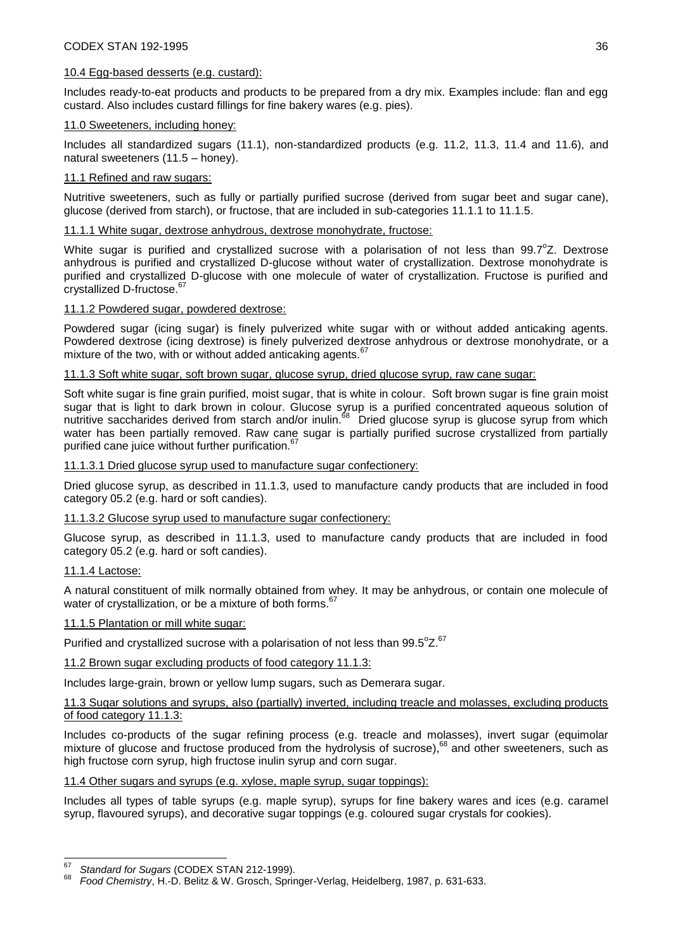## 10.4 Egg-based desserts (e.g. custard):

Includes ready-to-eat products and products to be prepared from a dry mix. Examples include: flan and egg custard. Also includes custard fillings for fine bakery wares (e.g. pies).

## 11.0 Sweeteners, including honey:

Includes all standardized sugars (11.1), non-standardized products (e.g. 11.2, 11.3, 11.4 and 11.6), and natural sweeteners (11.5 – honey).

## 11.1 Refined and raw sugars:

Nutritive sweeteners, such as fully or partially purified sucrose (derived from sugar beet and sugar cane), glucose (derived from starch), or fructose, that are included in sub-categories 11.1.1 to 11.1.5.

## 11.1.1 White sugar, dextrose anhydrous, dextrose monohydrate, fructose:

White sugar is purified and crystallized sucrose with a polarisation of not less than  $99.7^{\circ}$ Z. Dextrose anhydrous is purified and crystallized D-glucose without water of crystallization. Dextrose monohydrate is purified and crystallized D-glucose with one molecule of water of crystallization. Fructose is purified and crystallized D-fructose.<sup>6</sup>

## <span id="page-35-0"></span>11.1.2 Powdered sugar, powdered dextrose:

Powdered sugar (icing sugar) is finely pulverized white sugar with or without added anticaking agents. Powdered dextrose (icing dextrose) is finely pulverized dextrose anhydrous or dextrose monohydrate, or a mixture of the two, with or without added anticaking agents.<sup>[67](#page-35-0)</sup>

## 11.1.3 Soft white sugar, soft brown sugar, glucose syrup, dried glucose syrup, raw cane sugar:

<span id="page-35-1"></span>Soft white sugar is fine grain purified, moist sugar, that is white in colour. Soft brown sugar is fine grain moist sugar that is light to dark brown in colour. Glucose syrup is a purified concentrated aqueous solution of nutritive saccharides derived from starch and/or inulin.<sup>68</sup> Dried glucose syrup is glucose syrup from which water has been partially removed. Raw cane sugar is partially purified sucrose crystallized from partially purified cane juice without further purification.<sup>[67](#page-35-0)</sup>

## 11.1.3.1 Dried glucose syrup used to manufacture sugar confectionery:

Dried glucose syrup, as described in 11.1.3, used to manufacture candy products that are included in food category 05.2 (e.g. hard or soft candies).

## 11.1.3.2 Glucose syrup used to manufacture sugar confectionery:

Glucose syrup, as described in 11.1.3, used to manufacture candy products that are included in food category 05.2 (e.g. hard or soft candies).

## 11.1.4 Lactose:

A natural constituent of milk normally obtained from whey. It may be anhydrous, or contain one molecule of water of crystallization, or be a mixture of both forms.<sup>[67](#page-35-0)</sup>

### 11.1.5 Plantation or mill white sugar:

Purified and crystallized sucrose with a polarisation of not less than 99.5 $^{\circ}$ Z. $^{\circ}$ 7

#### 11.2 Brown sugar excluding products of food category 11.1.3:

Includes large-grain, brown or yellow lump sugars, such as Demerara sugar.

## 11.3 Sugar solutions and syrups, also (partially) inverted, including treacle and molasses, excluding products of food category 11.1.3:

Includes co-products of the sugar refining process (e.g. treacle and molasses), invert sugar (equimolar mixture of glucose and fructose produced from the hydrolysis of sucrose), $68$  and other sweeteners, such as high fructose corn syrup, high fructose inulin syrup and corn sugar.

#### 11.4 Other sugars and syrups (e.g. xylose, maple syrup, sugar toppings):

Includes all types of table syrups (e.g. maple syrup), syrups for fine bakery wares and ices (e.g. caramel syrup, flavoured syrups), and decorative sugar toppings (e.g. coloured sugar crystals for cookies).

<sup>67</sup> <sup>67</sup> *Standard for Sugars* (CODEX STAN 212-1999).

<sup>68</sup> *Food Chemistry*, H.-D. Belitz & W. Grosch, Springer-Verlag, Heidelberg, 1987, p. 631-633.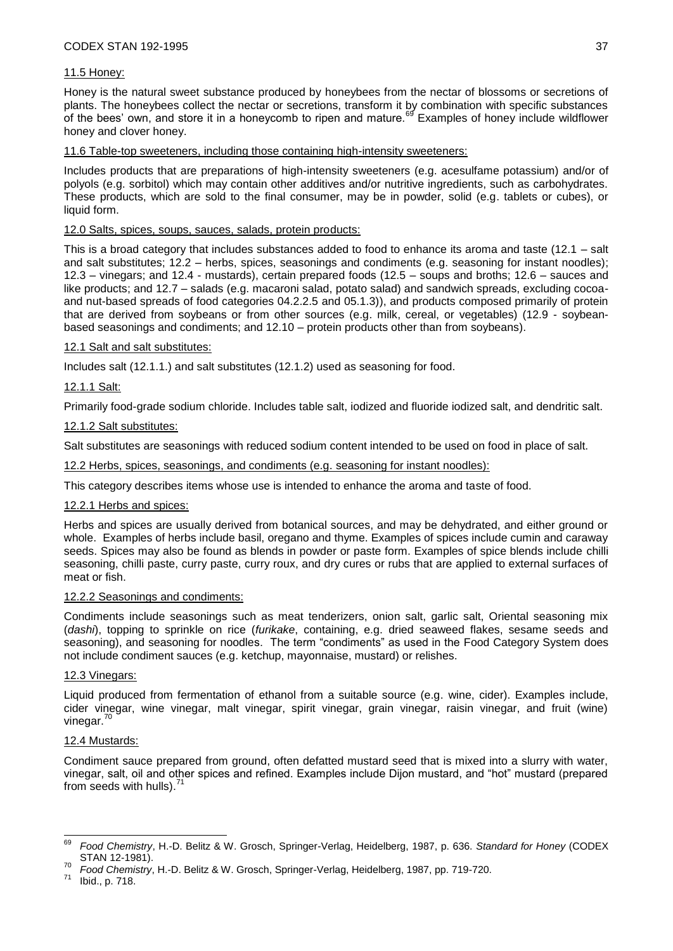## 11.5 Honey:

Honey is the natural sweet substance produced by honeybees from the nectar of blossoms or secretions of plants. The honeybees collect the nectar or secretions, transform it by combination with specific substances of the bees' own, and store it in a honeycomb to ripen and mature.<sup>69</sup> Examples of honey include wildflower honey and clover honey.

## 11.6 Table-top sweeteners, including those containing high-intensity sweeteners:

Includes products that are preparations of high-intensity sweeteners (e.g. acesulfame potassium) and/or of polyols (e.g. sorbitol) which may contain other additives and/or nutritive ingredients, such as carbohydrates. These products, which are sold to the final consumer, may be in powder, solid (e.g. tablets or cubes), or liquid form.

## 12.0 Salts, spices, soups, sauces, salads, protein products:

This is a broad category that includes substances added to food to enhance its aroma and taste (12.1 – salt and salt substitutes; 12.2 – herbs, spices, seasonings and condiments (e.g. seasoning for instant noodles); 12.3 – vinegars; and 12.4 - mustards), certain prepared foods (12.5 – soups and broths; 12.6 – sauces and like products; and 12.7 – salads (e.g. macaroni salad, potato salad) and sandwich spreads, excluding cocoaand nut-based spreads of food categories 04.2.2.5 and 05.1.3)), and products composed primarily of protein that are derived from soybeans or from other sources (e.g. milk, cereal, or vegetables) (12.9 - soybeanbased seasonings and condiments; and 12.10 – protein products other than from soybeans).

## 12.1 Salt and salt substitutes:

Includes salt (12.1.1.) and salt substitutes (12.1.2) used as seasoning for food.

12.1.1 Salt:

Primarily food-grade sodium chloride. Includes table salt, iodized and fluoride iodized salt, and dendritic salt.

## 12.1.2 Salt substitutes:

Salt substitutes are seasonings with reduced sodium content intended to be used on food in place of salt.

12.2 Herbs, spices, seasonings, and condiments (e.g. seasoning for instant noodles):

This category describes items whose use is intended to enhance the aroma and taste of food.

#### 12.2.1 Herbs and spices:

Herbs and spices are usually derived from botanical sources, and may be dehydrated, and either ground or whole. Examples of herbs include basil, oregano and thyme. Examples of spices include cumin and caraway seeds. Spices may also be found as blends in powder or paste form. Examples of spice blends include chilli seasoning, chilli paste, curry paste, curry roux, and dry cures or rubs that are applied to external surfaces of meat or fish.

#### 12.2.2 Seasonings and condiments:

Condiments include seasonings such as meat tenderizers, onion salt, garlic salt, Oriental seasoning mix (*dashi*), topping to sprinkle on rice (*furikake*, containing, e.g. dried seaweed flakes, sesame seeds and seasoning), and seasoning for noodles. The term "condiments" as used in the Food Category System does not include condiment sauces (e.g. ketchup, mayonnaise, mustard) or relishes.

### 12.3 Vinegars:

Liquid produced from fermentation of ethanol from a suitable source (e.g. wine, cider). Examples include, cider vinegar, wine vinegar, malt vinegar, spirit vinegar, grain vinegar, raisin vinegar, and fruit (wine) vinegar.<sup>70</sup>

## 12.4 Mustards:

Condiment sauce prepared from ground, often defatted mustard seed that is mixed into a slurry with water, vinegar, salt, oil and other spices and refined. Examples include Dijon mustard, and "hot" mustard (prepared from seeds with hulls).<sup>71</sup>

<sup>69</sup> <sup>69</sup> *Food Chemistry*, H.-D. Belitz & W. Grosch, Springer-Verlag, Heidelberg, 1987, p. 636. *Standard for Honey* (CODEX STAN 12-1981).

<sup>70</sup> *Food Chemistry*, H.-D. Belitz & W. Grosch, Springer-Verlag, Heidelberg, 1987, pp. 719-720.

Ibid., p. 718.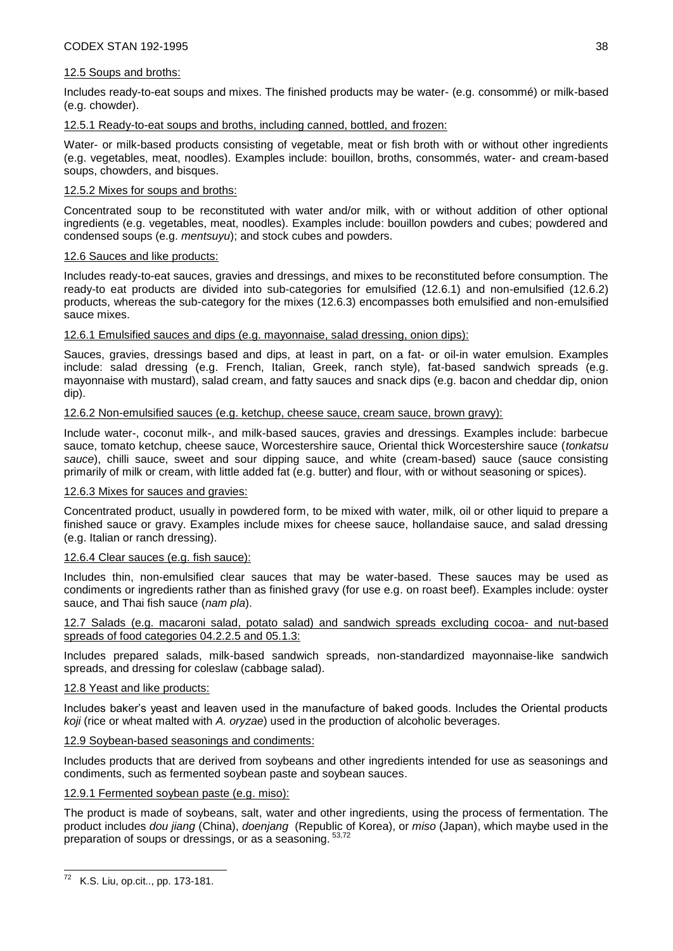### 12.5 Soups and broths:

Includes ready-to-eat soups and mixes. The finished products may be water- (e.g. consommé) or milk-based (e.g. chowder).

## 12.5.1 Ready-to-eat soups and broths, including canned, bottled, and frozen:

Water- or milk-based products consisting of vegetable, meat or fish broth with or without other ingredients (e.g. vegetables, meat, noodles). Examples include: bouillon, broths, consommés, water- and cream-based soups, chowders, and bisques.

## 12.5.2 Mixes for soups and broths:

Concentrated soup to be reconstituted with water and/or milk, with or without addition of other optional ingredients (e.g. vegetables, meat, noodles). Examples include: bouillon powders and cubes; powdered and condensed soups (e.g. *mentsuyu*); and stock cubes and powders.

## 12.6 Sauces and like products:

Includes ready-to-eat sauces, gravies and dressings, and mixes to be reconstituted before consumption. The ready-to eat products are divided into sub-categories for emulsified (12.6.1) and non-emulsified (12.6.2) products, whereas the sub-category for the mixes (12.6.3) encompasses both emulsified and non-emulsified sauce mixes.

## 12.6.1 Emulsified sauces and dips (e.g. mayonnaise, salad dressing, onion dips):

Sauces, gravies, dressings based and dips, at least in part, on a fat- or oil-in water emulsion. Examples include: salad dressing (e.g. French, Italian, Greek, ranch style), fat-based sandwich spreads (e.g. mayonnaise with mustard), salad cream, and fatty sauces and snack dips (e.g. bacon and cheddar dip, onion dip).

## 12.6.2 Non-emulsified sauces (e.g. ketchup, cheese sauce, cream sauce, brown gravy):

Include water-, coconut milk-, and milk-based sauces, gravies and dressings. Examples include: barbecue sauce, tomato ketchup, cheese sauce, Worcestershire sauce, Oriental thick Worcestershire sauce (*tonkatsu sauce*), chilli sauce, sweet and sour dipping sauce, and white (cream-based) sauce (sauce consisting primarily of milk or cream, with little added fat (e.g. butter) and flour, with or without seasoning or spices).

## 12.6.3 Mixes for sauces and gravies:

Concentrated product, usually in powdered form, to be mixed with water, milk, oil or other liquid to prepare a finished sauce or gravy. Examples include mixes for cheese sauce, hollandaise sauce, and salad dressing (e.g. Italian or ranch dressing).

## 12.6.4 Clear sauces (e.g. fish sauce):

Includes thin, non-emulsified clear sauces that may be water-based. These sauces may be used as condiments or ingredients rather than as finished gravy (for use e.g. on roast beef). Examples include: oyster sauce, and Thai fish sauce (*nam pla*).

#### 12.7 Salads (e.g. macaroni salad, potato salad) and sandwich spreads excluding cocoa- and nut-based spreads of food categories 04.2.2.5 and 05.1.3:

Includes prepared salads, milk-based sandwich spreads, non-standardized mayonnaise-like sandwich spreads, and dressing for coleslaw (cabbage salad).

## 12.8 Yeast and like products:

Includes baker's yeast and leaven used in the manufacture of baked goods. Includes the Oriental products *koji* (rice or wheat malted with *A. oryzae*) used in the production of alcoholic beverages.

## 12.9 Soybean-based seasonings and condiments:

Includes products that are derived from soybeans and other ingredients intended for use as seasonings and condiments, such as fermented soybean paste and soybean sauces.

## 12.9.1 Fermented soybean paste (e.g. miso):

The product is made of soybeans, salt, water and other ingredients, using the process of fermentation. The product includes *dou jiang* (China), *doenjang* (Republic of Korea), or *miso* (Japan), which maybe used in the preparation of soups or dressings, or as a seasoning.  $53,72$  $53,72$ 

<sup>-</sup><sup>72</sup> K.S. Liu, op.cit.., pp. 173-181.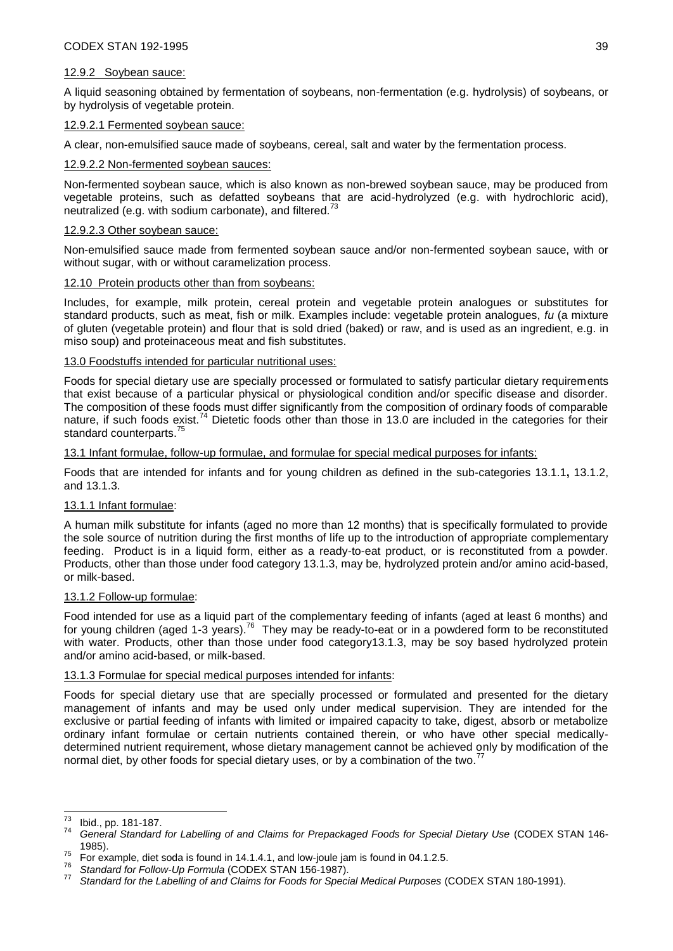### 12.9.2 Soybean sauce:

A liquid seasoning obtained by fermentation of soybeans, non-fermentation (e.g. hydrolysis) of soybeans, or by hydrolysis of vegetable protein.

## 12.9.2.1 Fermented soybean sauce:

A clear, non-emulsified sauce made of soybeans, cereal, salt and water by the fermentation process.

### 12.9.2.2 Non-fermented soybean sauces:

Non-fermented soybean sauce, which is also known as non-brewed soybean sauce, may be produced from vegetable proteins, such as defatted soybeans that are acid-hydrolyzed (e.g. with hydrochloric acid), neutralized (e.g. with sodium carbonate), and filtered.<sup>7</sup>

## 12.9.2.3 Other soybean sauce:

Non-emulsified sauce made from fermented soybean sauce and/or non-fermented soybean sauce, with or without sugar, with or without caramelization process.

## 12.10 Protein products other than from soybeans:

Includes, for example, milk protein, cereal protein and vegetable protein analogues or substitutes for standard products, such as meat, fish or milk. Examples include: vegetable protein analogues, *fu* (a mixture of gluten (vegetable protein) and flour that is sold dried (baked) or raw, and is used as an ingredient, e.g. in miso soup) and proteinaceou*s* meat and fish substitutes.

## 13.0 Foodstuffs intended for particular nutritional uses:

Foods for special dietary use are specially processed or formulated to satisfy particular dietary requirements that exist because of a particular physical or physiological condition and/or specific disease and disorder. The composition of these foods must differ significantly from the composition of ordinary foods of comparable nature, if such foods exist.<sup>74</sup> Dietetic foods other than those in 13.0 are included in the categories for their standard counterparts.

## 13.1 Infant formulae, follow-up formulae, and formulae for special medical purposes for infants:

Foods that are intended for infants and for young children as defined in the sub-categories 13.1.1**,** 13.1.2, and 13.1.3.

## 13.1.1 Infant formulae:

A human milk substitute for infants (aged no more than 12 months) that is specifically formulated to provide the sole source of nutrition during the first months of life up to the introduction of appropriate complementary feeding. Product is in a liquid form, either as a ready-to-eat product, or is reconstituted from a powder. Products, other than those under food category 13.1.3, may be, hydrolyzed protein and/or amino acid-based, or milk-based.

## 13.1.2 Follow-up formulae:

Food intended for use as a liquid part of the complementary feeding of infants (aged at least 6 months) and for young children (aged 1-3 years).<sup>76</sup> They may be ready-to-eat or in a powdered form to be reconstituted with water. Products, other than those under food category13.1.3, may be soy based hydrolyzed protein and/or amino acid-based, or milk-based.

### 13.1.3 Formulae for special medical purposes intended for infants:

Foods for special dietary use that are specially processed or formulated and presented for the dietary management of infants and may be used only under medical supervision. They are intended for the exclusive or partial feeding of infants with limited or impaired capacity to take, digest, absorb or metabolize ordinary infant formulae or certain nutrients contained therein, or who have other special medicallydetermined nutrient requirement, whose dietary management cannot be achieved only by modification of the normal diet, by other foods for special dietary uses, or by a combination of the two.<sup>77</sup>

<span id="page-38-0"></span><sup>73</sup>  $\frac{73}{74}$  Ibid., pp. 181-187.

<sup>74</sup> *General Standard for Labelling of and Claims for Prepackaged Foods for Special Dietary Use* (CODEX STAN 146- 1985).

 $75$  For example, diet soda is found in 14.1.4.1, and low-joule jam is found in 04.1.2.5.

<sup>&</sup>lt;sup>76</sup> Standard for Follow-Up Formula (CODEX STAN 156-1987).<br><sup>77</sup> Standard for the Lobelling of and Claims for Foods for Speci

<sup>77</sup> *Standard for the Labelling of and Claims for Foods for Special Medical Purposes* (CODEX STAN 180-1991).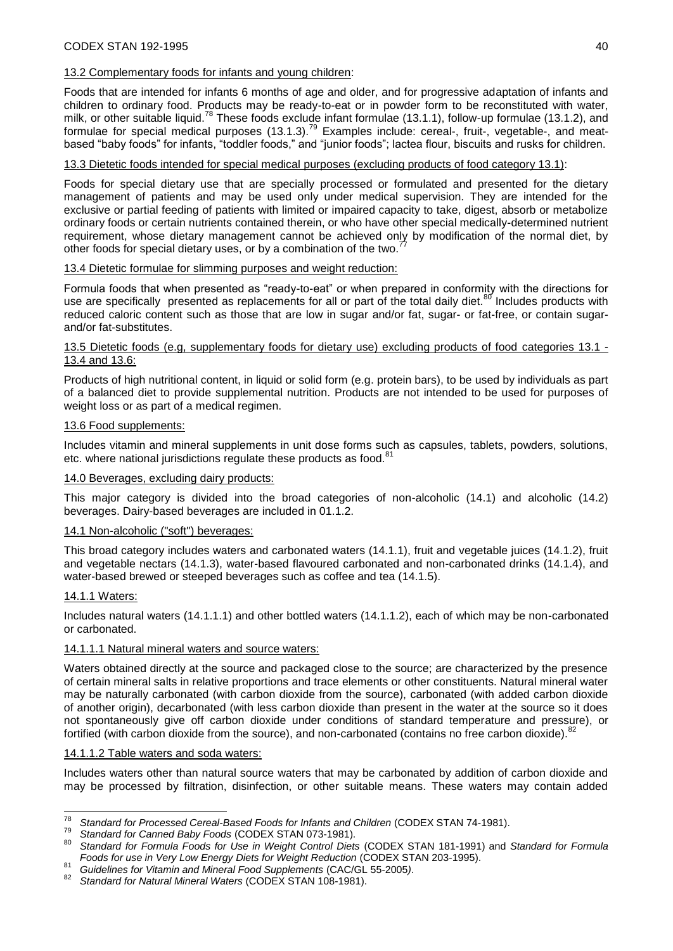## 13.2 Complementary foods for infants and young children:

Foods that are intended for infants 6 months of age and older, and for progressive adaptation of infants and children to ordinary food. Products may be ready-to-eat or in powder form to be reconstituted with water, milk, or other suitable liquid.<sup>78</sup> These foods exclude infant formulae (13.1.1), follow-up formulae (13.1.2), and formulae for special medical purposes (13.1.3).<sup>79</sup> Examples include: cereal-, fruit-, vegetable-, and meatbased "baby foods" for infants, "toddler foods," and "junior foods"; lactea flour, biscuits and rusks for children.

## 13.3 Dietetic foods intended for special medical purposes (excluding products of food category 13.1):

Foods for special dietary use that are specially processed or formulated and presented for the dietary management of patients and may be used only under medical supervision. They are intended for the exclusive or partial feeding of patients with limited or impaired capacity to take, digest, absorb or metabolize ordinary foods or certain nutrients contained therein, or who have other special medically-determined nutrient requirement, whose dietary management cannot be achieved only by modification of the normal diet, by other foods for special dietary uses, or by a combination of the two.<sup>7</sup>

## 13.4 Dietetic formulae for slimming purposes and weight reduction:

Formula foods that when presented as "ready-to-eat" or when prepared in conformity with the directions for use are specifically presented as replacements for all or part of the total daily diet.<sup>80</sup> Includes products with reduced caloric content such as those that are low in sugar and/or fat, sugar- or fat-free, or contain sugarand/or fat-substitutes.

## 13.5 Dietetic foods (e.g, supplementary foods for dietary use) excluding products of food categories 13.1 - 13.4 and 13.6:

Products of high nutritional content, in liquid or solid form (e.g. protein bars), to be used by individuals as part of a balanced diet to provide supplemental nutrition. Products are not intended to be used for purposes of weight loss or as part of a medical regimen.

## 13.6 Food supplements:

Includes vitamin and mineral supplements in unit dose forms such as capsules, tablets, powders, solutions, etc. where national jurisdictions regulate these products as food.<sup>8</sup>

## 14.0 Beverages, excluding dairy products:

This major category is divided into the broad categories of non-alcoholic (14.1) and alcoholic (14.2) beverages. Dairy-based beverages are included in 01.1.2.

## 14.1 Non-alcoholic ("soft") beverages:

This broad category includes waters and carbonated waters (14.1.1), fruit and vegetable juices (14.1.2), fruit and vegetable nectars (14.1.3), water-based flavoured carbonated and non-carbonated drinks (14.1.4), and water-based brewed or steeped beverages such as coffee and tea (14.1.5).

## 14.1.1 Waters:

Includes natural waters (14.1.1.1) and other bottled waters (14.1.1.2), each of which may be non-carbonated or carbonated.

## 14.1.1.1 Natural mineral waters and source waters:

Waters obtained directly at the source and packaged close to the source; are characterized by the presence of certain mineral salts in relative proportions and trace elements or other constituents. Natural mineral water may be naturally carbonated (with carbon dioxide from the source), carbonated (with added carbon dioxide of another origin), decarbonated (with less carbon dioxide than present in the water at the source so it does not spontaneously give off carbon dioxide under conditions of standard temperature and pressure), or fortified (with carbon dioxide from the source), and non-carbonated (contains no free carbon dioxide).<sup>82</sup>

## 14.1.1.2 Table waters and soda waters:

Includes waters other than natural source waters that may be carbonated by addition of carbon dioxide and may be processed by filtration, disinfection, or other suitable means. These waters may contain added

<sup>78</sup> <sup>78</sup> *Standard for Processed Cereal-Based Foods for Infants and Children* (CODEX STAN 74-1981).

<sup>79</sup> *Standard for Canned Baby Foods* (CODEX STAN 073-1981).

<sup>80</sup> *Standard for Formula Foods for Use in Weight Control Diets* (CODEX STAN 181-1991) and *Standard for Formula Foods for use in Very Low Energy Diets for Weight Reduction* (CODEX STAN 203-1995).

<sup>81</sup> *Guidelines for Vitamin and Mineral Food Supplements* (CAC/GL 55-2005*)*.

<sup>82</sup> *Standard for Natural Mineral Waters* (CODEX STAN 108-1981).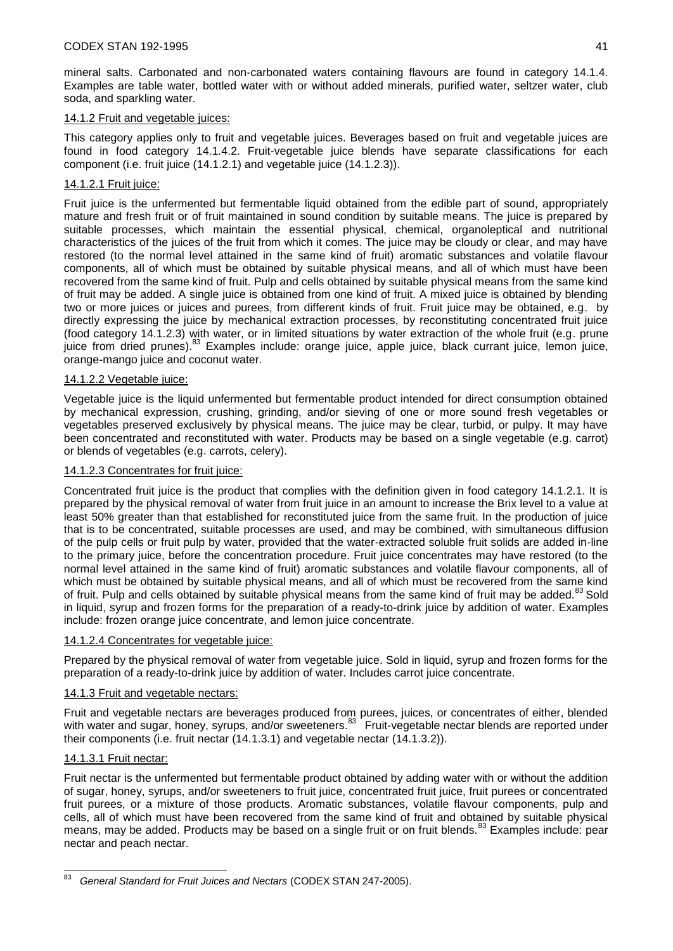mineral salts. Carbonated and non-carbonated waters containing flavours are found in category 14.1.4. Examples are table water, bottled water with or without added minerals, purified water, seltzer water, club soda, and sparkling water.

### 14.1.2 Fruit and vegetable juices:

This category applies only to fruit and vegetable juices. Beverages based on fruit and vegetable juices are found in food category 14.1.4.2. Fruit-vegetable juice blends have separate classifications for each component (i.e. fruit juice (14.1.2.1) and vegetable juice (14.1.2.3)).

## 14.1.2.1 Fruit juice:

Fruit juice is the unfermented but fermentable liquid obtained from the edible part of sound, appropriately mature and fresh fruit or of fruit maintained in sound condition by suitable means. The juice is prepared by suitable processes, which maintain the essential physical, chemical, organoleptical and nutritional characteristics of the juices of the fruit from which it comes. The juice may be cloudy or clear, and may have restored (to the normal level attained in the same kind of fruit) aromatic substances and volatile flavour components, all of which must be obtained by suitable physical means, and all of which must have been recovered from the same kind of fruit. Pulp and cells obtained by suitable physical means from the same kind of fruit may be added. A single juice is obtained from one kind of fruit. A mixed juice is obtained by blending two or more juices or juices and purees, from different kinds of fruit. Fruit juice may be obtained, e.g. by directly expressing the juice by mechanical extraction processes, by reconstituting concentrated fruit juice (food category 14.1.2.3) with water, or in limited situations by water extraction of the whole fruit (e.g. prune juice from dried prunes).<sup>83</sup> Examples include: orange juice, apple juice, black currant juice, lemon juice, orange-mango juice and coconut water.

## <span id="page-40-0"></span>14.1.2.2 Vegetable juice:

Vegetable juice is the liquid unfermented but fermentable product intended for direct consumption obtained by mechanical expression, crushing, grinding, and/or sieving of one or more sound fresh vegetables or vegetables preserved exclusively by physical means. The juice may be clear, turbid, or pulpy. It may have been concentrated and reconstituted with water. Products may be based on a single vegetable (e.g. carrot) or blends of vegetables (e.g. carrots, celery).

## 14.1.2.3 Concentrates for fruit juice:

Concentrated fruit juice is the product that complies with the definition given in food category 14.1.2.1. It is prepared by the physical removal of water from fruit juice in an amount to increase the Brix level to a value at least 50% greater than that established for reconstituted juice from the same fruit. In the production of juice that is to be concentrated, suitable processes are used, and may be combined, with simultaneous diffusion of the pulp cells or fruit pulp by water, provided that the water-extracted soluble fruit solids are added in-line to the primary juice, before the concentration procedure. Fruit juice concentrates may have restored (to the normal level attained in the same kind of fruit) aromatic substances and volatile flavour components, all of which must be obtained by suitable physical means, and all of which must be recovered from the same kind of fruit. Pulp and cells obtained by suitable physical means from the same kind of fruit may be added.<sup>[83](#page-40-0)</sup> Sold in liquid, syrup and frozen forms for the preparation of a ready-to-drink juice by addition of water. Examples include: frozen orange juice concentrate, and lemon juice concentrate.

#### 14.1.2.4 Concentrates for vegetable juice:

Prepared by the physical removal of water from vegetable juice. Sold in liquid, syrup and frozen forms for the preparation of a ready-to-drink juice by addition of water. Includes carrot juice concentrate.

## 14.1.3 Fruit and vegetable nectars:

Fruit and vegetable nectars are beverages produced from purees, juices, or concentrates of either, blended with water and sugar, honey, syrups, and/or sweeteners.<sup>[83](#page-40-0)</sup> Fruit-vegetable nectar blends are reported under their components (i.e. fruit nectar (14.1.3.1) and vegetable nectar (14.1.3.2)).

### 14.1.3.1 Fruit nectar:

Fruit nectar is the unfermented but fermentable product obtained by adding water with or without the addition of sugar, honey, syrups, and/or sweeteners to fruit juice, concentrated fruit juice, fruit purees or concentrated fruit purees, or a mixture of those products. Aromatic substances, volatile flavour components, pulp and cells, all of which must have been recovered from the same kind of fruit and obtained by suitable physical means, may be added. Products may be based on a single fruit or on fruit blends.<sup>[83](#page-40-0)</sup> Examples include: pear nectar and peach nectar.

 $\overline{\phantom{a}}$ <sup>83</sup> *General Standard for Fruit Juices and Nectars* (CODEX STAN 247-2005).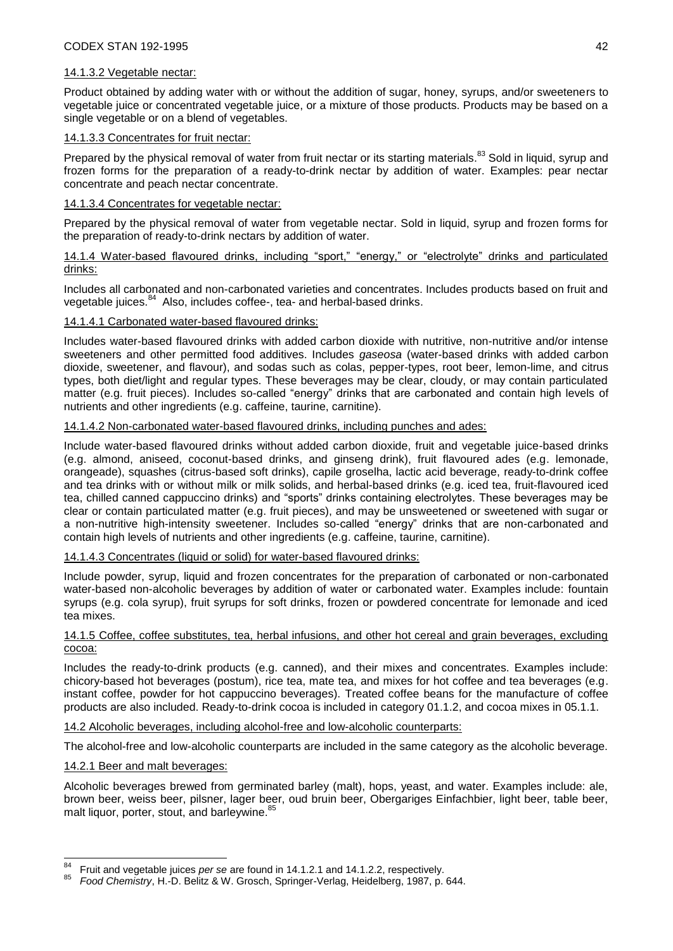### 14.1.3.2 Vegetable nectar:

Product obtained by adding water with or without the addition of sugar, honey, syrups, and/or sweeteners to vegetable juice or concentrated vegetable juice, or a mixture of those products. Products may be based on a single vegetable or on a blend of vegetables.

## 14.1.3.3 Concentrates for fruit nectar:

Prepared by the physical removal of water from fruit nectar or its starting materials.<sup>[83](#page-40-0)</sup> Sold in liquid, syrup and frozen forms for the preparation of a ready-to-drink nectar by addition of water. Examples: pear nectar concentrate and peach nectar concentrate.

## 14.1.3.4 Concentrates for vegetable nectar:

Prepared by the physical removal of water from vegetable nectar. Sold in liquid, syrup and frozen forms for the preparation of ready-to-drink nectars by addition of water.

## 14.1.4 Water-based flavoured drinks, including "sport," "energy," or "electrolyte" drinks and particulated drinks:

Includes all carbonated and non-carbonated varieties and concentrates. Includes products based on fruit and vegetable juices.<sup>84</sup> Also, includes coffee-, tea- and herbal-based drinks.

## 14.1.4.1 Carbonated water-based flavoured drinks:

Includes water-based flavoured drinks with added carbon dioxide with nutritive, non-nutritive and/or intense sweeteners and other permitted food additives. Includes *gaseosa* (water-based drinks with added carbon dioxide, sweetener, and flavour), and sodas such as colas, pepper-types, root beer, lemon-lime, and citrus types, both diet/light and regular types. These beverages may be clear, cloudy, or may contain particulated matter (e.g. fruit pieces). Includes so-called "energy" drinks that are carbonated and contain high levels of nutrients and other ingredients (e.g. caffeine, taurine, carnitine).

## 14.1.4.2 Non-carbonated water-based flavoured drinks, including punches and ades:

Include water-based flavoured drinks without added carbon dioxide, fruit and vegetable juice-based drinks (e.g. almond, aniseed, coconut-based drinks, and ginseng drink), fruit flavoured ades (e.g. lemonade, orangeade), squashes (citrus-based soft drinks), capile groselha, lactic acid beverage, ready-to-drink coffee and tea drinks with or without milk or milk solids, and herbal-based drinks (e.g. iced tea, fruit-flavoured iced tea, chilled canned cappuccino drinks) and "sports" drinks containing electrolytes. These beverages may be clear or contain particulated matter (e.g. fruit pieces), and may be unsweetened or sweetened with sugar or a non-nutritive high-intensity sweetener. Includes so-called "energy" drinks that are non-carbonated and contain high levels of nutrients and other ingredients (e.g. caffeine, taurine, carnitine).

## 14.1.4.3 Concentrates (liquid or solid) for water-based flavoured drinks:

Include powder, syrup, liquid and frozen concentrates for the preparation of carbonated or non-carbonated water-based non-alcoholic beverages by addition of water or carbonated water. Examples include: fountain syrups (e.g. cola syrup), fruit syrups for soft drinks, frozen or powdered concentrate for lemonade and iced tea mixes.

## 14.1.5 Coffee, coffee substitutes, tea, herbal infusions, and other hot cereal and grain beverages, excluding cocoa:

Includes the ready-to-drink products (e.g. canned), and their mixes and concentrates. Examples include: chicory-based hot beverages (postum), rice tea, mate tea, and mixes for hot coffee and tea beverages (e.g. instant coffee, powder for hot cappuccino beverages). Treated coffee beans for the manufacture of coffee products are also included. Ready-to-drink cocoa is included in category 01.1.2, and cocoa mixes in 05.1.1.

14.2 Alcoholic beverages, including alcohol-free and low-alcoholic counterparts:

The alcohol-free and low-alcoholic counterparts are included in the same category as the alcoholic beverage.

## 14.2.1 Beer and malt beverages:

-

Alcoholic beverages brewed from germinated barley (malt), hops, yeast, and water. Examples include: ale, brown beer, weiss beer, pilsner, lager beer, oud bruin beer, Obergariges Einfachbier, light beer, table beer, malt liquor, porter, stout, and barleywine.<sup>85</sup>

<sup>84</sup> Fruit and vegetable juices *per se* are found in 14.1.2.1 and 14.1.2.2, respectively.

<sup>85</sup> *Food Chemistry*, H.-D. Belitz & W. Grosch, Springer-Verlag, Heidelberg, 1987, p. 644.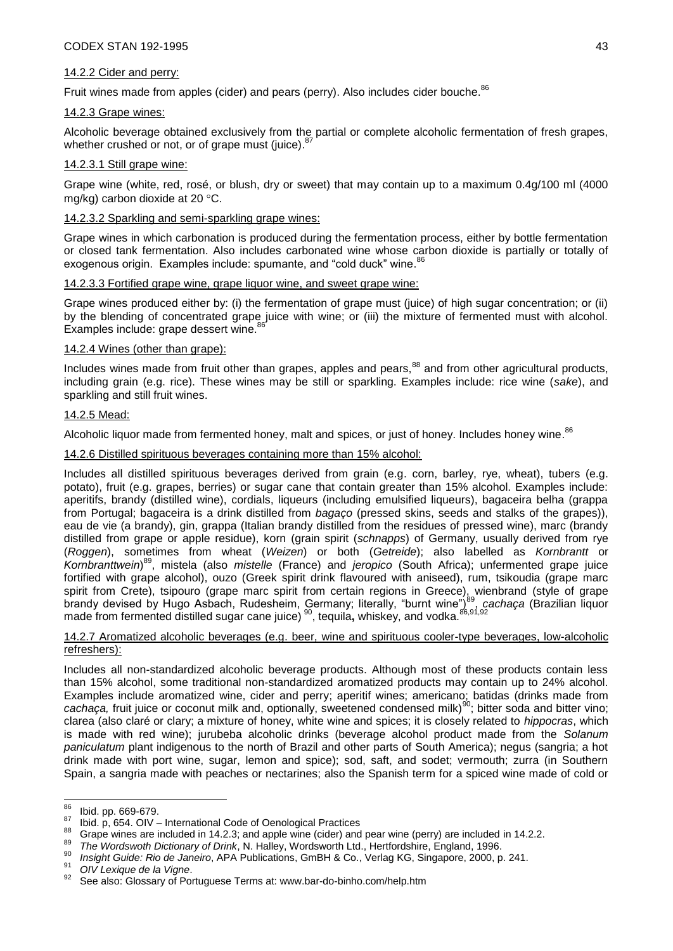## 14.2.2 Cider and perry:

<span id="page-42-0"></span>Fruit wines made from apples (cider) and pears (perry). Also includes cider bouche.<sup>86</sup>

## 14.2.3 Grape wines:

Alcoholic beverage obtained exclusively from the partial or complete alcoholic fermentation of fresh grapes, whether crushed or not, or of grape must (juice). <sup>87</sup>

## 14.2.3.1 Still grape wine:

Grape wine (white, red, rosé, or blush, dry or sweet) that may contain up to a maximum 0.4g/100 ml (4000 mg/kg) carbon dioxide at 20 $\degree$ C.

## 14.2.3.2 Sparkling and semi-sparkling grape wines:

Grape wines in which carbonation is produced during the fermentation process, either by bottle fermentation or closed tank fermentation. Also includes carbonated wine whose carbon dioxide is partially or totally of exogenous origin. Examples include: spumante, and "cold duck" wine. [86](#page-42-0)

## 14.2.3.3 Fortified grape wine, grape liquor wine, and sweet grape wine:

Grape wines produced either by: (i) the fermentation of grape must (juice) of high sugar concentration; or (ii) by the blending of concentrated grape juice with wine; or (iii) the mixture of fermented must with alcohol. Examples include: grape dessert wine.<sup>[86](#page-42-0)</sup>

## 14.2.4 Wines (other than grape):

Includes wines made from fruit other than grapes, apples and pears,<sup>88</sup> and from other agricultural products, including grain (e.g. rice). These wines may be still or sparkling. Examples include: rice wine (*sake*), and sparkling and still fruit wines.

## 14.2.5 Mead:

Alcoholic liquor made from fermented honey, malt and spices, or just of honey. Includes honey wine.<sup>[86](#page-42-0)</sup>

## 14.2.6 Distilled spirituous beverages containing more than 15% alcohol:

Includes all distilled spirituous beverages derived from grain (e.g. corn, barley, rye, wheat), tubers (e.g. potato), fruit (e.g. grapes, berries) or sugar cane that contain greater than 15% alcohol. Examples include: aperitifs, brandy (distilled wine), cordials, liqueurs (including emulsified liqueurs), bagaceira belha (grappa from Portugal; bagaceira is a drink distilled from *bagaço* (pressed skins, seeds and stalks of the grapes)), eau de vie (a brandy), gin, grappa (Italian brandy distilled from the residues of pressed wine), marc (brandy distilled from grape or apple residue), korn (grain spirit (*schnapps*) of Germany, usually derived from rye (*Roggen*), sometimes from wheat (*Weizen*) or both (*Getreide*); also labelled as *Kornbrantt* or *Kornbranttwein*) <sup>89</sup>, mistela (also *mistelle* (France) and *jeropico* (South Africa); unfermented grape juice fortified with grape alcohol), ouzo (Greek spirit drink flavoured with aniseed), rum, tsikoudia (grape marc spirit from Crete), tsipouro (grape marc spirit from certain regions in Greece), wienbrand (style of grape brandy devised by Hugo Asbach, Rudesheim, Germany; literally, "burnt wine")<sup>[89](#page-42-1)</sup>, cachaça (Brazilian liquor made from fermented distilled sugar cane juice) <sup>90</sup>, tequila, whiskey, and vodka.<sup>[86,9](#page-42-0)1,92</sup>

## <span id="page-42-3"></span><span id="page-42-2"></span><span id="page-42-1"></span>14.2.7 Aromatized alcoholic beverages (e.g. beer, wine and spirituous cooler-type beverages, low-alcoholic refreshers):

Includes all non-standardized alcoholic beverage products. Although most of these products contain less than 15% alcohol, some traditional non-standardized aromatized products may contain up to 24% alcohol. Examples include aromatized wine, cider and perry; aperitif wines; americano; batidas (drinks made from *cachaça,* fruit juice or coconut milk and, optionally, sweetened condensed milk)[90](#page-42-2); bitter soda and bitter vino; clarea (also claré or clary; a mixture of honey, white wine and spices; it is closely related to *hippocras*, which is made with red wine); jurubeba alcoholic drinks (beverage alcohol product made from the *Solanum paniculatum* plant indigenous to the north of Brazil and other parts of South America); negus (sangria; a hot drink made with port wine, sugar, lemon and spice); sod, saft, and sodet; vermouth; zurra (in Southern Spain, a sangria made with peaches or nectarines; also the Spanish term for a spiced wine made of cold or

<sup>86</sup>  $\frac{86}{87}$  Ibid. pp. 669-679.

 $^{87}$  Ibid. p, 654. OIV – International Code of Oenological Practices

<sup>&</sup>lt;sup>88</sup> Grape wines are included in 14.2.3; and apple wine (cider) and pear wine (perry) are included in 14.2.2.

<sup>89</sup> *The Wordswoth Dictionary of Drink*, N. Halley, Wordsworth Ltd., Hertfordshire, England, 1996.

<sup>90</sup> *Insight Guide: Rio de Janeiro*, APA Publications, GmBH & Co., Verlag KG, Singapore, 2000, p. 241.

<sup>91</sup> *OIV Lexique de la Vigne*.

See also: Glossary of Portuguese Terms at: www.bar-do-binho.com/help.htm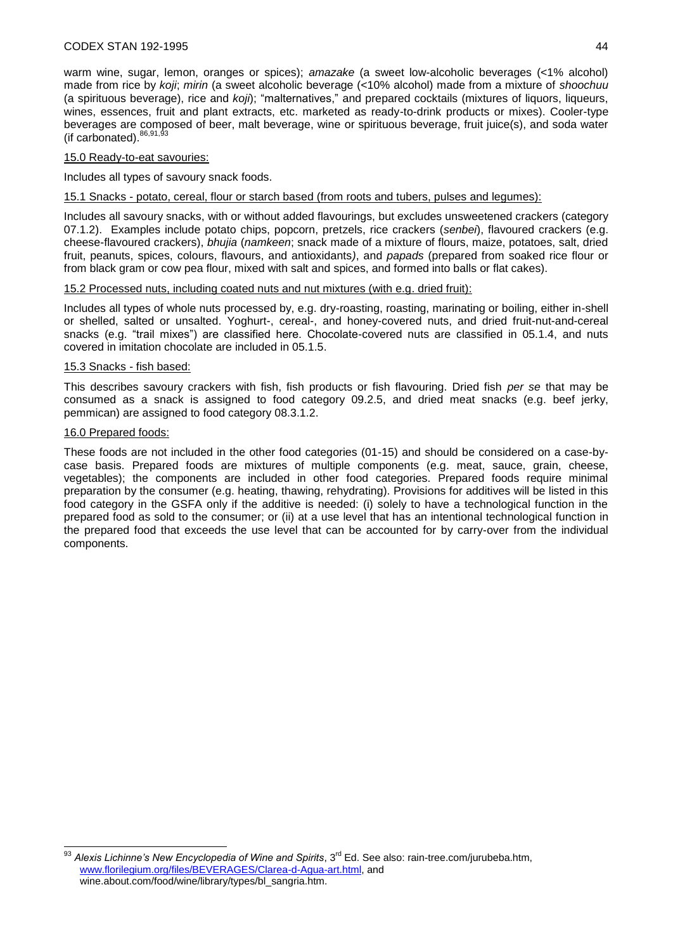warm wine, sugar, lemon, oranges or spices); *amazake* (a sweet low-alcoholic beverages (<1% alcohol) made from rice by *koji*; *mirin* (a sweet alcoholic beverage (<10% alcohol) made from a mixture of *shoochuu* (a spirituous beverage), rice and *koji*); "malternatives," and prepared cocktails (mixtures of liquors, liqueurs, wines, essences, fruit and plant extracts, etc. marketed as ready-to-drink products or mixes). Cooler-type beverages are composed of beer, malt beverage, wine or spirituous beverage, fruit juice(s), and soda water (if carbonated).  $86,91,93$  $86,91,93$  $86,91,93$ 

## 15.0 Ready-to-eat savouries:

Includes all types of savoury snack foods.

## 15.1 Snacks - potato, cereal, flour or starch based (from roots and tubers, pulses and legumes):

Includes all savoury snacks, with or without added flavourings, but excludes unsweetened crackers (category 07.1.2). Examples include potato chips, popcorn, pretzels, rice crackers (*senbei*), flavoured crackers (e.g. cheese-flavoured crackers), *bhujia* (*namkeen*; snack made of a mixture of flours, maize, potatoes, salt, dried fruit, peanuts, spices, colours, flavours, and antioxidants*)*, and *papads* (prepared from soaked rice flour or from black gram or cow pea flour, mixed with salt and spices, and formed into balls or flat cakes).

## 15.2 Processed nuts, including coated nuts and nut mixtures (with e.g. dried fruit):

Includes all types of whole nuts processed by, e.g. dry-roasting, roasting, marinating or boiling, either in-shell or shelled, salted or unsalted. Yoghurt-, cereal-, and honey-covered nuts, and dried fruit-nut-and-cereal snacks (e.g. "trail mixes") are classified here. Chocolate-covered nuts are classified in 05.1.4, and nuts covered in imitation chocolate are included in 05.1.5.

## 15.3 Snacks - fish based:

This describes savoury crackers with fish, fish products or fish flavouring. Dried fish *per se* that may be consumed as a snack is assigned to food category 09.2.5, and dried meat snacks (e.g. beef jerky, pemmican) are assigned to food category 08.3.1.2.

## 16.0 Prepared foods:

These foods are not included in the other food categories (01-15) and should be considered on a case-bycase basis. Prepared foods are mixtures of multiple components (e.g. meat, sauce, grain, cheese, vegetables); the components are included in other food categories. Prepared foods require minimal preparation by the consumer (e.g. heating, thawing, rehydrating). Provisions for additives will be listed in this food category in the GSFA only if the additive is needed: (i) solely to have a technological function in the prepared food as sold to the consumer; or (ii) at a use level that has an intentional technological function in the prepared food that exceeds the use level that can be accounted for by carry-over from the individual components.

 $\overline{a}$ <sup>93</sup> Alexis Lichinne's New Encyclopedia of Wine and Spirits, 3<sup>rd</sup> Ed. See also: rain-tree.com/jurubeba.htm, [www.florilegium.org/files/BEVERAGES/Clarea-d-Agua-art.html,](http://www.florilegium.org/files/BEVERAGES/Clarea-d-Agua-art.html) and wine.about.com/food/wine/library/types/bl\_sangria.htm.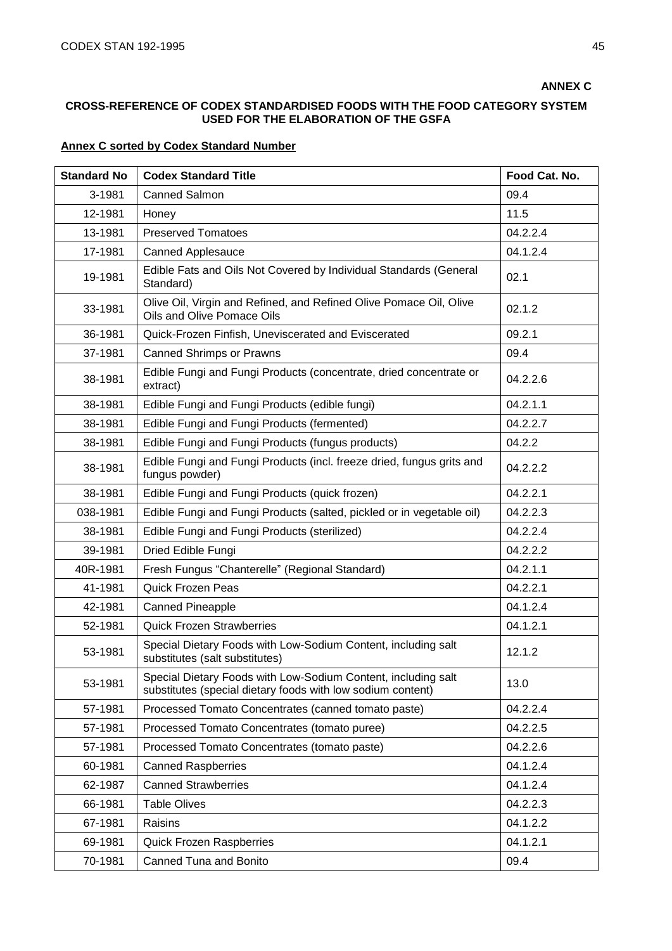**ANNEX C**

## **CROSS-REFERENCE OF CODEX STANDARDISED FOODS WITH THE FOOD CATEGORY SYSTEM USED FOR THE ELABORATION OF THE GSFA**

## **Annex C sorted by Codex Standard Number**

| <b>Standard No</b> | <b>Codex Standard Title</b>                                                                                                  | Food Cat. No. |
|--------------------|------------------------------------------------------------------------------------------------------------------------------|---------------|
| 3-1981             | <b>Canned Salmon</b>                                                                                                         | 09.4          |
| 12-1981            | Honey                                                                                                                        | 11.5          |
| 13-1981            | <b>Preserved Tomatoes</b>                                                                                                    | 04.2.2.4      |
| 17-1981            | <b>Canned Applesauce</b>                                                                                                     | 04.1.2.4      |
| 19-1981            | Edible Fats and Oils Not Covered by Individual Standards (General<br>Standard)                                               | 02.1          |
| 33-1981            | Olive Oil, Virgin and Refined, and Refined Olive Pomace Oil, Olive<br>Oils and Olive Pomace Oils                             | 02.1.2        |
| 36-1981            | Quick-Frozen Finfish, Uneviscerated and Eviscerated                                                                          | 09.2.1        |
| 37-1981            | <b>Canned Shrimps or Prawns</b>                                                                                              | 09.4          |
| 38-1981            | Edible Fungi and Fungi Products (concentrate, dried concentrate or<br>extract)                                               | 04.2.2.6      |
| 38-1981            | Edible Fungi and Fungi Products (edible fungi)                                                                               | 04.2.1.1      |
| 38-1981            | Edible Fungi and Fungi Products (fermented)                                                                                  | 04.2.2.7      |
| 38-1981            | Edible Fungi and Fungi Products (fungus products)                                                                            | 04.2.2        |
| 38-1981            | Edible Fungi and Fungi Products (incl. freeze dried, fungus grits and<br>fungus powder)                                      | 04.2.2.2      |
| 38-1981            | Edible Fungi and Fungi Products (quick frozen)                                                                               | 04.2.2.1      |
| 038-1981           | Edible Fungi and Fungi Products (salted, pickled or in vegetable oil)                                                        | 04.2.2.3      |
| 38-1981            | Edible Fungi and Fungi Products (sterilized)                                                                                 | 04.2.2.4      |
| 39-1981            | Dried Edible Fungi                                                                                                           | 04.2.2.2      |
| 40R-1981           | Fresh Fungus "Chanterelle" (Regional Standard)                                                                               | 04.2.1.1      |
| 41-1981            | <b>Quick Frozen Peas</b>                                                                                                     | 04.2.2.1      |
| 42-1981            | <b>Canned Pineapple</b>                                                                                                      | 04.1.2.4      |
| 52-1981            | <b>Quick Frozen Strawberries</b>                                                                                             | 04.1.2.1      |
| 53-1981            | Special Dietary Foods with Low-Sodium Content, including salt<br>substitutes (salt substitutes)                              | 12.1.2        |
| 53-1981            | Special Dietary Foods with Low-Sodium Content, including salt<br>substitutes (special dietary foods with low sodium content) | 13.0          |
| 57-1981            | Processed Tomato Concentrates (canned tomato paste)                                                                          | 04.2.2.4      |
| 57-1981            | Processed Tomato Concentrates (tomato puree)                                                                                 | 04.2.2.5      |
| 57-1981            | Processed Tomato Concentrates (tomato paste)                                                                                 | 04.2.2.6      |
| 60-1981            | <b>Canned Raspberries</b>                                                                                                    | 04.1.2.4      |
| 62-1987            | <b>Canned Strawberries</b>                                                                                                   | 04.1.2.4      |
| 66-1981            | <b>Table Olives</b>                                                                                                          | 04.2.2.3      |
| 67-1981            | Raisins                                                                                                                      | 04.1.2.2      |
| 69-1981            | <b>Quick Frozen Raspberries</b>                                                                                              | 04.1.2.1      |
| 70-1981            | Canned Tuna and Bonito                                                                                                       | 09.4          |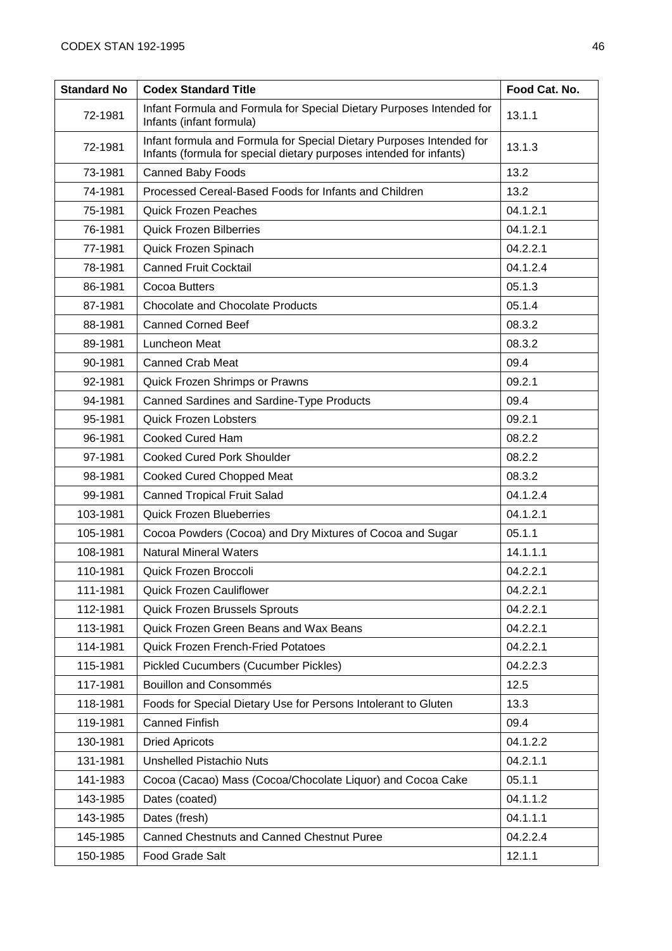| <b>Standard No</b> | <b>Codex Standard Title</b>                                                                                                                 | Food Cat. No. |
|--------------------|---------------------------------------------------------------------------------------------------------------------------------------------|---------------|
| 72-1981            | Infant Formula and Formula for Special Dietary Purposes Intended for<br>Infants (infant formula)                                            | 13.1.1        |
| 72-1981            | Infant formula and Formula for Special Dietary Purposes Intended for<br>Infants (formula for special dietary purposes intended for infants) | 13.1.3        |
| 73-1981            | <b>Canned Baby Foods</b>                                                                                                                    | 13.2          |
| 74-1981            | Processed Cereal-Based Foods for Infants and Children                                                                                       | 13.2          |
| 75-1981            | <b>Quick Frozen Peaches</b>                                                                                                                 | 04.1.2.1      |
| 76-1981            | <b>Quick Frozen Bilberries</b>                                                                                                              | 04.1.2.1      |
| 77-1981            | Quick Frozen Spinach                                                                                                                        | 04.2.2.1      |
| 78-1981            | <b>Canned Fruit Cocktail</b>                                                                                                                | 04.1.2.4      |
| 86-1981            | Cocoa Butters                                                                                                                               | 05.1.3        |
| 87-1981            | <b>Chocolate and Chocolate Products</b>                                                                                                     | 05.1.4        |
| 88-1981            | <b>Canned Corned Beef</b>                                                                                                                   | 08.3.2        |
| 89-1981            | Luncheon Meat                                                                                                                               | 08.3.2        |
| 90-1981            | <b>Canned Crab Meat</b>                                                                                                                     | 09.4          |
| 92-1981            | Quick Frozen Shrimps or Prawns                                                                                                              | 09.2.1        |
| 94-1981            | Canned Sardines and Sardine-Type Products                                                                                                   | 09.4          |
| 95-1981            | <b>Quick Frozen Lobsters</b>                                                                                                                | 09.2.1        |
| 96-1981            | <b>Cooked Cured Ham</b>                                                                                                                     | 08.2.2        |
| 97-1981            | <b>Cooked Cured Pork Shoulder</b>                                                                                                           | 08.2.2        |
| 98-1981            | <b>Cooked Cured Chopped Meat</b>                                                                                                            | 08.3.2        |
| 99-1981            | <b>Canned Tropical Fruit Salad</b>                                                                                                          | 04.1.2.4      |
| 103-1981           | <b>Quick Frozen Blueberries</b>                                                                                                             | 04.1.2.1      |
| 105-1981           | Cocoa Powders (Cocoa) and Dry Mixtures of Cocoa and Sugar                                                                                   | 05.1.1        |
| 108-1981           | <b>Natural Mineral Waters</b>                                                                                                               | 14.1.1.1      |
| 110-1981           | Quick Frozen Broccoli                                                                                                                       | 04.2.2.1      |
| 111-1981           | <b>Quick Frozen Cauliflower</b>                                                                                                             | 04.2.2.1      |
| 112-1981           | Quick Frozen Brussels Sprouts                                                                                                               | 04.2.2.1      |
| 113-1981           | Quick Frozen Green Beans and Wax Beans                                                                                                      | 04.2.2.1      |
| 114-1981           | <b>Quick Frozen French-Fried Potatoes</b>                                                                                                   | 04.2.2.1      |
| 115-1981           | <b>Pickled Cucumbers (Cucumber Pickles)</b>                                                                                                 | 04.2.2.3      |
| 117-1981           | <b>Bouillon and Consommés</b>                                                                                                               | 12.5          |
| 118-1981           | Foods for Special Dietary Use for Persons Intolerant to Gluten                                                                              | 13.3          |
| 119-1981           | <b>Canned Finfish</b>                                                                                                                       | 09.4          |
| 130-1981           | <b>Dried Apricots</b>                                                                                                                       | 04.1.2.2      |
| 131-1981           | <b>Unshelled Pistachio Nuts</b>                                                                                                             | 04.2.1.1      |
| 141-1983           | Cocoa (Cacao) Mass (Cocoa/Chocolate Liquor) and Cocoa Cake                                                                                  | 05.1.1        |
| 143-1985           | Dates (coated)                                                                                                                              | 04.1.1.2      |
| 143-1985           | Dates (fresh)                                                                                                                               | 04.1.1.1      |
| 145-1985           | Canned Chestnuts and Canned Chestnut Puree                                                                                                  | 04.2.2.4      |
| 150-1985           | Food Grade Salt                                                                                                                             | 12.1.1        |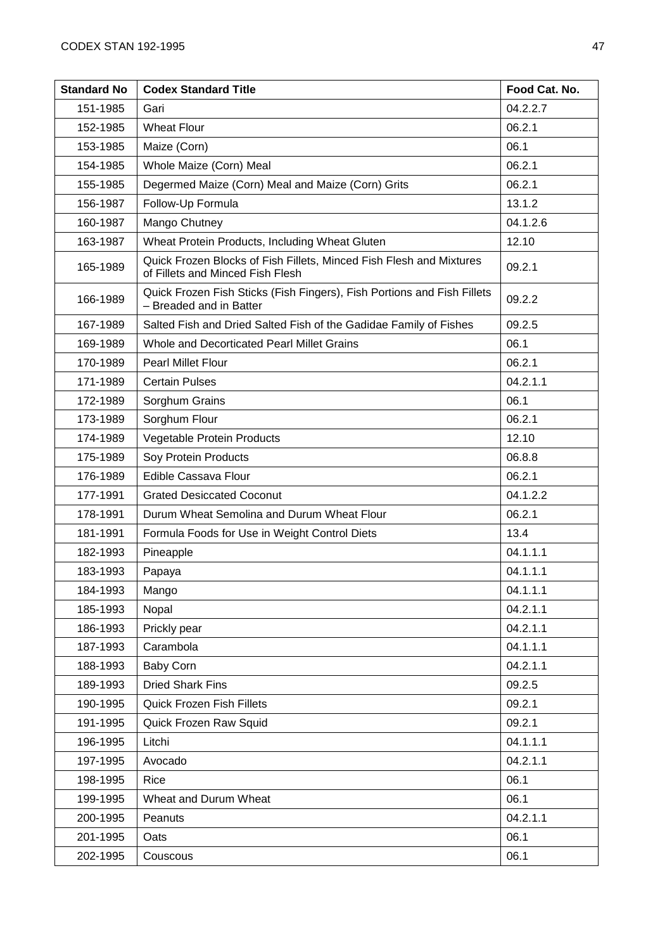| <b>Standard No</b> | <b>Codex Standard Title</b>                                                                             | Food Cat. No. |
|--------------------|---------------------------------------------------------------------------------------------------------|---------------|
| 151-1985           | Gari                                                                                                    | 04.2.2.7      |
| 152-1985           | <b>Wheat Flour</b>                                                                                      | 06.2.1        |
| 153-1985           | Maize (Corn)                                                                                            | 06.1          |
| 154-1985           | Whole Maize (Corn) Meal                                                                                 | 06.2.1        |
| 155-1985           | Degermed Maize (Corn) Meal and Maize (Corn) Grits                                                       | 06.2.1        |
| 156-1987           | Follow-Up Formula                                                                                       | 13.1.2        |
| 160-1987           | Mango Chutney                                                                                           | 04.1.2.6      |
| 163-1987           | Wheat Protein Products, Including Wheat Gluten                                                          | 12.10         |
| 165-1989           | Quick Frozen Blocks of Fish Fillets, Minced Fish Flesh and Mixtures<br>of Fillets and Minced Fish Flesh | 09.2.1        |
| 166-1989           | Quick Frozen Fish Sticks (Fish Fingers), Fish Portions and Fish Fillets<br>- Breaded and in Batter      | 09.2.2        |
| 167-1989           | Salted Fish and Dried Salted Fish of the Gadidae Family of Fishes                                       | 09.2.5        |
| 169-1989           | Whole and Decorticated Pearl Millet Grains                                                              | 06.1          |
| 170-1989           | <b>Pearl Millet Flour</b>                                                                               | 06.2.1        |
| 171-1989           | <b>Certain Pulses</b>                                                                                   | 04.2.1.1      |
| 172-1989           | Sorghum Grains                                                                                          | 06.1          |
| 173-1989           | Sorghum Flour                                                                                           | 06.2.1        |
| 174-1989           | Vegetable Protein Products                                                                              | 12.10         |
| 175-1989           | Soy Protein Products                                                                                    | 06.8.8        |
| 176-1989           | Edible Cassava Flour                                                                                    | 06.2.1        |
| 177-1991           | <b>Grated Desiccated Coconut</b>                                                                        | 04.1.2.2      |
| 178-1991           | Durum Wheat Semolina and Durum Wheat Flour                                                              | 06.2.1        |
| 181-1991           | Formula Foods for Use in Weight Control Diets                                                           | 13.4          |
| 182-1993           | Pineapple                                                                                               | 04.1.1.1      |
| 183-1993           | Papaya                                                                                                  | 04.1.1.1      |
| 184-1993           | Mango                                                                                                   | 04.1.1.1      |
| 185-1993           | Nopal                                                                                                   | 04.2.1.1      |
| 186-1993           | Prickly pear                                                                                            | 04.2.1.1      |
| 187-1993           | Carambola                                                                                               | 04.1.1.1      |
| 188-1993           | Baby Corn                                                                                               | 04.2.1.1      |
| 189-1993           | <b>Dried Shark Fins</b>                                                                                 | 09.2.5        |
| 190-1995           | Quick Frozen Fish Fillets                                                                               | 09.2.1        |
| 191-1995           | Quick Frozen Raw Squid                                                                                  | 09.2.1        |
| 196-1995           | Litchi                                                                                                  | 04.1.1.1      |
| 197-1995           | Avocado                                                                                                 | 04.2.1.1      |
| 198-1995           | Rice                                                                                                    | 06.1          |
| 199-1995           | Wheat and Durum Wheat                                                                                   | 06.1          |
| 200-1995           | Peanuts                                                                                                 | 04.2.1.1      |
| 201-1995           | Oats                                                                                                    | 06.1          |
| 202-1995           | Couscous                                                                                                | 06.1          |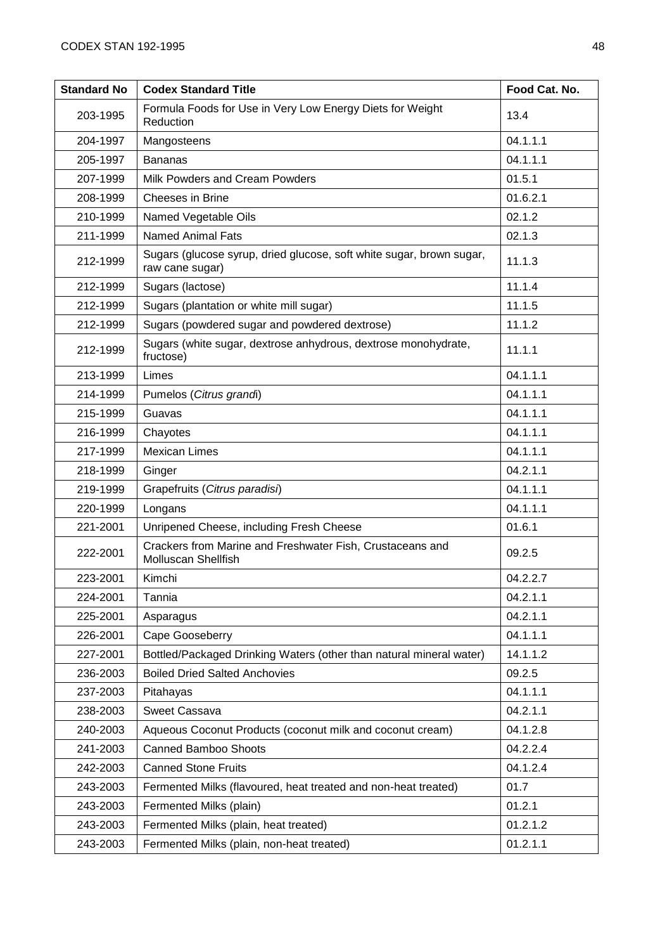| <b>Standard No</b> | <b>Codex Standard Title</b>                                                             | Food Cat. No. |
|--------------------|-----------------------------------------------------------------------------------------|---------------|
| 203-1995           | Formula Foods for Use in Very Low Energy Diets for Weight<br>Reduction                  | 13.4          |
| 204-1997           | Mangosteens                                                                             | 04.1.1.1      |
| 205-1997           | <b>Bananas</b>                                                                          | 04.1.1.1      |
| 207-1999           | Milk Powders and Cream Powders                                                          | 01.5.1        |
| 208-1999           | <b>Cheeses in Brine</b>                                                                 | 01.6.2.1      |
| 210-1999           | Named Vegetable Oils                                                                    | 02.1.2        |
| 211-1999           | <b>Named Animal Fats</b>                                                                | 02.1.3        |
| 212-1999           | Sugars (glucose syrup, dried glucose, soft white sugar, brown sugar,<br>raw cane sugar) | 11.1.3        |
| 212-1999           | Sugars (lactose)                                                                        | 11.1.4        |
| 212-1999           | Sugars (plantation or white mill sugar)                                                 | 11.1.5        |
| 212-1999           | Sugars (powdered sugar and powdered dextrose)                                           | 11.1.2        |
| 212-1999           | Sugars (white sugar, dextrose anhydrous, dextrose monohydrate,<br>fructose)             | 11.1.1        |
| 213-1999           | Limes                                                                                   | 04.1.1.1      |
| 214-1999           | Pumelos (Citrus grandi)                                                                 | 04.1.1.1      |
| 215-1999           | Guavas                                                                                  | 04.1.1.1      |
| 216-1999           | Chayotes                                                                                | 04.1.1.1      |
| 217-1999           | <b>Mexican Limes</b>                                                                    | 04.1.1.1      |
| 218-1999           | Ginger                                                                                  | 04.2.1.1      |
| 219-1999           | Grapefruits (Citrus paradisi)                                                           | 04.1.1.1      |
| 220-1999           | Longans                                                                                 | 04.1.1.1      |
| 221-2001           | Unripened Cheese, including Fresh Cheese                                                | 01.6.1        |
| 222-2001           | Crackers from Marine and Freshwater Fish, Crustaceans and<br><b>Molluscan Shellfish</b> | 09.2.5        |
| 223-2001           | Kimchi                                                                                  | 04.2.2.7      |
| 224-2001           | Tannia                                                                                  | 04.2.1.1      |
| 225-2001           | Asparagus                                                                               | 04.2.1.1      |
| 226-2001           | Cape Gooseberry                                                                         | 04.1.1.1      |
| 227-2001           | Bottled/Packaged Drinking Waters (other than natural mineral water)                     | 14.1.1.2      |
| 236-2003           | <b>Boiled Dried Salted Anchovies</b>                                                    | 09.2.5        |
| 237-2003           | Pitahayas                                                                               | 04.1.1.1      |
| 238-2003           | Sweet Cassava                                                                           | 04.2.1.1      |
| 240-2003           | Aqueous Coconut Products (coconut milk and coconut cream)                               | 04.1.2.8      |
| 241-2003           | <b>Canned Bamboo Shoots</b>                                                             | 04.2.2.4      |
| 242-2003           | <b>Canned Stone Fruits</b>                                                              | 04.1.2.4      |
| 243-2003           | Fermented Milks (flavoured, heat treated and non-heat treated)                          | 01.7          |
| 243-2003           | Fermented Milks (plain)                                                                 | 01.2.1        |
| 243-2003           | Fermented Milks (plain, heat treated)                                                   | 01.2.1.2      |
| 243-2003           | Fermented Milks (plain, non-heat treated)                                               | 01.2.1.1      |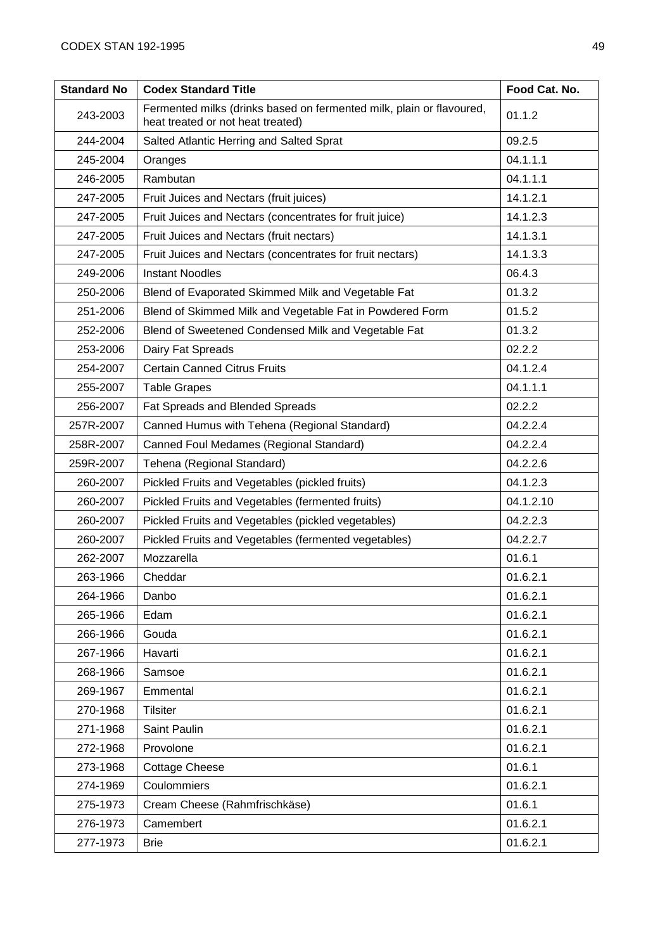| <b>Standard No</b> | <b>Codex Standard Title</b>                                                                               | Food Cat. No. |
|--------------------|-----------------------------------------------------------------------------------------------------------|---------------|
| 243-2003           | Fermented milks (drinks based on fermented milk, plain or flavoured,<br>heat treated or not heat treated) | 01.1.2        |
| 244-2004           | Salted Atlantic Herring and Salted Sprat                                                                  | 09.2.5        |
| 245-2004           | Oranges                                                                                                   | 04.1.1.1      |
| 246-2005           | Rambutan                                                                                                  | 04.1.1.1      |
| 247-2005           | Fruit Juices and Nectars (fruit juices)                                                                   | 14.1.2.1      |
| 247-2005           | Fruit Juices and Nectars (concentrates for fruit juice)                                                   | 14.1.2.3      |
| 247-2005           | Fruit Juices and Nectars (fruit nectars)                                                                  | 14.1.3.1      |
| 247-2005           | Fruit Juices and Nectars (concentrates for fruit nectars)                                                 | 14.1.3.3      |
| 249-2006           | <b>Instant Noodles</b>                                                                                    | 06.4.3        |
| 250-2006           | Blend of Evaporated Skimmed Milk and Vegetable Fat                                                        | 01.3.2        |
| 251-2006           | Blend of Skimmed Milk and Vegetable Fat in Powdered Form                                                  | 01.5.2        |
| 252-2006           | Blend of Sweetened Condensed Milk and Vegetable Fat                                                       | 01.3.2        |
| 253-2006           | Dairy Fat Spreads                                                                                         | 02.2.2        |
| 254-2007           | <b>Certain Canned Citrus Fruits</b>                                                                       | 04.1.2.4      |
| 255-2007           | <b>Table Grapes</b>                                                                                       | 04.1.1.1      |
| 256-2007           | Fat Spreads and Blended Spreads                                                                           | 02.2.2        |
| 257R-2007          | Canned Humus with Tehena (Regional Standard)                                                              | 04.2.2.4      |
| 258R-2007          | Canned Foul Medames (Regional Standard)                                                                   | 04.2.2.4      |
| 259R-2007          | Tehena (Regional Standard)                                                                                | 04.2.2.6      |
| 260-2007           | Pickled Fruits and Vegetables (pickled fruits)                                                            | 04.1.2.3      |
| 260-2007           | Pickled Fruits and Vegetables (fermented fruits)                                                          | 04.1.2.10     |
| 260-2007           | Pickled Fruits and Vegetables (pickled vegetables)                                                        | 04.2.2.3      |
| 260-2007           | Pickled Fruits and Vegetables (fermented vegetables)                                                      | 04.2.2.7      |
| 262-2007           | Mozzarella                                                                                                | 01.6.1        |
| 263-1966           | Cheddar                                                                                                   | 01.6.2.1      |
| 264-1966           | Danbo                                                                                                     | 01.6.2.1      |
| 265-1966           | Edam                                                                                                      | 01.6.2.1      |
| 266-1966           | Gouda                                                                                                     | 01.6.2.1      |
| 267-1966           | Havarti                                                                                                   | 01.6.2.1      |
| 268-1966           | Samsoe                                                                                                    | 01.6.2.1      |
| 269-1967           | Emmental                                                                                                  | 01.6.2.1      |
| 270-1968           | <b>Tilsiter</b>                                                                                           | 01.6.2.1      |
| 271-1968           | Saint Paulin                                                                                              | 01.6.2.1      |
| 272-1968           | Provolone                                                                                                 | 01.6.2.1      |
| 273-1968           | <b>Cottage Cheese</b>                                                                                     | 01.6.1        |
| 274-1969           | Coulommiers                                                                                               | 01.6.2.1      |
| 275-1973           | Cream Cheese (Rahmfrischkäse)                                                                             | 01.6.1        |
| 276-1973           | Camembert                                                                                                 | 01.6.2.1      |
| 277-1973           | <b>Brie</b>                                                                                               | 01.6.2.1      |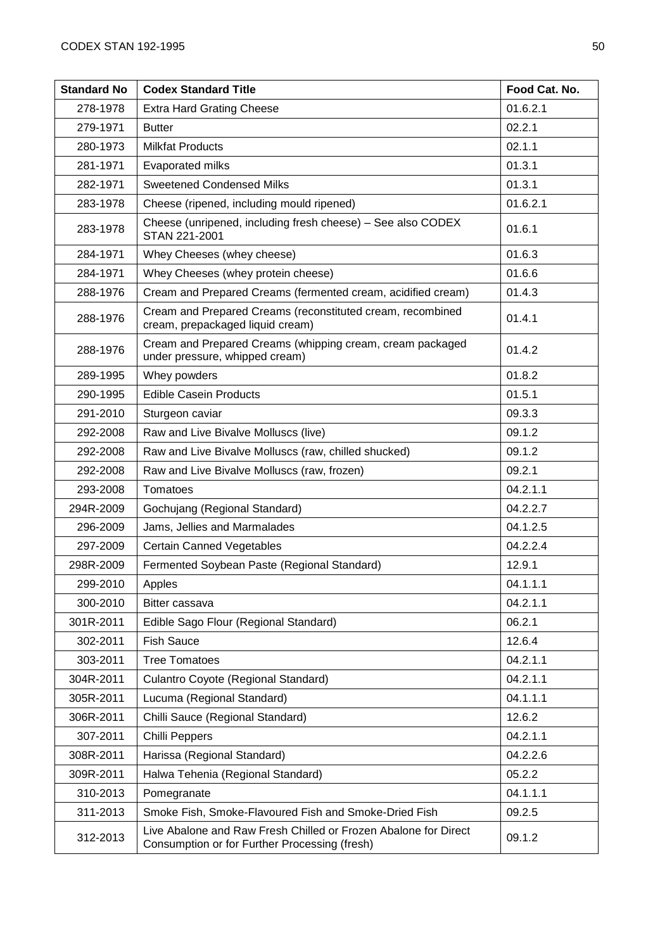| <b>Standard No</b> | <b>Codex Standard Title</b>                                                                                      | Food Cat. No. |
|--------------------|------------------------------------------------------------------------------------------------------------------|---------------|
| 278-1978           | <b>Extra Hard Grating Cheese</b>                                                                                 | 01.6.2.1      |
| 279-1971           | <b>Butter</b>                                                                                                    | 02.2.1        |
| 280-1973           | <b>Milkfat Products</b>                                                                                          | 02.1.1        |
| 281-1971           | Evaporated milks                                                                                                 | 01.3.1        |
| 282-1971           | <b>Sweetened Condensed Milks</b>                                                                                 | 01.3.1        |
| 283-1978           | Cheese (ripened, including mould ripened)                                                                        | 01.6.2.1      |
| 283-1978           | Cheese (unripened, including fresh cheese) - See also CODEX<br>STAN 221-2001                                     | 01.6.1        |
| 284-1971           | Whey Cheeses (whey cheese)                                                                                       | 01.6.3        |
| 284-1971           | Whey Cheeses (whey protein cheese)                                                                               | 01.6.6        |
| 288-1976           | Cream and Prepared Creams (fermented cream, acidified cream)                                                     | 01.4.3        |
| 288-1976           | Cream and Prepared Creams (reconstituted cream, recombined<br>cream, prepackaged liquid cream)                   | 01.4.1        |
| 288-1976           | Cream and Prepared Creams (whipping cream, cream packaged<br>under pressure, whipped cream)                      | 01.4.2        |
| 289-1995           | Whey powders                                                                                                     | 01.8.2        |
| 290-1995           | <b>Edible Casein Products</b>                                                                                    | 01.5.1        |
| 291-2010           | Sturgeon caviar                                                                                                  | 09.3.3        |
| 292-2008           | Raw and Live Bivalve Molluscs (live)                                                                             | 09.1.2        |
| 292-2008           | Raw and Live Bivalve Molluscs (raw, chilled shucked)                                                             | 09.1.2        |
| 292-2008           | Raw and Live Bivalve Molluscs (raw, frozen)                                                                      | 09.2.1        |
| 293-2008           | Tomatoes                                                                                                         | 04.2.1.1      |
| 294R-2009          | Gochujang (Regional Standard)                                                                                    | 04.2.2.7      |
| 296-2009           | Jams, Jellies and Marmalades                                                                                     | 04.1.2.5      |
| 297-2009           | <b>Certain Canned Vegetables</b>                                                                                 | 04.2.2.4      |
| 298R-2009          | Fermented Soybean Paste (Regional Standard)                                                                      | 12.9.1        |
| 299-2010           | Apples                                                                                                           | 04.1.1.1      |
| 300-2010           | Bitter cassava                                                                                                   | 04.2.1.1      |
| 301R-2011          | Edible Sago Flour (Regional Standard)                                                                            | 06.2.1        |
| 302-2011           | <b>Fish Sauce</b>                                                                                                | 12.6.4        |
| 303-2011           | <b>Tree Tomatoes</b>                                                                                             | 04.2.1.1      |
| 304R-2011          | Culantro Coyote (Regional Standard)                                                                              | 04.2.1.1      |
| 305R-2011          | Lucuma (Regional Standard)                                                                                       | 04.1.1.1      |
| 306R-2011          | Chilli Sauce (Regional Standard)                                                                                 | 12.6.2        |
| 307-2011           | Chilli Peppers                                                                                                   | 04.2.1.1      |
| 308R-2011          | Harissa (Regional Standard)                                                                                      | 04.2.2.6      |
| 309R-2011          | Halwa Tehenia (Regional Standard)                                                                                | 05.2.2        |
| 310-2013           | Pomegranate                                                                                                      | 04.1.1.1      |
| 311-2013           | Smoke Fish, Smoke-Flavoured Fish and Smoke-Dried Fish                                                            | 09.2.5        |
| 312-2013           | Live Abalone and Raw Fresh Chilled or Frozen Abalone for Direct<br>Consumption or for Further Processing (fresh) | 09.1.2        |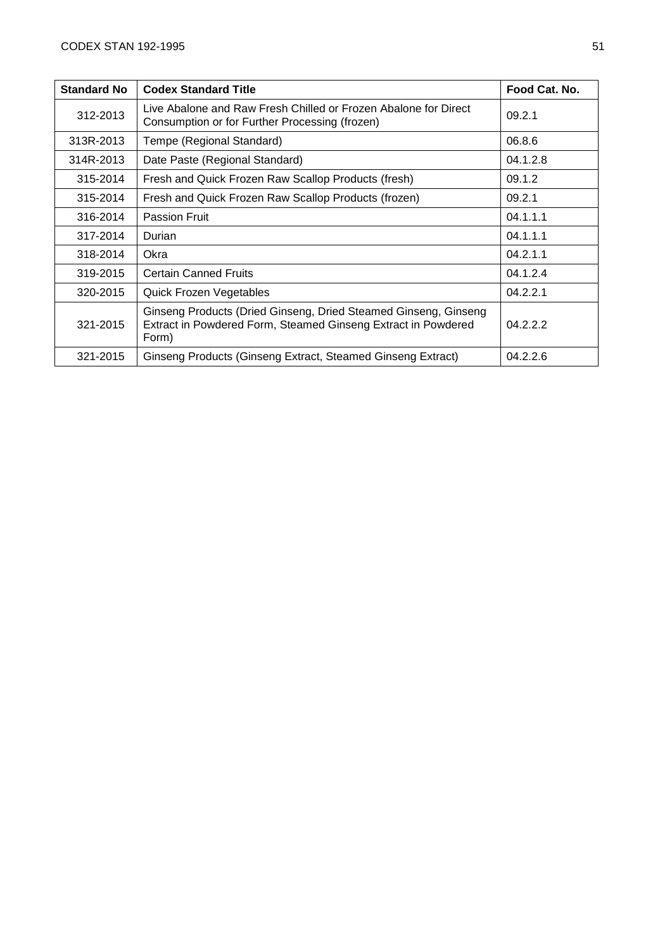| <b>Standard No</b> | <b>Codex Standard Title</b>                                                                                                               | Food Cat. No. |
|--------------------|-------------------------------------------------------------------------------------------------------------------------------------------|---------------|
| 312-2013           | Live Abalone and Raw Fresh Chilled or Frozen Abalone for Direct<br>Consumption or for Further Processing (frozen)                         | 09.2.1        |
| 313R-2013          | Tempe (Regional Standard)                                                                                                                 | 06.8.6        |
| 314R-2013          | Date Paste (Regional Standard)                                                                                                            | 04.1.2.8      |
| 315-2014           | Fresh and Quick Frozen Raw Scallop Products (fresh)                                                                                       | 09.1.2        |
| 315-2014           | Fresh and Quick Frozen Raw Scallop Products (frozen)                                                                                      | 09.2.1        |
| 316-2014           | <b>Passion Fruit</b>                                                                                                                      | 04.1.1.1      |
| 317-2014           | Durian                                                                                                                                    | 04.1.1.1      |
| 318-2014           | Okra                                                                                                                                      | 04.2.1.1      |
| 319-2015           | <b>Certain Canned Fruits</b>                                                                                                              | 04.1.2.4      |
| 320-2015           | Quick Frozen Vegetables                                                                                                                   | 04.2.2.1      |
| 321-2015           | Ginseng Products (Dried Ginseng, Dried Steamed Ginseng, Ginseng<br>Extract in Powdered Form, Steamed Ginseng Extract in Powdered<br>Form) | 04.2.2.2      |
| 321-2015           | Ginseng Products (Ginseng Extract, Steamed Ginseng Extract)                                                                               | 04.2.2.6      |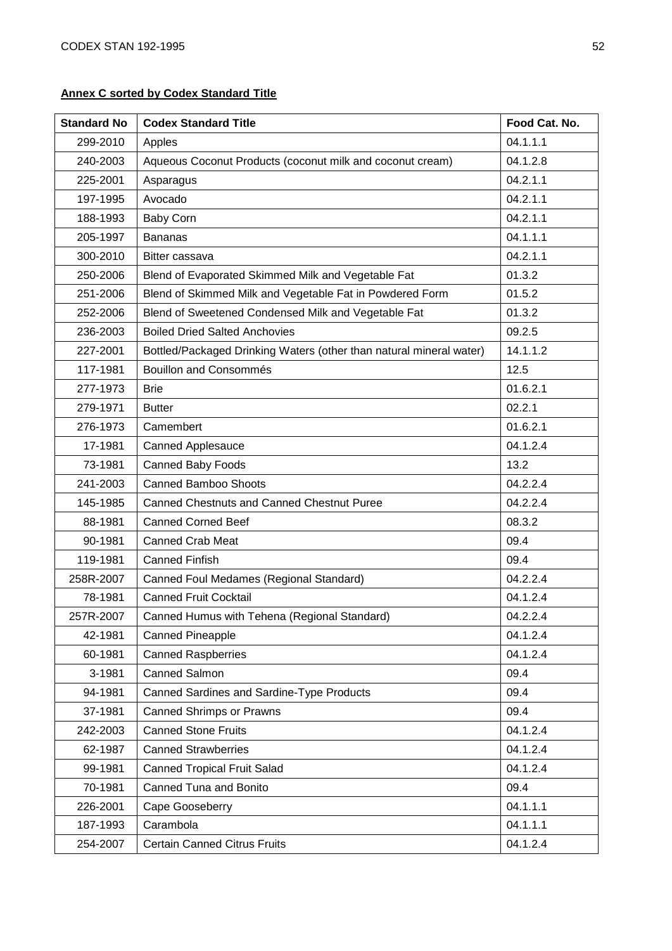# **Annex C sorted by Codex Standard Title**

| <b>Standard No</b> | <b>Codex Standard Title</b>                                         | Food Cat. No. |
|--------------------|---------------------------------------------------------------------|---------------|
| 299-2010           | Apples                                                              | 04.1.1.1      |
| 240-2003           | Aqueous Coconut Products (coconut milk and coconut cream)           | 04.1.2.8      |
| 225-2001           | Asparagus                                                           | 04.2.1.1      |
| 197-1995           | Avocado                                                             | 04.2.1.1      |
| 188-1993           | <b>Baby Corn</b>                                                    | 04.2.1.1      |
| 205-1997           | <b>Bananas</b>                                                      | 04.1.1.1      |
| 300-2010           | Bitter cassava                                                      | 04.2.1.1      |
| 250-2006           | Blend of Evaporated Skimmed Milk and Vegetable Fat                  | 01.3.2        |
| 251-2006           | Blend of Skimmed Milk and Vegetable Fat in Powdered Form            | 01.5.2        |
| 252-2006           | Blend of Sweetened Condensed Milk and Vegetable Fat                 | 01.3.2        |
| 236-2003           | <b>Boiled Dried Salted Anchovies</b>                                | 09.2.5        |
| 227-2001           | Bottled/Packaged Drinking Waters (other than natural mineral water) | 14.1.1.2      |
| 117-1981           | <b>Bouillon and Consommés</b>                                       | 12.5          |
| 277-1973           | <b>Brie</b>                                                         | 01.6.2.1      |
| 279-1971           | <b>Butter</b>                                                       | 02.2.1        |
| 276-1973           | Camembert                                                           | 01.6.2.1      |
| 17-1981            | <b>Canned Applesauce</b>                                            | 04.1.2.4      |
| 73-1981            | <b>Canned Baby Foods</b>                                            | 13.2          |
| 241-2003           | <b>Canned Bamboo Shoots</b>                                         | 04.2.2.4      |
| 145-1985           | <b>Canned Chestnuts and Canned Chestnut Puree</b>                   | 04.2.2.4      |
| 88-1981            | <b>Canned Corned Beef</b>                                           | 08.3.2        |
| 90-1981            | <b>Canned Crab Meat</b>                                             | 09.4          |
| 119-1981           | <b>Canned Finfish</b>                                               | 09.4          |
| 258R-2007          | Canned Foul Medames (Regional Standard)                             | 04.2.2.4      |
| 78-1981            | <b>Canned Fruit Cocktail</b>                                        | 04.1.2.4      |
| 257R-2007          | Canned Humus with Tehena (Regional Standard)                        | 04.2.2.4      |
| 42-1981            | <b>Canned Pineapple</b>                                             | 04.1.2.4      |
| 60-1981            | <b>Canned Raspberries</b>                                           | 04.1.2.4      |
| 3-1981             | <b>Canned Salmon</b>                                                | 09.4          |
| 94-1981            | Canned Sardines and Sardine-Type Products                           | 09.4          |
| 37-1981            | <b>Canned Shrimps or Prawns</b>                                     | 09.4          |
| 242-2003           | <b>Canned Stone Fruits</b>                                          | 04.1.2.4      |
| 62-1987            | <b>Canned Strawberries</b>                                          | 04.1.2.4      |
| 99-1981            | <b>Canned Tropical Fruit Salad</b>                                  | 04.1.2.4      |
| 70-1981            | Canned Tuna and Bonito                                              | 09.4          |
| 226-2001           | Cape Gooseberry                                                     | 04.1.1.1      |
| 187-1993           | Carambola                                                           | 04.1.1.1      |
| 254-2007           | <b>Certain Canned Citrus Fruits</b>                                 | 04.1.2.4      |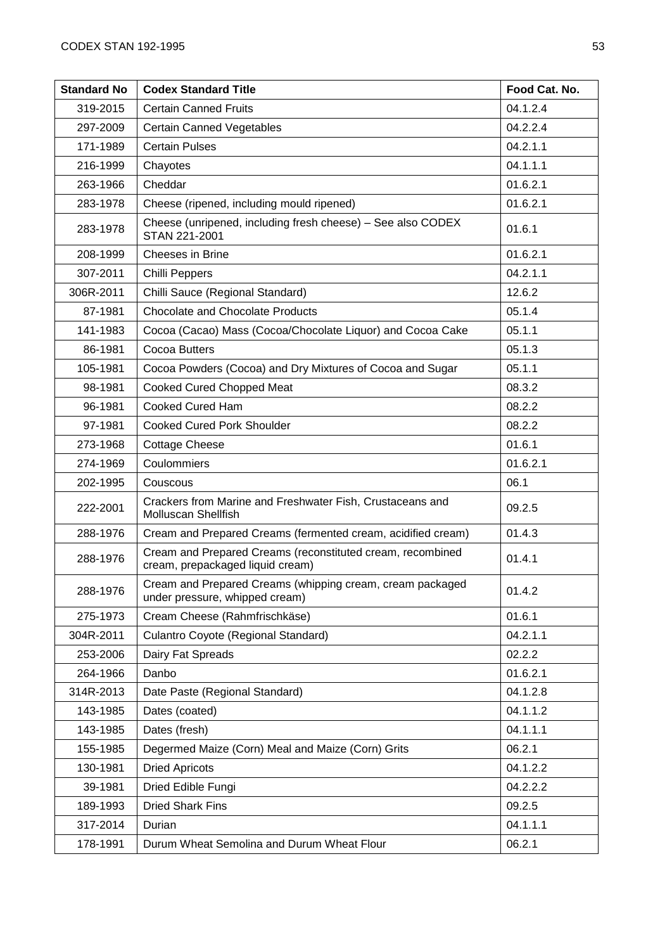| <b>Standard No</b> | <b>Codex Standard Title</b>                                                                    | Food Cat. No. |
|--------------------|------------------------------------------------------------------------------------------------|---------------|
| 319-2015           | <b>Certain Canned Fruits</b>                                                                   | 04.1.2.4      |
| 297-2009           | <b>Certain Canned Vegetables</b>                                                               | 04.2.2.4      |
| 171-1989           | <b>Certain Pulses</b>                                                                          | 04.2.1.1      |
| 216-1999           | Chayotes                                                                                       | 04.1.1.1      |
| 263-1966           | Cheddar                                                                                        | 01.6.2.1      |
| 283-1978           | Cheese (ripened, including mould ripened)                                                      | 01.6.2.1      |
| 283-1978           | Cheese (unripened, including fresh cheese) - See also CODEX<br>STAN 221-2001                   | 01.6.1        |
| 208-1999           | <b>Cheeses in Brine</b>                                                                        | 01.6.2.1      |
| 307-2011           | Chilli Peppers                                                                                 | 04.2.1.1      |
| 306R-2011          | Chilli Sauce (Regional Standard)                                                               | 12.6.2        |
| 87-1981            | <b>Chocolate and Chocolate Products</b>                                                        | 05.1.4        |
| 141-1983           | Cocoa (Cacao) Mass (Cocoa/Chocolate Liquor) and Cocoa Cake                                     | 05.1.1        |
| 86-1981            | Cocoa Butters                                                                                  | 05.1.3        |
| 105-1981           | Cocoa Powders (Cocoa) and Dry Mixtures of Cocoa and Sugar                                      | 05.1.1        |
| 98-1981            | <b>Cooked Cured Chopped Meat</b>                                                               | 08.3.2        |
| 96-1981            | Cooked Cured Ham                                                                               | 08.2.2        |
| 97-1981            | <b>Cooked Cured Pork Shoulder</b>                                                              | 08.2.2        |
| 273-1968           | <b>Cottage Cheese</b>                                                                          | 01.6.1        |
| 274-1969           | Coulommiers                                                                                    | 01.6.2.1      |
| 202-1995           | Couscous                                                                                       | 06.1          |
| 222-2001           | Crackers from Marine and Freshwater Fish, Crustaceans and<br><b>Molluscan Shellfish</b>        | 09.2.5        |
| 288-1976           | Cream and Prepared Creams (fermented cream, acidified cream)                                   | 01.4.3        |
| 288-1976           | Cream and Prepared Creams (reconstituted cream, recombined<br>cream, prepackaged liquid cream) | 01.4.1        |
| 288-1976           | Cream and Prepared Creams (whipping cream, cream packaged<br>under pressure, whipped cream)    | 01.4.2        |
| 275-1973           | Cream Cheese (Rahmfrischkäse)                                                                  | 01.6.1        |
| 304R-2011          | Culantro Coyote (Regional Standard)                                                            | 04.2.1.1      |
| 253-2006           | Dairy Fat Spreads                                                                              | 02.2.2        |
| 264-1966           | Danbo                                                                                          | 01.6.2.1      |
| 314R-2013          | Date Paste (Regional Standard)                                                                 | 04.1.2.8      |
| 143-1985           | Dates (coated)                                                                                 | 04.1.1.2      |
| 143-1985           | Dates (fresh)                                                                                  | 04.1.1.1      |
| 155-1985           | Degermed Maize (Corn) Meal and Maize (Corn) Grits                                              | 06.2.1        |
| 130-1981           | <b>Dried Apricots</b>                                                                          | 04.1.2.2      |
| 39-1981            | Dried Edible Fungi                                                                             | 04.2.2.2      |
| 189-1993           | <b>Dried Shark Fins</b>                                                                        | 09.2.5        |
| 317-2014           | Durian                                                                                         | 04.1.1.1      |
| 178-1991           | Durum Wheat Semolina and Durum Wheat Flour                                                     | 06.2.1        |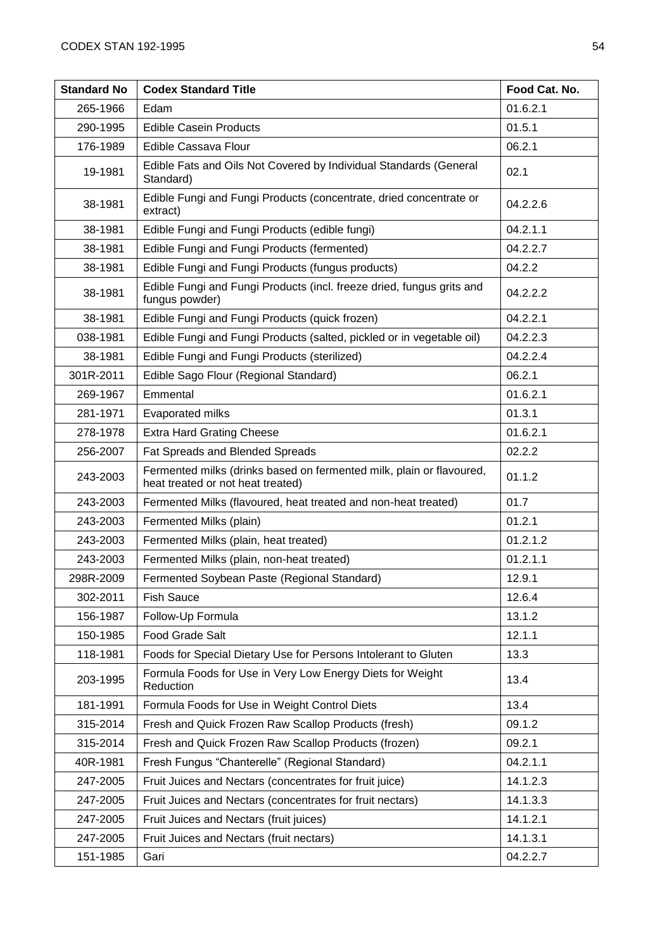| <b>Standard No</b> | <b>Codex Standard Title</b>                                                                               | Food Cat. No. |
|--------------------|-----------------------------------------------------------------------------------------------------------|---------------|
| 265-1966           | Edam                                                                                                      | 01.6.2.1      |
| 290-1995           | <b>Edible Casein Products</b>                                                                             | 01.5.1        |
| 176-1989           | Edible Cassava Flour                                                                                      | 06.2.1        |
| 19-1981            | Edible Fats and Oils Not Covered by Individual Standards (General<br>Standard)                            | 02.1          |
| 38-1981            | Edible Fungi and Fungi Products (concentrate, dried concentrate or<br>extract)                            | 04.2.2.6      |
| 38-1981            | Edible Fungi and Fungi Products (edible fungi)                                                            | 04.2.1.1      |
| 38-1981            | Edible Fungi and Fungi Products (fermented)                                                               | 04.2.2.7      |
| 38-1981            | Edible Fungi and Fungi Products (fungus products)                                                         | 04.2.2        |
| 38-1981            | Edible Fungi and Fungi Products (incl. freeze dried, fungus grits and<br>fungus powder)                   | 04.2.2.2      |
| 38-1981            | Edible Fungi and Fungi Products (quick frozen)                                                            | 04.2.2.1      |
| 038-1981           | Edible Fungi and Fungi Products (salted, pickled or in vegetable oil)                                     | 04.2.2.3      |
| 38-1981            | Edible Fungi and Fungi Products (sterilized)                                                              | 04.2.2.4      |
| 301R-2011          | Edible Sago Flour (Regional Standard)                                                                     | 06.2.1        |
| 269-1967           | Emmental                                                                                                  | 01.6.2.1      |
| 281-1971           | Evaporated milks                                                                                          | 01.3.1        |
| 278-1978           | <b>Extra Hard Grating Cheese</b>                                                                          | 01.6.2.1      |
| 256-2007           | Fat Spreads and Blended Spreads                                                                           | 02.2.2        |
| 243-2003           | Fermented milks (drinks based on fermented milk, plain or flavoured,<br>heat treated or not heat treated) | 01.1.2        |
| 243-2003           | Fermented Milks (flavoured, heat treated and non-heat treated)                                            | 01.7          |
| 243-2003           | Fermented Milks (plain)                                                                                   | 01.2.1        |
| 243-2003           | Fermented Milks (plain, heat treated)                                                                     | 01.2.1.2      |
| 243-2003           | Fermented Milks (plain, non-heat treated)                                                                 | 01.2.1.1      |
| 298R-2009          | Fermented Soybean Paste (Regional Standard)                                                               | 12.9.1        |
| 302-2011           | <b>Fish Sauce</b>                                                                                         | 12.6.4        |
| 156-1987           | Follow-Up Formula                                                                                         | 13.1.2        |
| 150-1985           | Food Grade Salt                                                                                           | 12.1.1        |
| 118-1981           | Foods for Special Dietary Use for Persons Intolerant to Gluten                                            | 13.3          |
| 203-1995           | Formula Foods for Use in Very Low Energy Diets for Weight<br>Reduction                                    | 13.4          |
| 181-1991           | Formula Foods for Use in Weight Control Diets                                                             | 13.4          |
| 315-2014           | Fresh and Quick Frozen Raw Scallop Products (fresh)                                                       | 09.1.2        |
| 315-2014           | Fresh and Quick Frozen Raw Scallop Products (frozen)                                                      | 09.2.1        |
| 40R-1981           | Fresh Fungus "Chanterelle" (Regional Standard)                                                            | 04.2.1.1      |
| 247-2005           | Fruit Juices and Nectars (concentrates for fruit juice)                                                   | 14.1.2.3      |
| 247-2005           | Fruit Juices and Nectars (concentrates for fruit nectars)                                                 | 14.1.3.3      |
| 247-2005           | Fruit Juices and Nectars (fruit juices)                                                                   | 14.1.2.1      |
| 247-2005           | Fruit Juices and Nectars (fruit nectars)                                                                  | 14.1.3.1      |
| 151-1985           | Gari                                                                                                      | 04.2.2.7      |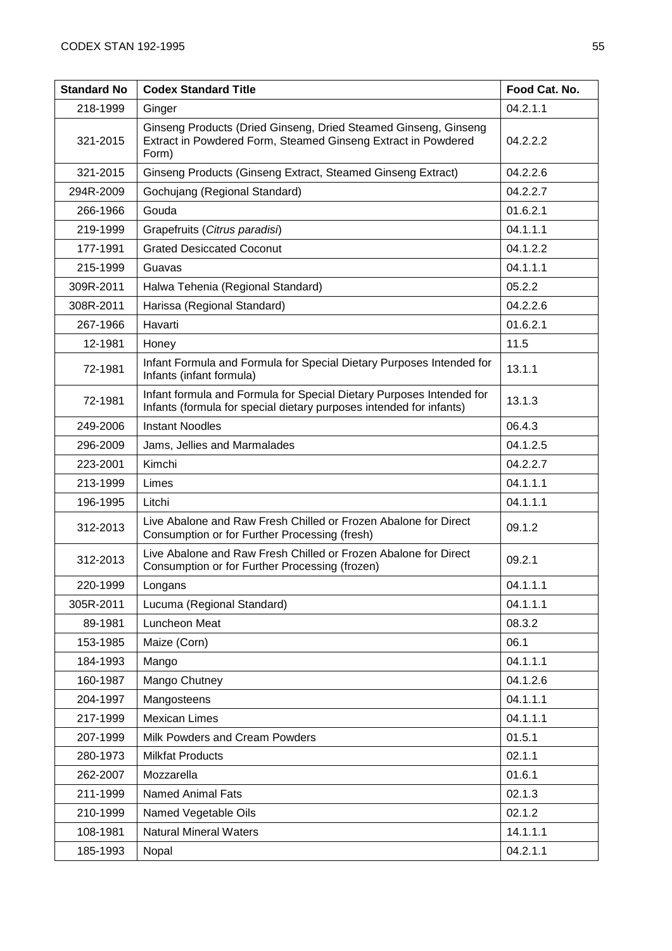| <b>Standard No</b> | <b>Codex Standard Title</b>                                                                                                                 | Food Cat. No. |
|--------------------|---------------------------------------------------------------------------------------------------------------------------------------------|---------------|
| 218-1999           | Ginger                                                                                                                                      | 04.2.1.1      |
| 321-2015           | Ginseng Products (Dried Ginseng, Dried Steamed Ginseng, Ginseng<br>Extract in Powdered Form, Steamed Ginseng Extract in Powdered<br>Form)   | 04.2.2.2      |
| 321-2015           | Ginseng Products (Ginseng Extract, Steamed Ginseng Extract)                                                                                 | 04.2.2.6      |
| 294R-2009          | Gochujang (Regional Standard)                                                                                                               | 04.2.2.7      |
| 266-1966           | Gouda                                                                                                                                       | 01.6.2.1      |
| 219-1999           | Grapefruits (Citrus paradisi)                                                                                                               | 04.1.1.1      |
| 177-1991           | <b>Grated Desiccated Coconut</b>                                                                                                            | 04.1.2.2      |
| 215-1999           | Guavas                                                                                                                                      | 04.1.1.1      |
| 309R-2011          | Halwa Tehenia (Regional Standard)                                                                                                           | 05.2.2        |
| 308R-2011          | Harissa (Regional Standard)                                                                                                                 | 04.2.2.6      |
| 267-1966           | Havarti                                                                                                                                     | 01.6.2.1      |
| 12-1981            | Honey                                                                                                                                       | 11.5          |
| 72-1981            | Infant Formula and Formula for Special Dietary Purposes Intended for<br>Infants (infant formula)                                            | 13.1.1        |
| 72-1981            | Infant formula and Formula for Special Dietary Purposes Intended for<br>Infants (formula for special dietary purposes intended for infants) | 13.1.3        |
| 249-2006           | <b>Instant Noodles</b>                                                                                                                      | 06.4.3        |
| 296-2009           | Jams, Jellies and Marmalades                                                                                                                | 04.1.2.5      |
| 223-2001           | Kimchi                                                                                                                                      | 04.2.2.7      |
| 213-1999           | Limes                                                                                                                                       | 04.1.1.1      |
| 196-1995           | Litchi                                                                                                                                      | 04.1.1.1      |
| 312-2013           | Live Abalone and Raw Fresh Chilled or Frozen Abalone for Direct<br>Consumption or for Further Processing (fresh)                            | 09.1.2        |
| 312-2013           | Live Abalone and Raw Fresh Chilled or Frozen Abalone for Direct<br>Consumption or for Further Processing (frozen)                           | 09.2.1        |
| 220-1999           | Longans                                                                                                                                     | 04.1.1.1      |
| 305R-2011          | Lucuma (Regional Standard)                                                                                                                  | 04.1.1.1      |
| 89-1981            | Luncheon Meat                                                                                                                               | 08.3.2        |
| 153-1985           | Maize (Corn)                                                                                                                                | 06.1          |
| 184-1993           | Mango                                                                                                                                       | 04.1.1.1      |
| 160-1987           | Mango Chutney                                                                                                                               | 04.1.2.6      |
| 204-1997           | Mangosteens                                                                                                                                 | 04.1.1.1      |
| 217-1999           | <b>Mexican Limes</b>                                                                                                                        | 04.1.1.1      |
| 207-1999           | Milk Powders and Cream Powders                                                                                                              | 01.5.1        |
| 280-1973           | <b>Milkfat Products</b>                                                                                                                     | 02.1.1        |
| 262-2007           | Mozzarella                                                                                                                                  | 01.6.1        |
| 211-1999           | <b>Named Animal Fats</b>                                                                                                                    | 02.1.3        |
| 210-1999           | Named Vegetable Oils                                                                                                                        | 02.1.2        |
| 108-1981           | <b>Natural Mineral Waters</b>                                                                                                               | 14.1.1.1      |
| 185-1993           | Nopal                                                                                                                                       | 04.2.1.1      |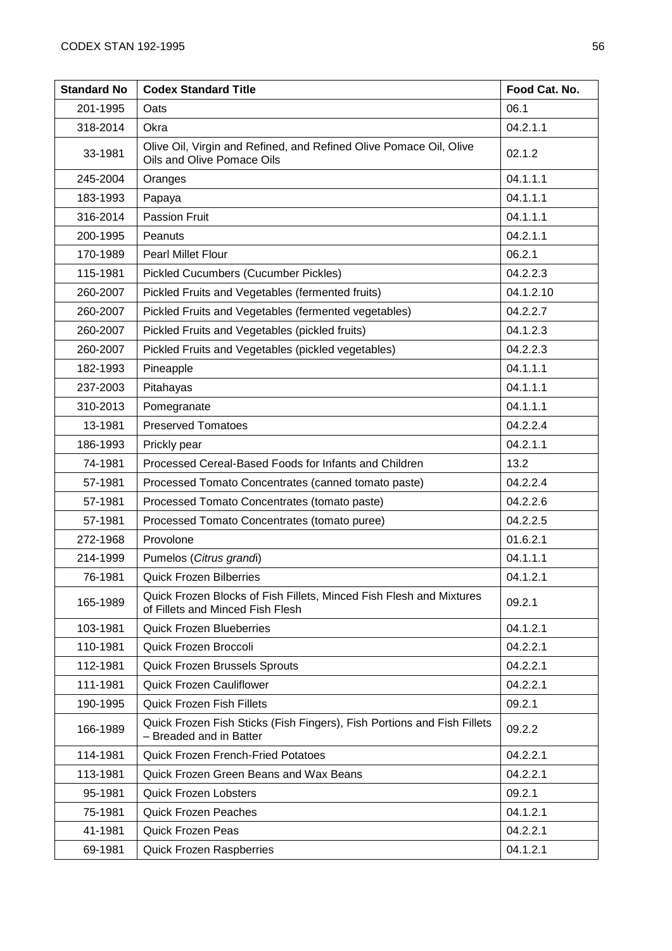| <b>Standard No</b> | <b>Codex Standard Title</b>                                                                             | Food Cat. No. |
|--------------------|---------------------------------------------------------------------------------------------------------|---------------|
| 201-1995           | Oats                                                                                                    | 06.1          |
| 318-2014           | Okra                                                                                                    | 04.2.1.1      |
| 33-1981            | Olive Oil, Virgin and Refined, and Refined Olive Pomace Oil, Olive<br>Oils and Olive Pomace Oils        | 02.1.2        |
| 245-2004           | Oranges                                                                                                 | 04.1.1.1      |
| 183-1993           | Papaya                                                                                                  | 04.1.1.1      |
| 316-2014           | <b>Passion Fruit</b>                                                                                    | 04.1.1.1      |
| 200-1995           | Peanuts                                                                                                 | 04.2.1.1      |
| 170-1989           | <b>Pearl Millet Flour</b>                                                                               | 06.2.1        |
| 115-1981           | <b>Pickled Cucumbers (Cucumber Pickles)</b>                                                             | 04.2.2.3      |
| 260-2007           | Pickled Fruits and Vegetables (fermented fruits)                                                        | 04.1.2.10     |
| 260-2007           | Pickled Fruits and Vegetables (fermented vegetables)                                                    | 04.2.2.7      |
| 260-2007           | Pickled Fruits and Vegetables (pickled fruits)                                                          | 04.1.2.3      |
| 260-2007           | Pickled Fruits and Vegetables (pickled vegetables)                                                      | 04.2.2.3      |
| 182-1993           | Pineapple                                                                                               | 04.1.1.1      |
| 237-2003           | Pitahayas                                                                                               | 04.1.1.1      |
| 310-2013           | Pomegranate                                                                                             | 04.1.1.1      |
| 13-1981            | <b>Preserved Tomatoes</b>                                                                               | 04.2.2.4      |
| 186-1993           | Prickly pear                                                                                            | 04.2.1.1      |
| 74-1981            | Processed Cereal-Based Foods for Infants and Children                                                   | 13.2          |
| 57-1981            | Processed Tomato Concentrates (canned tomato paste)                                                     | 04.2.2.4      |
| 57-1981            | Processed Tomato Concentrates (tomato paste)                                                            | 04.2.2.6      |
| 57-1981            | Processed Tomato Concentrates (tomato puree)                                                            | 04.2.2.5      |
| 272-1968           | Provolone                                                                                               | 01.6.2.1      |
| 214-1999           | Pumelos (Citrus grandi)                                                                                 | 04.1.1.1      |
| 76-1981            | <b>Quick Frozen Bilberries</b>                                                                          | 04.1.2.1      |
| 165-1989           | Quick Frozen Blocks of Fish Fillets, Minced Fish Flesh and Mixtures<br>of Fillets and Minced Fish Flesh | 09.2.1        |
| 103-1981           | <b>Quick Frozen Blueberries</b>                                                                         | 04.1.2.1      |
| 110-1981           | Quick Frozen Broccoli                                                                                   | 04.2.2.1      |
| 112-1981           | Quick Frozen Brussels Sprouts                                                                           | 04.2.2.1      |
| 111-1981           | <b>Quick Frozen Cauliflower</b>                                                                         | 04.2.2.1      |
| 190-1995           | Quick Frozen Fish Fillets                                                                               | 09.2.1        |
| 166-1989           | Quick Frozen Fish Sticks (Fish Fingers), Fish Portions and Fish Fillets<br>- Breaded and in Batter      | 09.2.2        |
| 114-1981           | <b>Quick Frozen French-Fried Potatoes</b>                                                               | 04.2.2.1      |
| 113-1981           | Quick Frozen Green Beans and Wax Beans                                                                  | 04.2.2.1      |
| 95-1981            | <b>Quick Frozen Lobsters</b>                                                                            | 09.2.1        |
| 75-1981            | <b>Quick Frozen Peaches</b>                                                                             | 04.1.2.1      |
| 41-1981            | <b>Quick Frozen Peas</b>                                                                                | 04.2.2.1      |
| 69-1981            | <b>Quick Frozen Raspberries</b>                                                                         | 04.1.2.1      |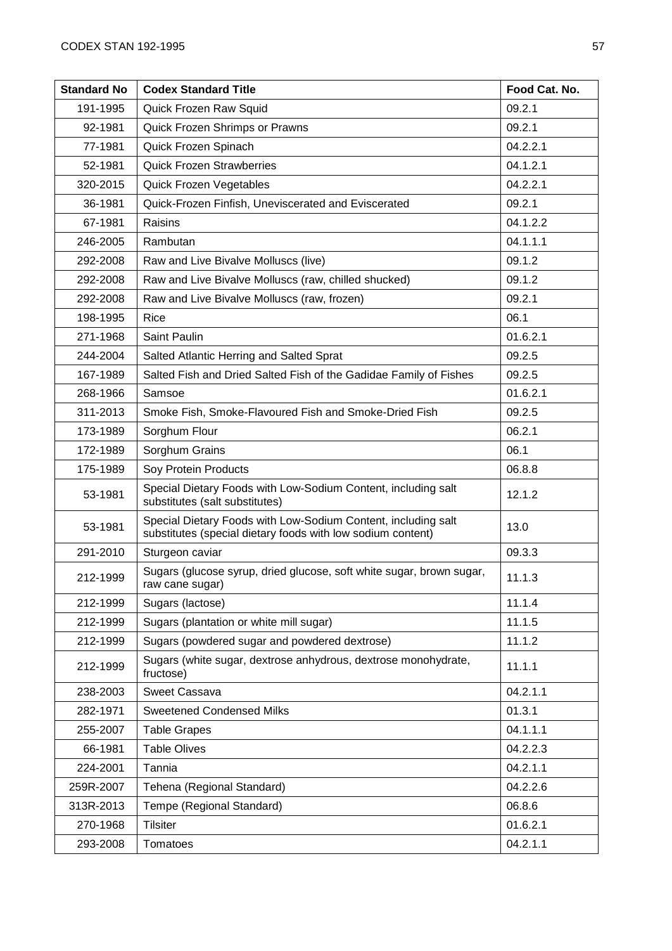| <b>Standard No</b> | <b>Codex Standard Title</b>                                                                                                  | Food Cat. No. |
|--------------------|------------------------------------------------------------------------------------------------------------------------------|---------------|
| 191-1995           | Quick Frozen Raw Squid                                                                                                       | 09.2.1        |
| 92-1981            | Quick Frozen Shrimps or Prawns                                                                                               | 09.2.1        |
| 77-1981            | Quick Frozen Spinach                                                                                                         | 04.2.2.1      |
| 52-1981            | <b>Quick Frozen Strawberries</b>                                                                                             | 04.1.2.1      |
| 320-2015           | Quick Frozen Vegetables                                                                                                      | 04.2.2.1      |
| 36-1981            | Quick-Frozen Finfish, Uneviscerated and Eviscerated                                                                          | 09.2.1        |
| 67-1981            | Raisins                                                                                                                      | 04.1.2.2      |
| 246-2005           | Rambutan                                                                                                                     | 04.1.1.1      |
| 292-2008           | Raw and Live Bivalve Molluscs (live)                                                                                         | 09.1.2        |
| 292-2008           | Raw and Live Bivalve Molluscs (raw, chilled shucked)                                                                         | 09.1.2        |
| 292-2008           | Raw and Live Bivalve Molluscs (raw, frozen)                                                                                  | 09.2.1        |
| 198-1995           | Rice                                                                                                                         | 06.1          |
| 271-1968           | Saint Paulin                                                                                                                 | 01.6.2.1      |
| 244-2004           | Salted Atlantic Herring and Salted Sprat                                                                                     | 09.2.5        |
| 167-1989           | Salted Fish and Dried Salted Fish of the Gadidae Family of Fishes                                                            | 09.2.5        |
| 268-1966           | Samsoe                                                                                                                       | 01.6.2.1      |
| 311-2013           | Smoke Fish, Smoke-Flavoured Fish and Smoke-Dried Fish                                                                        | 09.2.5        |
| 173-1989           | Sorghum Flour                                                                                                                | 06.2.1        |
| 172-1989           | Sorghum Grains                                                                                                               | 06.1          |
| 175-1989           | Soy Protein Products                                                                                                         | 06.8.8        |
| 53-1981            | Special Dietary Foods with Low-Sodium Content, including salt<br>substitutes (salt substitutes)                              | 12.1.2        |
| 53-1981            | Special Dietary Foods with Low-Sodium Content, including salt<br>substitutes (special dietary foods with low sodium content) | 13.0          |
| 291-2010           | Sturgeon caviar                                                                                                              | 09.3.3        |
| 212-1999           | Sugars (glucose syrup, dried glucose, soft white sugar, brown sugar,<br>raw cane sugar)                                      | 11.1.3        |
| 212-1999           | Sugars (lactose)                                                                                                             | 11.1.4        |
| 212-1999           | Sugars (plantation or white mill sugar)                                                                                      | 11.1.5        |
| 212-1999           | Sugars (powdered sugar and powdered dextrose)                                                                                | 11.1.2        |
| 212-1999           | Sugars (white sugar, dextrose anhydrous, dextrose monohydrate,<br>fructose)                                                  | 11.1.1        |
| 238-2003           | Sweet Cassava                                                                                                                | 04.2.1.1      |
| 282-1971           | <b>Sweetened Condensed Milks</b>                                                                                             | 01.3.1        |
| 255-2007           | <b>Table Grapes</b>                                                                                                          | 04.1.1.1      |
| 66-1981            | <b>Table Olives</b>                                                                                                          | 04.2.2.3      |
| 224-2001           | Tannia                                                                                                                       | 04.2.1.1      |
| 259R-2007          | Tehena (Regional Standard)                                                                                                   | 04.2.2.6      |
| 313R-2013          | Tempe (Regional Standard)                                                                                                    | 06.8.6        |
| 270-1968           | <b>Tilsiter</b>                                                                                                              | 01.6.2.1      |
| 293-2008           | Tomatoes                                                                                                                     | 04.2.1.1      |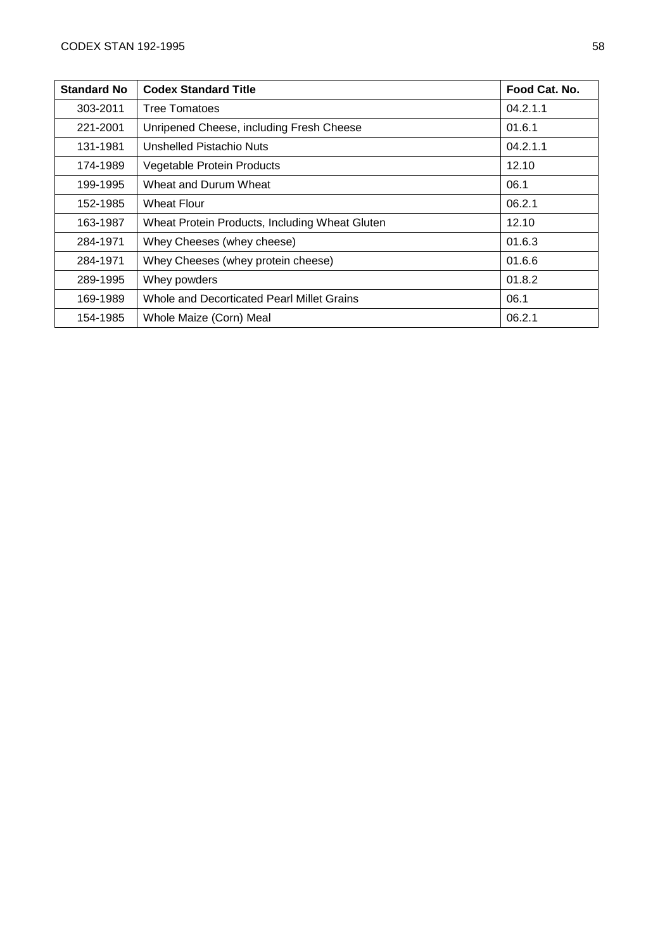| <b>Standard No</b> | <b>Codex Standard Title</b>                    | Food Cat. No. |
|--------------------|------------------------------------------------|---------------|
| 303-2011           | <b>Tree Tomatoes</b>                           | 04.2.1.1      |
| 221-2001           | Unripened Cheese, including Fresh Cheese       | 01.6.1        |
| 131-1981           | Unshelled Pistachio Nuts                       | 04.2.1.1      |
| 174-1989           | Vegetable Protein Products                     | 12.10         |
| 199-1995           | Wheat and Durum Wheat                          | 06.1          |
| 152-1985           | <b>Wheat Flour</b>                             | 06.2.1        |
| 163-1987           | Wheat Protein Products, Including Wheat Gluten | 12.10         |
| 284-1971           | Whey Cheeses (whey cheese)                     | 01.6.3        |
| 284-1971           | Whey Cheeses (whey protein cheese)             | 01.6.6        |
| 289-1995           | Whey powders                                   | 01.8.2        |
| 169-1989           | Whole and Decorticated Pearl Millet Grains     | 06.1          |
| 154-1985           | Whole Maize (Corn) Meal                        | 06.2.1        |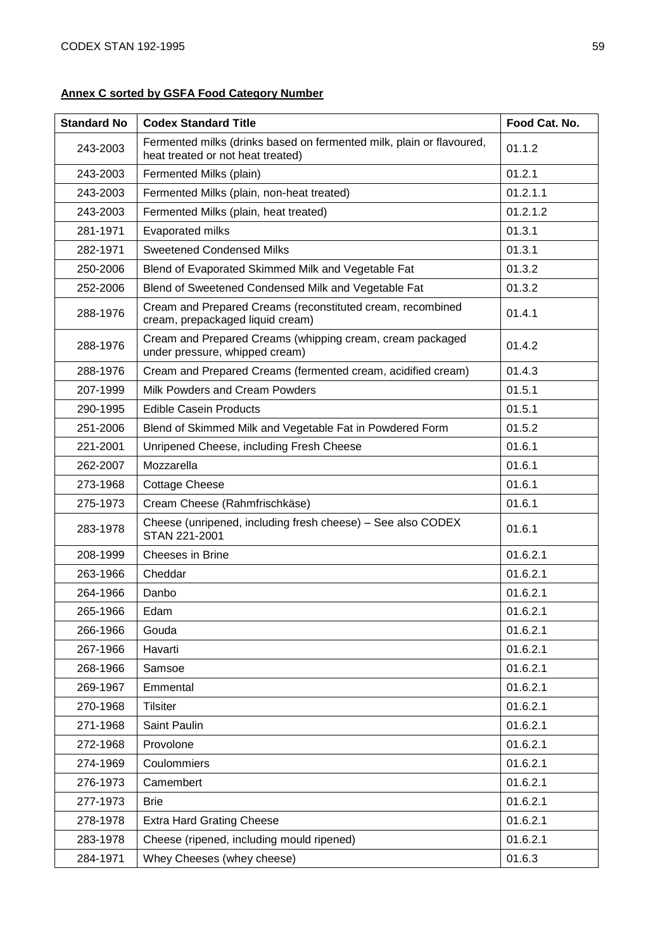# **Annex C sorted by GSFA Food Category Number**

| <b>Standard No</b> | <b>Codex Standard Title</b>                                                                               | Food Cat. No. |
|--------------------|-----------------------------------------------------------------------------------------------------------|---------------|
| 243-2003           | Fermented milks (drinks based on fermented milk, plain or flavoured,<br>heat treated or not heat treated) | 01.1.2        |
| 243-2003           | Fermented Milks (plain)                                                                                   | 01.2.1        |
| 243-2003           | Fermented Milks (plain, non-heat treated)                                                                 | 01.2.1.1      |
| 243-2003           | Fermented Milks (plain, heat treated)                                                                     | 01.2.1.2      |
| 281-1971           | Evaporated milks                                                                                          | 01.3.1        |
| 282-1971           | <b>Sweetened Condensed Milks</b>                                                                          | 01.3.1        |
| 250-2006           | Blend of Evaporated Skimmed Milk and Vegetable Fat                                                        | 01.3.2        |
| 252-2006           | Blend of Sweetened Condensed Milk and Vegetable Fat                                                       | 01.3.2        |
| 288-1976           | Cream and Prepared Creams (reconstituted cream, recombined<br>cream, prepackaged liquid cream)            | 01.4.1        |
| 288-1976           | Cream and Prepared Creams (whipping cream, cream packaged<br>under pressure, whipped cream)               | 01.4.2        |
| 288-1976           | Cream and Prepared Creams (fermented cream, acidified cream)                                              | 01.4.3        |
| 207-1999           | Milk Powders and Cream Powders                                                                            | 01.5.1        |
| 290-1995           | <b>Edible Casein Products</b>                                                                             | 01.5.1        |
| 251-2006           | Blend of Skimmed Milk and Vegetable Fat in Powdered Form                                                  | 01.5.2        |
| 221-2001           | Unripened Cheese, including Fresh Cheese                                                                  | 01.6.1        |
| 262-2007           | Mozzarella                                                                                                | 01.6.1        |
| 273-1968           | <b>Cottage Cheese</b>                                                                                     | 01.6.1        |
| 275-1973           | Cream Cheese (Rahmfrischkäse)                                                                             | 01.6.1        |
| 283-1978           | Cheese (unripened, including fresh cheese) - See also CODEX<br>STAN 221-2001                              | 01.6.1        |
| 208-1999           | Cheeses in Brine                                                                                          | 01.6.2.1      |
| 263-1966           | Cheddar                                                                                                   | 01.6.2.1      |
| 264-1966           | Danbo                                                                                                     | 01.6.2.1      |
| 265-1966           | Edam                                                                                                      | 01.6.2.1      |
| 266-1966           | Gouda                                                                                                     | 01.6.2.1      |
| 267-1966           | Havarti                                                                                                   | 01.6.2.1      |
| 268-1966           | Samsoe                                                                                                    | 01.6.2.1      |
| 269-1967           | Emmental                                                                                                  | 01.6.2.1      |
| 270-1968           | <b>Tilsiter</b>                                                                                           | 01.6.2.1      |
| 271-1968           | Saint Paulin                                                                                              | 01.6.2.1      |
| 272-1968           | Provolone                                                                                                 | 01.6.2.1      |
| 274-1969           | Coulommiers                                                                                               | 01.6.2.1      |
| 276-1973           | Camembert                                                                                                 | 01.6.2.1      |
| 277-1973           | <b>Brie</b>                                                                                               | 01.6.2.1      |
| 278-1978           | <b>Extra Hard Grating Cheese</b>                                                                          | 01.6.2.1      |
| 283-1978           | Cheese (ripened, including mould ripened)                                                                 | 01.6.2.1      |
| 284-1971           | Whey Cheeses (whey cheese)                                                                                | 01.6.3        |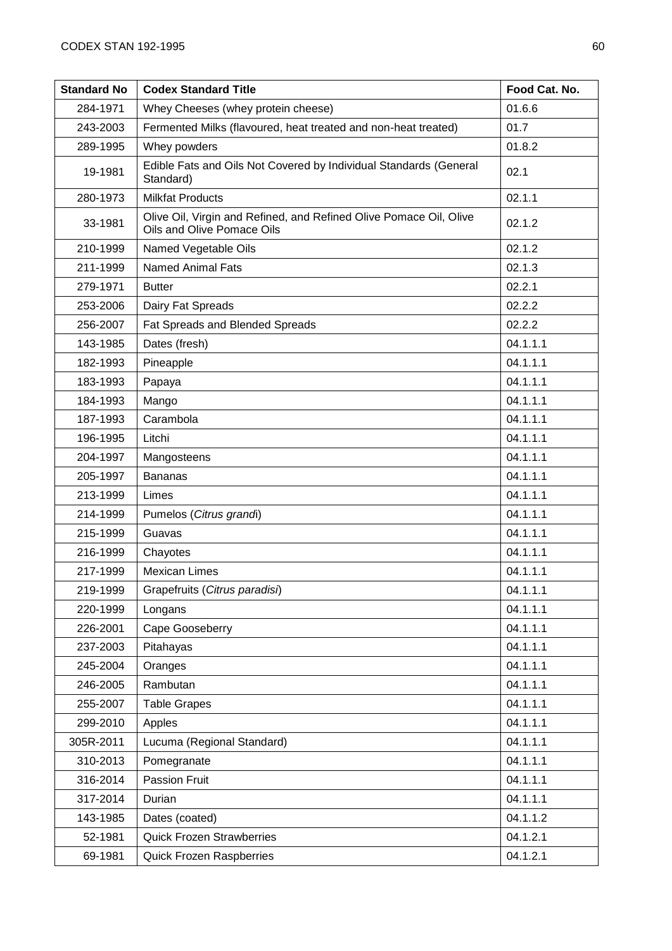| <b>Standard No</b> | <b>Codex Standard Title</b>                                                                      | Food Cat. No. |
|--------------------|--------------------------------------------------------------------------------------------------|---------------|
| 284-1971           | Whey Cheeses (whey protein cheese)                                                               | 01.6.6        |
| 243-2003           | Fermented Milks (flavoured, heat treated and non-heat treated)                                   | 01.7          |
| 289-1995           | Whey powders                                                                                     | 01.8.2        |
| 19-1981            | Edible Fats and Oils Not Covered by Individual Standards (General<br>Standard)                   | 02.1          |
| 280-1973           | <b>Milkfat Products</b>                                                                          | 02.1.1        |
| 33-1981            | Olive Oil, Virgin and Refined, and Refined Olive Pomace Oil, Olive<br>Oils and Olive Pomace Oils | 02.1.2        |
| 210-1999           | Named Vegetable Oils                                                                             | 02.1.2        |
| 211-1999           | <b>Named Animal Fats</b>                                                                         | 02.1.3        |
| 279-1971           | <b>Butter</b>                                                                                    | 02.2.1        |
| 253-2006           | Dairy Fat Spreads                                                                                | 02.2.2        |
| 256-2007           | Fat Spreads and Blended Spreads                                                                  | 02.2.2        |
| 143-1985           | Dates (fresh)                                                                                    | 04.1.1.1      |
| 182-1993           | Pineapple                                                                                        | 04.1.1.1      |
| 183-1993           | Papaya                                                                                           | 04.1.1.1      |
| 184-1993           | Mango                                                                                            | 04.1.1.1      |
| 187-1993           | Carambola                                                                                        | 04.1.1.1      |
| 196-1995           | Litchi                                                                                           | 04.1.1.1      |
| 204-1997           | Mangosteens                                                                                      | 04.1.1.1      |
| 205-1997           | <b>Bananas</b>                                                                                   | 04.1.1.1      |
| 213-1999           | Limes                                                                                            | 04.1.1.1      |
| 214-1999           | Pumelos (Citrus grandi)                                                                          | 04.1.1.1      |
| 215-1999           | Guavas                                                                                           | 04.1.1.1      |
| 216-1999           | Chayotes                                                                                         | 04.1.1.1      |
| 217-1999           | <b>Mexican Limes</b>                                                                             | 04.1.1.1      |
| 219-1999           | Grapefruits (Citrus paradisi)                                                                    | 04.1.1.1      |
| 220-1999           | Longans                                                                                          | 04.1.1.1      |
| 226-2001           | Cape Gooseberry                                                                                  | 04.1.1.1      |
| 237-2003           | Pitahayas                                                                                        | 04.1.1.1      |
| 245-2004           | Oranges                                                                                          | 04.1.1.1      |
| 246-2005           | Rambutan                                                                                         | 04.1.1.1      |
| 255-2007           | <b>Table Grapes</b>                                                                              | 04.1.1.1      |
| 299-2010           | Apples                                                                                           | 04.1.1.1      |
| 305R-2011          | Lucuma (Regional Standard)                                                                       | 04.1.1.1      |
| 310-2013           | Pomegranate                                                                                      | 04.1.1.1      |
| 316-2014           | Passion Fruit                                                                                    | 04.1.1.1      |
| 317-2014           | Durian                                                                                           | 04.1.1.1      |
| 143-1985           | Dates (coated)                                                                                   | 04.1.1.2      |
| 52-1981            | <b>Quick Frozen Strawberries</b>                                                                 | 04.1.2.1      |
| 69-1981            | <b>Quick Frozen Raspberries</b>                                                                  | 04.1.2.1      |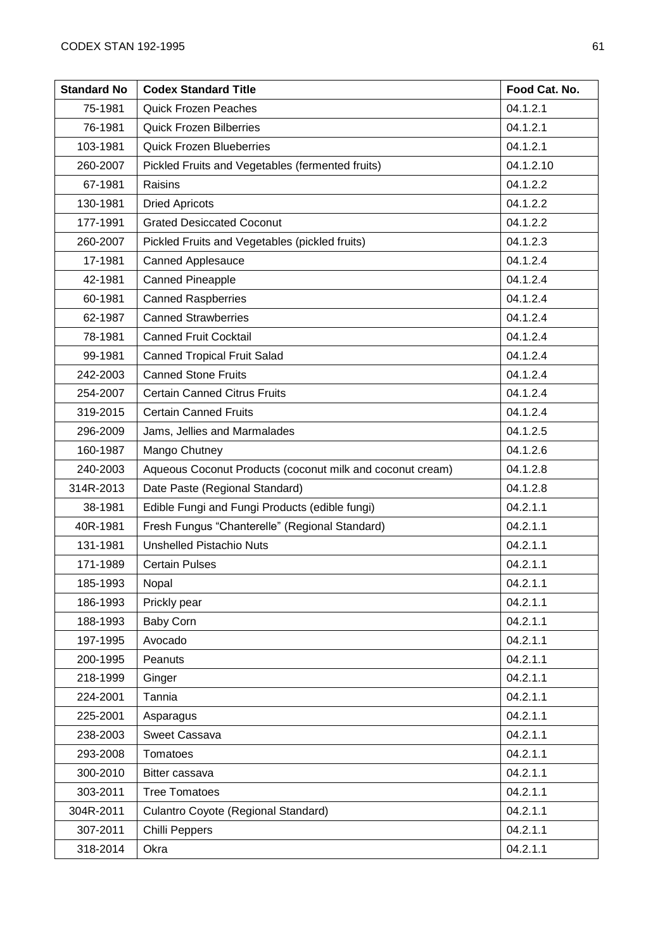| <b>Standard No</b> | <b>Codex Standard Title</b>                               | Food Cat. No. |
|--------------------|-----------------------------------------------------------|---------------|
| 75-1981            | <b>Quick Frozen Peaches</b>                               | 04.1.2.1      |
| 76-1981            | <b>Quick Frozen Bilberries</b>                            | 04.1.2.1      |
| 103-1981           | <b>Quick Frozen Blueberries</b>                           | 04.1.2.1      |
| 260-2007           | Pickled Fruits and Vegetables (fermented fruits)          | 04.1.2.10     |
| 67-1981            | Raisins                                                   | 04.1.2.2      |
| 130-1981           | <b>Dried Apricots</b>                                     | 04.1.2.2      |
| 177-1991           | <b>Grated Desiccated Coconut</b>                          | 04.1.2.2      |
| 260-2007           | Pickled Fruits and Vegetables (pickled fruits)            | 04.1.2.3      |
| 17-1981            | <b>Canned Applesauce</b>                                  | 04.1.2.4      |
| 42-1981            | <b>Canned Pineapple</b>                                   | 04.1.2.4      |
| 60-1981            | <b>Canned Raspberries</b>                                 | 04.1.2.4      |
| 62-1987            | <b>Canned Strawberries</b>                                | 04.1.2.4      |
| 78-1981            | <b>Canned Fruit Cocktail</b>                              | 04.1.2.4      |
| 99-1981            | <b>Canned Tropical Fruit Salad</b>                        | 04.1.2.4      |
| 242-2003           | <b>Canned Stone Fruits</b>                                | 04.1.2.4      |
| 254-2007           | <b>Certain Canned Citrus Fruits</b>                       | 04.1.2.4      |
| 319-2015           | <b>Certain Canned Fruits</b>                              | 04.1.2.4      |
| 296-2009           | Jams, Jellies and Marmalades                              | 04.1.2.5      |
| 160-1987           | Mango Chutney                                             | 04.1.2.6      |
| 240-2003           | Aqueous Coconut Products (coconut milk and coconut cream) | 04.1.2.8      |
| 314R-2013          | Date Paste (Regional Standard)                            | 04.1.2.8      |
| 38-1981            | Edible Fungi and Fungi Products (edible fungi)            | 04.2.1.1      |
| 40R-1981           | Fresh Fungus "Chanterelle" (Regional Standard)            | 04.2.1.1      |
| 131-1981           | <b>Unshelled Pistachio Nuts</b>                           | 04.2.1.1      |
| 171-1989           | <b>Certain Pulses</b>                                     | 04.2.1.1      |
| 185-1993           | Nopal                                                     | 04.2.1.1      |
| 186-1993           | Prickly pear                                              | 04.2.1.1      |
| 188-1993           | <b>Baby Corn</b>                                          | 04.2.1.1      |
| 197-1995           | Avocado                                                   | 04.2.1.1      |
| 200-1995           | Peanuts                                                   | 04.2.1.1      |
| 218-1999           | Ginger                                                    | 04.2.1.1      |
| 224-2001           | Tannia                                                    | 04.2.1.1      |
| 225-2001           | Asparagus                                                 | 04.2.1.1      |
| 238-2003           | <b>Sweet Cassava</b>                                      | 04.2.1.1      |
| 293-2008           | Tomatoes                                                  | 04.2.1.1      |
| 300-2010           | Bitter cassava                                            | 04.2.1.1      |
| 303-2011           | <b>Tree Tomatoes</b>                                      | 04.2.1.1      |
| 304R-2011          | Culantro Coyote (Regional Standard)                       | 04.2.1.1      |
| 307-2011           | Chilli Peppers                                            | 04.2.1.1      |
| 318-2014           | Okra                                                      | 04.2.1.1      |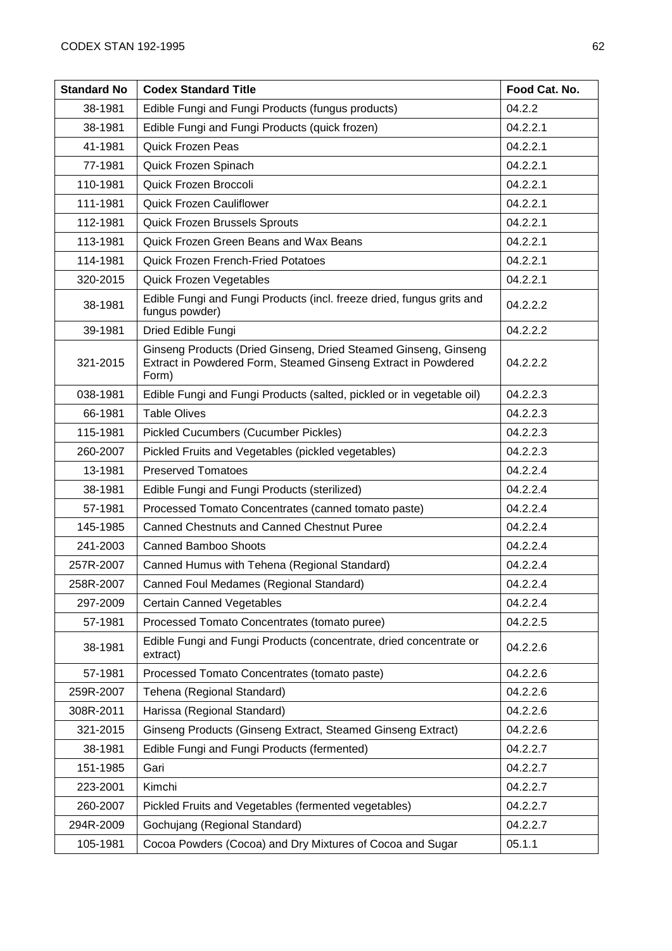| <b>Standard No</b> | <b>Codex Standard Title</b>                                                                                                               | Food Cat. No. |
|--------------------|-------------------------------------------------------------------------------------------------------------------------------------------|---------------|
| 38-1981            | Edible Fungi and Fungi Products (fungus products)                                                                                         | 04.2.2        |
| 38-1981            | Edible Fungi and Fungi Products (quick frozen)                                                                                            | 04.2.2.1      |
| 41-1981            | <b>Quick Frozen Peas</b>                                                                                                                  | 04.2.2.1      |
| 77-1981            | Quick Frozen Spinach                                                                                                                      | 04.2.2.1      |
| 110-1981           | Quick Frozen Broccoli                                                                                                                     | 04.2.2.1      |
| 111-1981           | <b>Quick Frozen Cauliflower</b>                                                                                                           | 04.2.2.1      |
| 112-1981           | Quick Frozen Brussels Sprouts                                                                                                             | 04.2.2.1      |
| 113-1981           | Quick Frozen Green Beans and Wax Beans                                                                                                    | 04.2.2.1      |
| 114-1981           | <b>Quick Frozen French-Fried Potatoes</b>                                                                                                 | 04.2.2.1      |
| 320-2015           | Quick Frozen Vegetables                                                                                                                   | 04.2.2.1      |
| 38-1981            | Edible Fungi and Fungi Products (incl. freeze dried, fungus grits and<br>fungus powder)                                                   | 04.2.2.2      |
| 39-1981            | Dried Edible Fungi                                                                                                                        | 04.2.2.2      |
| 321-2015           | Ginseng Products (Dried Ginseng, Dried Steamed Ginseng, Ginseng<br>Extract in Powdered Form, Steamed Ginseng Extract in Powdered<br>Form) | 04.2.2.2      |
| 038-1981           | Edible Fungi and Fungi Products (salted, pickled or in vegetable oil)                                                                     | 04.2.2.3      |
| 66-1981            | <b>Table Olives</b>                                                                                                                       | 04.2.2.3      |
| 115-1981           | <b>Pickled Cucumbers (Cucumber Pickles)</b>                                                                                               | 04.2.2.3      |
| 260-2007           | Pickled Fruits and Vegetables (pickled vegetables)                                                                                        | 04.2.2.3      |
| 13-1981            | <b>Preserved Tomatoes</b>                                                                                                                 | 04.2.2.4      |
| 38-1981            | Edible Fungi and Fungi Products (sterilized)                                                                                              | 04.2.2.4      |
| 57-1981            | Processed Tomato Concentrates (canned tomato paste)                                                                                       | 04.2.2.4      |
| 145-1985           | <b>Canned Chestnuts and Canned Chestnut Puree</b>                                                                                         | 04.2.2.4      |
| 241-2003           | <b>Canned Bamboo Shoots</b>                                                                                                               | 04.2.2.4      |
| 257R-2007          | Canned Humus with Tehena (Regional Standard)                                                                                              | 04.2.2.4      |
| 258R-2007          | Canned Foul Medames (Regional Standard)                                                                                                   | 04.2.2.4      |
| 297-2009           | <b>Certain Canned Vegetables</b>                                                                                                          | 04.2.2.4      |
| 57-1981            | Processed Tomato Concentrates (tomato puree)                                                                                              | 04.2.2.5      |
| 38-1981            | Edible Fungi and Fungi Products (concentrate, dried concentrate or<br>extract)                                                            | 04.2.2.6      |
| 57-1981            | Processed Tomato Concentrates (tomato paste)                                                                                              | 04.2.2.6      |
| 259R-2007          | Tehena (Regional Standard)                                                                                                                | 04.2.2.6      |
| 308R-2011          | Harissa (Regional Standard)                                                                                                               | 04.2.2.6      |
| 321-2015           | Ginseng Products (Ginseng Extract, Steamed Ginseng Extract)                                                                               | 04.2.2.6      |
| 38-1981            | Edible Fungi and Fungi Products (fermented)                                                                                               | 04.2.2.7      |
| 151-1985           | Gari                                                                                                                                      | 04.2.2.7      |
| 223-2001           | Kimchi                                                                                                                                    | 04.2.2.7      |
| 260-2007           | Pickled Fruits and Vegetables (fermented vegetables)                                                                                      | 04.2.2.7      |
| 294R-2009          | Gochujang (Regional Standard)                                                                                                             | 04.2.2.7      |
| 105-1981           | Cocoa Powders (Cocoa) and Dry Mixtures of Cocoa and Sugar                                                                                 | 05.1.1        |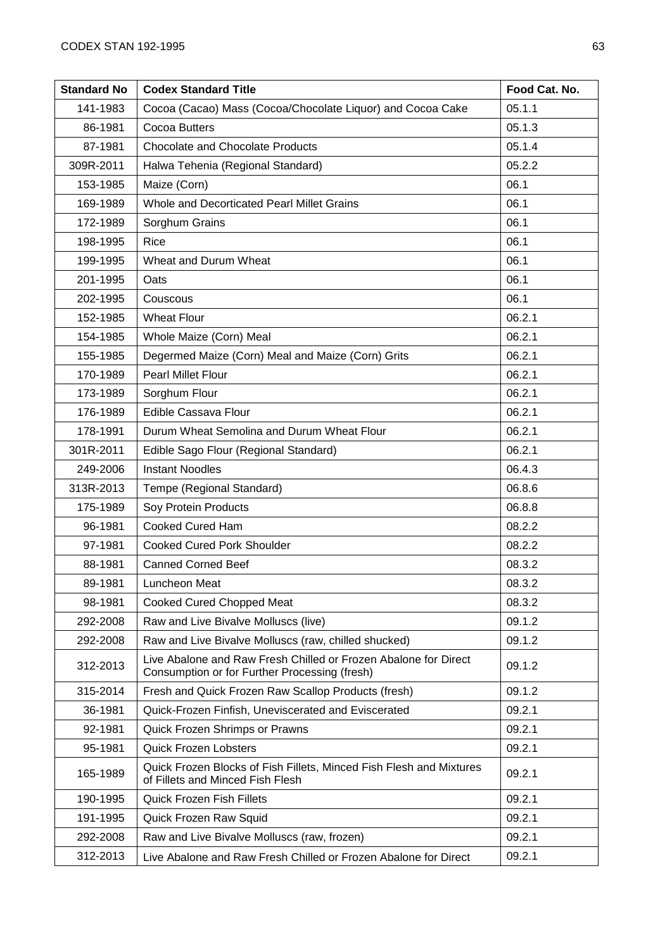| <b>Standard No</b> | <b>Codex Standard Title</b>                                                                                      | Food Cat. No. |
|--------------------|------------------------------------------------------------------------------------------------------------------|---------------|
| 141-1983           | Cocoa (Cacao) Mass (Cocoa/Chocolate Liquor) and Cocoa Cake                                                       | 05.1.1        |
| 86-1981            | Cocoa Butters                                                                                                    | 05.1.3        |
| 87-1981            | <b>Chocolate and Chocolate Products</b>                                                                          | 05.1.4        |
| 309R-2011          | Halwa Tehenia (Regional Standard)                                                                                | 05.2.2        |
| 153-1985           | Maize (Corn)                                                                                                     | 06.1          |
| 169-1989           | Whole and Decorticated Pearl Millet Grains                                                                       | 06.1          |
| 172-1989           | Sorghum Grains                                                                                                   | 06.1          |
| 198-1995           | Rice                                                                                                             | 06.1          |
| 199-1995           | Wheat and Durum Wheat                                                                                            | 06.1          |
| 201-1995           | Oats                                                                                                             | 06.1          |
| 202-1995           | Couscous                                                                                                         | 06.1          |
| 152-1985           | <b>Wheat Flour</b>                                                                                               | 06.2.1        |
| 154-1985           | Whole Maize (Corn) Meal                                                                                          | 06.2.1        |
| 155-1985           | Degermed Maize (Corn) Meal and Maize (Corn) Grits                                                                | 06.2.1        |
| 170-1989           | <b>Pearl Millet Flour</b>                                                                                        | 06.2.1        |
| 173-1989           | Sorghum Flour                                                                                                    | 06.2.1        |
| 176-1989           | Edible Cassava Flour                                                                                             | 06.2.1        |
| 178-1991           | Durum Wheat Semolina and Durum Wheat Flour                                                                       | 06.2.1        |
| 301R-2011          | Edible Sago Flour (Regional Standard)                                                                            | 06.2.1        |
| 249-2006           | <b>Instant Noodles</b>                                                                                           | 06.4.3        |
| 313R-2013          | Tempe (Regional Standard)                                                                                        | 06.8.6        |
| 175-1989           | Soy Protein Products                                                                                             | 06.8.8        |
| 96-1981            | <b>Cooked Cured Ham</b>                                                                                          | 08.2.2        |
| 97-1981            | <b>Cooked Cured Pork Shoulder</b>                                                                                | 08.2.2        |
| 88-1981            | <b>Canned Corned Beef</b>                                                                                        | 08.3.2        |
| 89-1981            | Luncheon Meat                                                                                                    | 08.3.2        |
| 98-1981            | <b>Cooked Cured Chopped Meat</b>                                                                                 | 08.3.2        |
| 292-2008           | Raw and Live Bivalve Molluscs (live)                                                                             | 09.1.2        |
| 292-2008           | Raw and Live Bivalve Molluscs (raw, chilled shucked)                                                             | 09.1.2        |
| 312-2013           | Live Abalone and Raw Fresh Chilled or Frozen Abalone for Direct<br>Consumption or for Further Processing (fresh) | 09.1.2        |
| 315-2014           | Fresh and Quick Frozen Raw Scallop Products (fresh)                                                              | 09.1.2        |
| 36-1981            | Quick-Frozen Finfish, Uneviscerated and Eviscerated                                                              | 09.2.1        |
| 92-1981            | Quick Frozen Shrimps or Prawns                                                                                   | 09.2.1        |
| 95-1981            | <b>Quick Frozen Lobsters</b>                                                                                     | 09.2.1        |
| 165-1989           | Quick Frozen Blocks of Fish Fillets, Minced Fish Flesh and Mixtures<br>of Fillets and Minced Fish Flesh          | 09.2.1        |
| 190-1995           | <b>Quick Frozen Fish Fillets</b>                                                                                 | 09.2.1        |
| 191-1995           | Quick Frozen Raw Squid                                                                                           | 09.2.1        |
| 292-2008           | Raw and Live Bivalve Molluscs (raw, frozen)                                                                      | 09.2.1        |
| 312-2013           | Live Abalone and Raw Fresh Chilled or Frozen Abalone for Direct                                                  | 09.2.1        |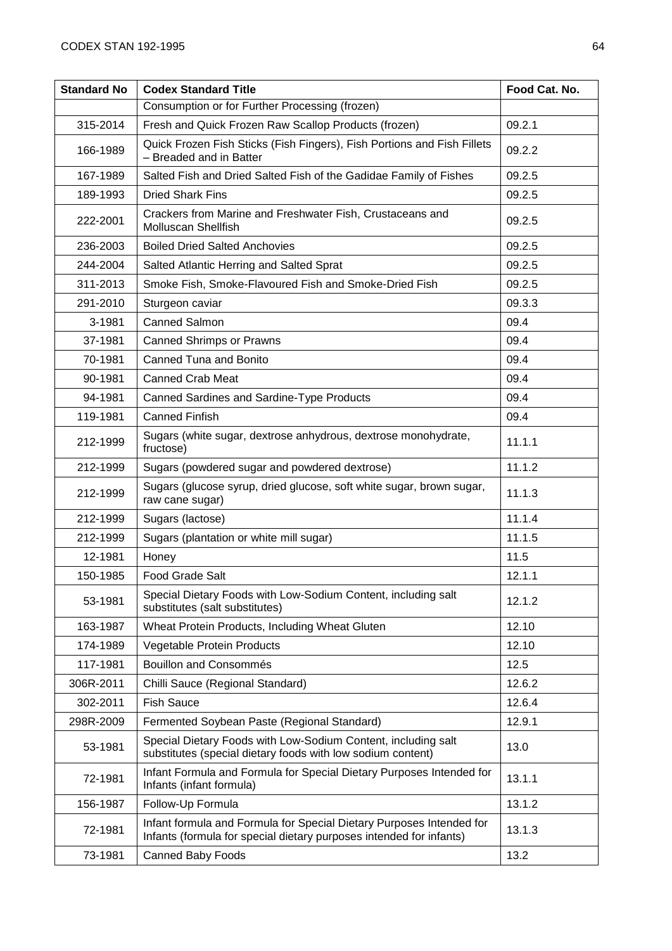| <b>Standard No</b> | <b>Codex Standard Title</b>                                                                                                                 | Food Cat. No. |
|--------------------|---------------------------------------------------------------------------------------------------------------------------------------------|---------------|
|                    | Consumption or for Further Processing (frozen)                                                                                              |               |
| 315-2014           | Fresh and Quick Frozen Raw Scallop Products (frozen)                                                                                        | 09.2.1        |
| 166-1989           | Quick Frozen Fish Sticks (Fish Fingers), Fish Portions and Fish Fillets<br>- Breaded and in Batter                                          | 09.2.2        |
| 167-1989           | Salted Fish and Dried Salted Fish of the Gadidae Family of Fishes                                                                           | 09.2.5        |
| 189-1993           | <b>Dried Shark Fins</b>                                                                                                                     | 09.2.5        |
| 222-2001           | Crackers from Marine and Freshwater Fish, Crustaceans and<br><b>Molluscan Shellfish</b>                                                     | 09.2.5        |
| 236-2003           | <b>Boiled Dried Salted Anchovies</b>                                                                                                        | 09.2.5        |
| 244-2004           | Salted Atlantic Herring and Salted Sprat                                                                                                    | 09.2.5        |
| 311-2013           | Smoke Fish, Smoke-Flavoured Fish and Smoke-Dried Fish                                                                                       | 09.2.5        |
| 291-2010           | Sturgeon caviar                                                                                                                             | 09.3.3        |
| 3-1981             | <b>Canned Salmon</b>                                                                                                                        | 09.4          |
| 37-1981            | <b>Canned Shrimps or Prawns</b>                                                                                                             | 09.4          |
| 70-1981            | <b>Canned Tuna and Bonito</b>                                                                                                               | 09.4          |
| 90-1981            | <b>Canned Crab Meat</b>                                                                                                                     | 09.4          |
| 94-1981            | Canned Sardines and Sardine-Type Products                                                                                                   | 09.4          |
| 119-1981           | <b>Canned Finfish</b>                                                                                                                       | 09.4          |
| 212-1999           | Sugars (white sugar, dextrose anhydrous, dextrose monohydrate,<br>fructose)                                                                 | 11.1.1        |
| 212-1999           | Sugars (powdered sugar and powdered dextrose)                                                                                               | 11.1.2        |
| 212-1999           | Sugars (glucose syrup, dried glucose, soft white sugar, brown sugar,<br>raw cane sugar)                                                     | 11.1.3        |
| 212-1999           | Sugars (lactose)                                                                                                                            | 11.1.4        |
| 212-1999           | Sugars (plantation or white mill sugar)                                                                                                     | 11.1.5        |
| 12-1981            | Honey                                                                                                                                       | 11.5          |
| 150-1985           | Food Grade Salt                                                                                                                             | 12.1.1        |
| 53-1981            | Special Dietary Foods with Low-Sodium Content, including salt<br>substitutes (salt substitutes)                                             | 12.1.2        |
| 163-1987           | Wheat Protein Products, Including Wheat Gluten                                                                                              | 12.10         |
| 174-1989           | Vegetable Protein Products                                                                                                                  | 12.10         |
| 117-1981           | <b>Bouillon and Consommés</b>                                                                                                               | 12.5          |
| 306R-2011          | Chilli Sauce (Regional Standard)                                                                                                            | 12.6.2        |
| 302-2011           | <b>Fish Sauce</b>                                                                                                                           | 12.6.4        |
| 298R-2009          | Fermented Soybean Paste (Regional Standard)                                                                                                 | 12.9.1        |
| 53-1981            | Special Dietary Foods with Low-Sodium Content, including salt<br>substitutes (special dietary foods with low sodium content)                | 13.0          |
| 72-1981            | Infant Formula and Formula for Special Dietary Purposes Intended for<br>Infants (infant formula)                                            | 13.1.1        |
| 156-1987           | Follow-Up Formula                                                                                                                           | 13.1.2        |
| 72-1981            | Infant formula and Formula for Special Dietary Purposes Intended for<br>Infants (formula for special dietary purposes intended for infants) | 13.1.3        |
| 73-1981            | <b>Canned Baby Foods</b>                                                                                                                    | 13.2          |